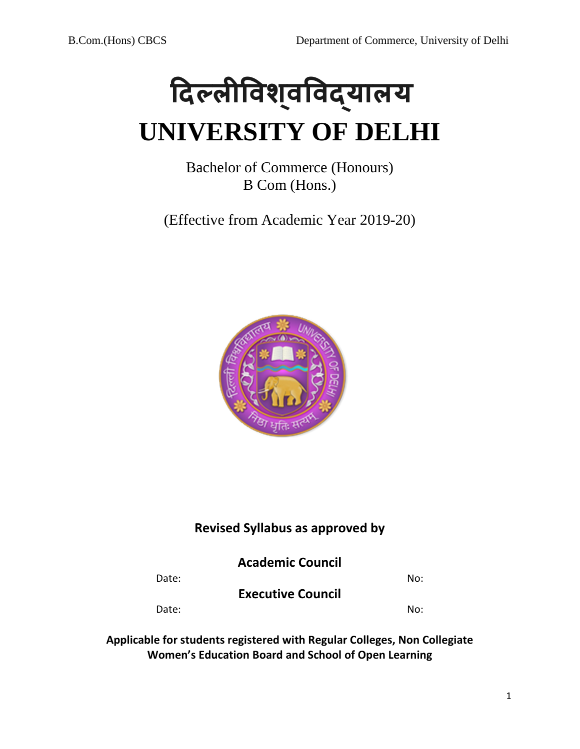

Bachelor of Commerce (Honours) B Com (Hons.)

(Effective from Academic Year 2019-20)



# **Revised Syllabus as approved by**

**Academic Council** 

Date: No:

**Executive Council** 

Date: No:

**Applicable for students registered with Regular Colleges, Non Collegiate Women's Education Board and School of Open Learning**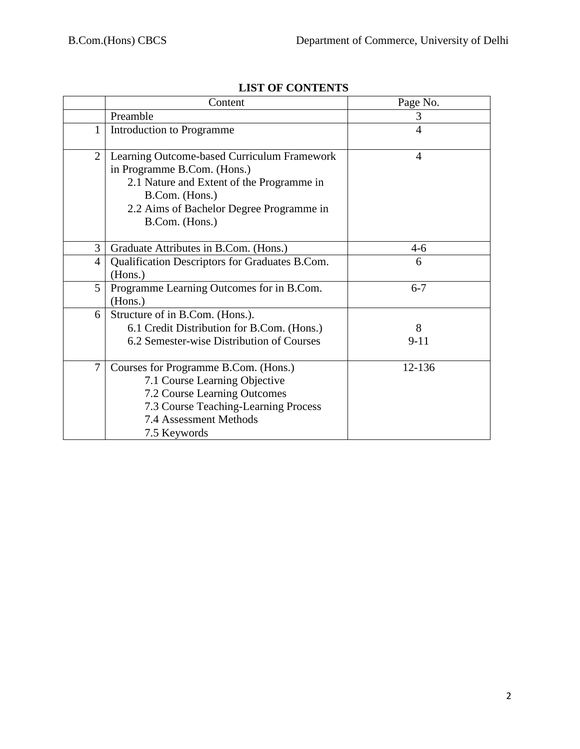|                | Content                                                                                                                                                                                                 | Page No.       |
|----------------|---------------------------------------------------------------------------------------------------------------------------------------------------------------------------------------------------------|----------------|
|                | Preamble                                                                                                                                                                                                | 3              |
| $\mathbf{1}$   | Introduction to Programme                                                                                                                                                                               | $\overline{4}$ |
| $\overline{2}$ | Learning Outcome-based Curriculum Framework<br>in Programme B.Com. (Hons.)<br>2.1 Nature and Extent of the Programme in<br>B.Com. (Hons.)<br>2.2 Aims of Bachelor Degree Programme in<br>B.Com. (Hons.) | $\overline{4}$ |
| 3              | Graduate Attributes in B.Com. (Hons.)                                                                                                                                                                   | $4 - 6$        |
| $\overline{4}$ | Qualification Descriptors for Graduates B.Com.<br>(Hons.)                                                                                                                                               | 6              |
| 5              | Programme Learning Outcomes for in B.Com.<br>(Hons.)                                                                                                                                                    | $6 - 7$        |
| 6              | Structure of in B.Com. (Hons.).<br>6.1 Credit Distribution for B.Com. (Hons.)<br>6.2 Semester-wise Distribution of Courses                                                                              | 8<br>$9 - 11$  |
| 7              | Courses for Programme B.Com. (Hons.)<br>7.1 Course Learning Objective<br>7.2 Course Learning Outcomes<br>7.3 Course Teaching-Learning Process<br>7.4 Assessment Methods<br>7.5 Keywords                 | 12-136         |

# **LIST OF CONTENTS**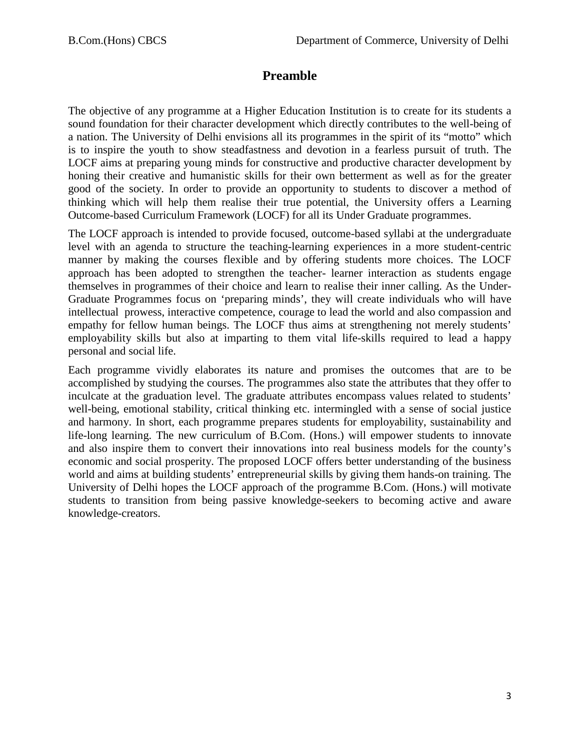# **Preamble**

The objective of any programme at a Higher Education Institution is to create for its students a sound foundation for their character development which directly contributes to the well-being of a nation. The University of Delhi envisions all its programmes in the spirit of its "motto" which is to inspire the youth to show steadfastness and devotion in a fearless pursuit of truth. The LOCF aims at preparing young minds for constructive and productive character development by honing their creative and humanistic skills for their own betterment as well as for the greater good of the society. In order to provide an opportunity to students to discover a method of thinking which will help them realise their true potential, the University offers a Learning Outcome-based Curriculum Framework (LOCF) for all its Under Graduate programmes.

The LOCF approach is intended to provide focused, outcome-based syllabi at the undergraduate level with an agenda to structure the teaching-learning experiences in a more student-centric manner by making the courses flexible and by offering students more choices. The LOCF approach has been adopted to strengthen the teacher- learner interaction as students engage themselves in programmes of their choice and learn to realise their inner calling. As the Under-Graduate Programmes focus on 'preparing minds', they will create individuals who will have intellectual prowess, interactive competence, courage to lead the world and also compassion and empathy for fellow human beings. The LOCF thus aims at strengthening not merely students' employability skills but also at imparting to them vital life-skills required to lead a happy personal and social life.

Each programme vividly elaborates its nature and promises the outcomes that are to be accomplished by studying the courses. The programmes also state the attributes that they offer to inculcate at the graduation level. The graduate attributes encompass values related to students' well-being, emotional stability, critical thinking etc. intermingled with a sense of social justice and harmony. In short, each programme prepares students for employability, sustainability and life-long learning. The new curriculum of B.Com. (Hons.) will empower students to innovate and also inspire them to convert their innovations into real business models for the county's economic and social prosperity. The proposed LOCF offers better understanding of the business world and aims at building students' entrepreneurial skills by giving them hands-on training. The University of Delhi hopes the LOCF approach of the programme B.Com. (Hons.) will motivate students to transition from being passive knowledge-seekers to becoming active and aware knowledge-creators.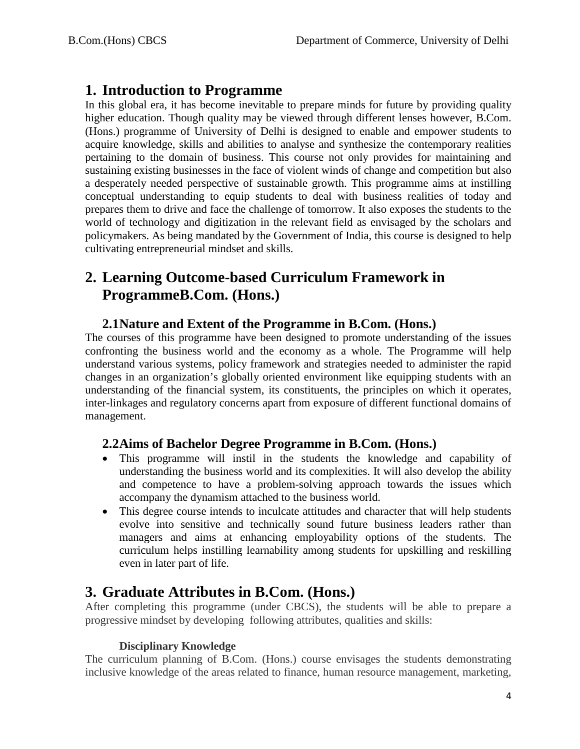# **1. Introduction to Programme**

In this global era, it has become inevitable to prepare minds for future by providing quality higher education. Though quality may be viewed through different lenses however, B.Com. (Hons.) programme of University of Delhi is designed to enable and empower students to acquire knowledge, skills and abilities to analyse and synthesize the contemporary realities pertaining to the domain of business. This course not only provides for maintaining and sustaining existing businesses in the face of violent winds of change and competition but also a desperately needed perspective of sustainable growth. This programme aims at instilling conceptual understanding to equip students to deal with business realities of today and prepares them to drive and face the challenge of tomorrow. It also exposes the students to the world of technology and digitization in the relevant field as envisaged by the scholars and policymakers. As being mandated by the Government of India, this course is designed to help cultivating entrepreneurial mindset and skills.

# **2. Learning Outcome-based Curriculum Framework in ProgrammeB.Com. (Hons.)**

# **2.1Nature and Extent of the Programme in B.Com. (Hons.)**

The courses of this programme have been designed to promote understanding of the issues confronting the business world and the economy as a whole. The Programme will help understand various systems, policy framework and strategies needed to administer the rapid changes in an organization's globally oriented environment like equipping students with an understanding of the financial system, its constituents, the principles on which it operates, inter-linkages and regulatory concerns apart from exposure of different functional domains of management.

# **2.2Aims of Bachelor Degree Programme in B.Com. (Hons.)**

- This programme will instil in the students the knowledge and capability of understanding the business world and its complexities. It will also develop the ability and competence to have a problem-solving approach towards the issues which accompany the dynamism attached to the business world.
- This degree course intends to inculcate attitudes and character that will help students evolve into sensitive and technically sound future business leaders rather than managers and aims at enhancing employability options of the students. The curriculum helps instilling learnability among students for upskilling and reskilling even in later part of life.

# **3. Graduate Attributes in B.Com. (Hons.)**

After completing this programme (under CBCS), the students will be able to prepare a progressive mindset by developing following attributes, qualities and skills:

### **Disciplinary Knowledge**

The curriculum planning of B.Com. (Hons.) course envisages the students demonstrating inclusive knowledge of the areas related to finance, human resource management, marketing,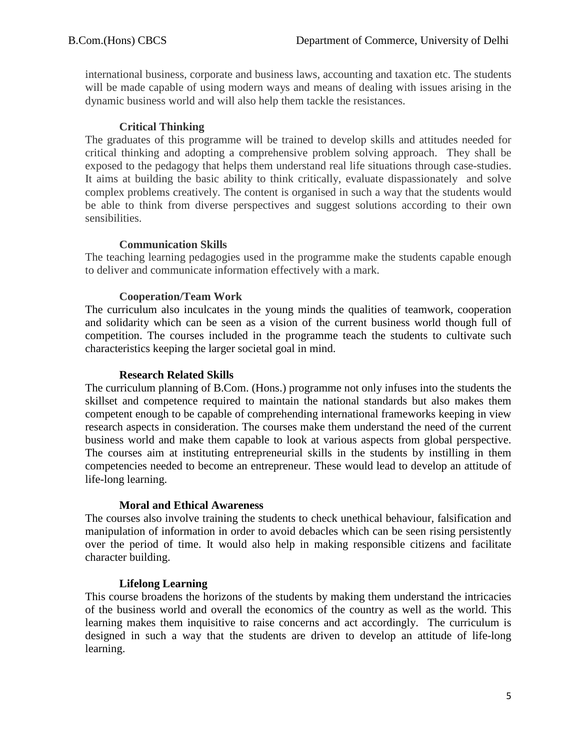international business, corporate and business laws, accounting and taxation etc. The students will be made capable of using modern ways and means of dealing with issues arising in the dynamic business world and will also help them tackle the resistances.

### **Critical Thinking**

The graduates of this programme will be trained to develop skills and attitudes needed for critical thinking and adopting a comprehensive problem solving approach. They shall be exposed to the pedagogy that helps them understand real life situations through case-studies. It aims at building the basic ability to think critically, evaluate dispassionately and solve complex problems creatively. The content is organised in such a way that the students would be able to think from diverse perspectives and suggest solutions according to their own sensibilities.

### **Communication Skills**

The teaching learning pedagogies used in the programme make the students capable enough to deliver and communicate information effectively with a mark.

### **Cooperation/Team Work**

The curriculum also inculcates in the young minds the qualities of teamwork, cooperation and solidarity which can be seen as a vision of the current business world though full of competition. The courses included in the programme teach the students to cultivate such characteristics keeping the larger societal goal in mind.

### **Research Related Skills**

The curriculum planning of B.Com. (Hons.) programme not only infuses into the students the skillset and competence required to maintain the national standards but also makes them competent enough to be capable of comprehending international frameworks keeping in view research aspects in consideration. The courses make them understand the need of the current business world and make them capable to look at various aspects from global perspective. The courses aim at instituting entrepreneurial skills in the students by instilling in them competencies needed to become an entrepreneur. These would lead to develop an attitude of life-long learning.

### **Moral and Ethical Awareness**

The courses also involve training the students to check unethical behaviour, falsification and manipulation of information in order to avoid debacles which can be seen rising persistently over the period of time. It would also help in making responsible citizens and facilitate character building.

### **Lifelong Learning**

This course broadens the horizons of the students by making them understand the intricacies of the business world and overall the economics of the country as well as the world. This learning makes them inquisitive to raise concerns and act accordingly. The curriculum is designed in such a way that the students are driven to develop an attitude of life-long learning.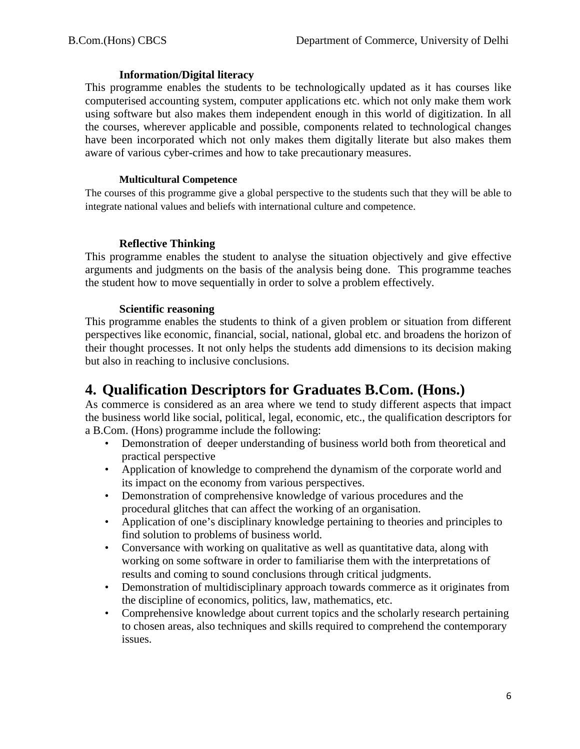#### **Information/Digital literacy**

This programme enables the students to be technologically updated as it has courses like computerised accounting system, computer applications etc. which not only make them work using software but also makes them independent enough in this world of digitization. In all the courses, wherever applicable and possible, components related to technological changes have been incorporated which not only makes them digitally literate but also makes them aware of various cyber-crimes and how to take precautionary measures.

#### **Multicultural Competence**

The courses of this programme give a global perspective to the students such that they will be able to integrate national values and beliefs with international culture and competence.

### **Reflective Thinking**

This programme enables the student to analyse the situation objectively and give effective arguments and judgments on the basis of the analysis being done. This programme teaches the student how to move sequentially in order to solve a problem effectively.

#### **Scientific reasoning**

This programme enables the students to think of a given problem or situation from different perspectives like economic, financial, social, national, global etc. and broadens the horizon of their thought processes. It not only helps the students add dimensions to its decision making but also in reaching to inclusive conclusions.

# **4. Qualification Descriptors for Graduates B.Com. (Hons.)**

As commerce is considered as an area where we tend to study different aspects that impact the business world like social, political, legal, economic, etc., the qualification descriptors for a B.Com. (Hons) programme include the following:

- Demonstration of deeper understanding of business world both from theoretical and practical perspective
- Application of knowledge to comprehend the dynamism of the corporate world and its impact on the economy from various perspectives.
- Demonstration of comprehensive knowledge of various procedures and the procedural glitches that can affect the working of an organisation.
- Application of one's disciplinary knowledge pertaining to theories and principles to find solution to problems of business world.
- Conversance with working on qualitative as well as quantitative data, along with working on some software in order to familiarise them with the interpretations of results and coming to sound conclusions through critical judgments.
- Demonstration of multidisciplinary approach towards commerce as it originates from the discipline of economics, politics, law, mathematics, etc.
- Comprehensive knowledge about current topics and the scholarly research pertaining to chosen areas, also techniques and skills required to comprehend the contemporary issues.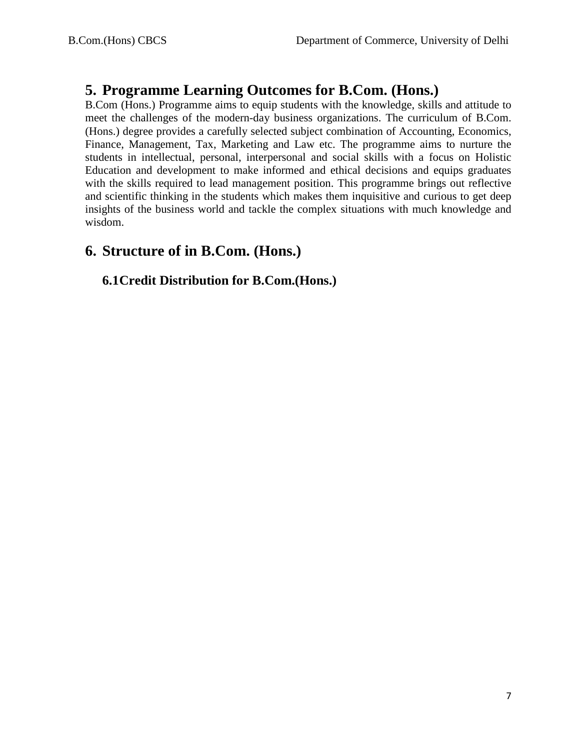# **5. Programme Learning Outcomes for B.Com. (Hons.)**

B.Com (Hons.) Programme aims to equip students with the knowledge, skills and attitude to meet the challenges of the modern-day business organizations. The curriculum of B.Com. (Hons.) degree provides a carefully selected subject combination of Accounting, Economics, Finance, Management, Tax, Marketing and Law etc. The programme aims to nurture the students in intellectual, personal, interpersonal and social skills with a focus on Holistic Education and development to make informed and ethical decisions and equips graduates with the skills required to lead management position. This programme brings out reflective and scientific thinking in the students which makes them inquisitive and curious to get deep insights of the business world and tackle the complex situations with much knowledge and wisdom.

# **6. Structure of in B.Com. (Hons.)**

# **6.1Credit Distribution for B.Com.(Hons.)**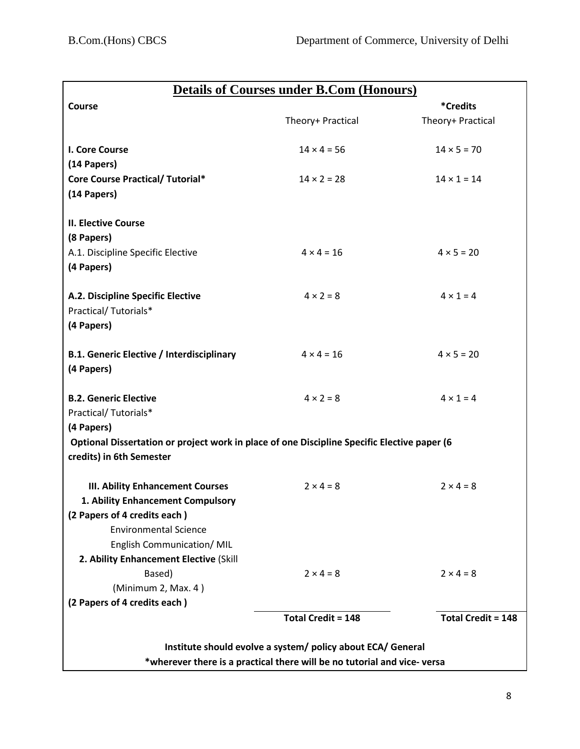| <b>Details of Courses under B.Com (Honours)</b>                                                                                                                            |                           |                           |
|----------------------------------------------------------------------------------------------------------------------------------------------------------------------------|---------------------------|---------------------------|
| Course                                                                                                                                                                     |                           | <i><b>*Credits</b></i>    |
|                                                                                                                                                                            | Theory+ Practical         | Theory+ Practical         |
| I. Core Course<br>(14 Papers)                                                                                                                                              | $14 \times 4 = 56$        | $14 \times 5 = 70$        |
| <b>Core Course Practical/ Tutorial*</b><br>(14 Papers)                                                                                                                     | $14 \times 2 = 28$        | $14 \times 1 = 14$        |
| <b>II. Elective Course</b><br>(8 Papers)                                                                                                                                   |                           |                           |
| A.1. Discipline Specific Elective<br>(4 Papers)                                                                                                                            | $4 \times 4 = 16$         | $4 × 5 = 20$              |
| A.2. Discipline Specific Elective<br>Practical/Tutorials*<br>(4 Papers)                                                                                                    | $4 \times 2 = 8$          | $4 \times 1 = 4$          |
| <b>B.1. Generic Elective / Interdisciplinary</b><br>(4 Papers)                                                                                                             | $4 \times 4 = 16$         | $4 × 5 = 20$              |
| <b>B.2. Generic Elective</b><br>Practical/Tutorials*                                                                                                                       | $4 \times 2 = 8$          | $4 \times 1 = 4$          |
| (4 Papers)<br>Optional Dissertation or project work in place of one Discipline Specific Elective paper (6<br>credits) in 6th Semester                                      |                           |                           |
| <b>III. Ability Enhancement Courses</b><br>1. Ability Enhancement Compulsory<br>(2 Papers of 4 credits each)<br><b>Environmental Science</b><br>English Communication/ MIL | $2 \times 4 = 8$          | $2 \times 4 = 8$          |
| 2. Ability Enhancement Elective (Skill<br>Based)<br>(Minimum 2, Max. 4)                                                                                                    | $2 \times 4 = 8$          | $2 \times 4 = 8$          |
| (2 Papers of 4 credits each)                                                                                                                                               | <b>Total Credit = 148</b> | <b>Total Credit = 148</b> |
|                                                                                                                                                                            |                           |                           |
| Institute should evolve a system/ policy about ECA/ General<br>*wherever there is a practical there will be no tutorial and vice-versa                                     |                           |                           |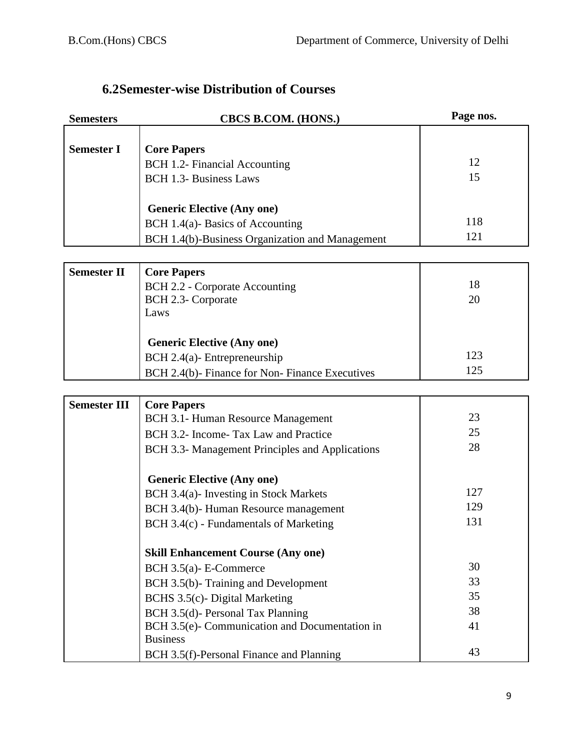# **6.2Semester-wise Distribution of Courses**

| <b>Semesters</b>    | <b>CBCS B.COM. (HONS.)</b>                                                          | Page nos. |
|---------------------|-------------------------------------------------------------------------------------|-----------|
|                     |                                                                                     |           |
| <b>Semester I</b>   | <b>Core Papers</b>                                                                  |           |
|                     | BCH 1.2- Financial Accounting                                                       | 12        |
|                     | <b>BCH 1.3- Business Laws</b>                                                       | 15        |
|                     |                                                                                     |           |
|                     | <b>Generic Elective (Any one)</b>                                                   |           |
|                     | BCH 1.4(a)-Basics of Accounting                                                     | 118       |
|                     | BCH 1.4(b)-Business Organization and Management                                     | 121       |
|                     |                                                                                     |           |
| <b>Semester II</b>  | <b>Core Papers</b>                                                                  |           |
|                     | BCH 2.2 - Corporate Accounting                                                      | 18        |
|                     | BCH 2.3- Corporate                                                                  | 20        |
|                     | Laws                                                                                |           |
|                     |                                                                                     |           |
|                     | <b>Generic Elective (Any one)</b>                                                   |           |
|                     | $BCH 2.4(a)$ - Entrepreneurship                                                     | 123       |
|                     | BCH 2.4(b)- Finance for Non-Finance Executives                                      | 125       |
|                     |                                                                                     |           |
| <b>Semester III</b> | <b>Core Papers</b>                                                                  |           |
|                     | BCH 3.1- Human Resource Management                                                  | 23        |
|                     | BCH 3.2- Income-Tax Law and Practice                                                | 25        |
|                     | BCH 3.3- Management Principles and Applications                                     | 28        |
|                     |                                                                                     |           |
|                     | <b>Generic Elective (Any one)</b>                                                   |           |
|                     | BCH 3.4(a)- Investing in Stock Markets                                              | 127       |
|                     | BCH 3.4(b)- Human Resource management                                               | 129       |
|                     | BCH 3.4(c) - Fundamentals of Marketing                                              | 131       |
|                     |                                                                                     |           |
|                     | <b>Skill Enhancement Course (Any one)</b>                                           | 30        |
|                     | BCH 3.5(a)- E-Commerce                                                              | 33        |
|                     | BCH 3.5(b)-Training and Development                                                 | 35        |
|                     | BCHS 3.5(c)- Digital Marketing                                                      | 38        |
|                     | BCH 3.5(d)- Personal Tax Planning<br>BCH 3.5(e)- Communication and Documentation in | 41        |
|                     | <b>Business</b>                                                                     |           |
|                     | BCH 3.5(f)-Personal Finance and Planning                                            | 43        |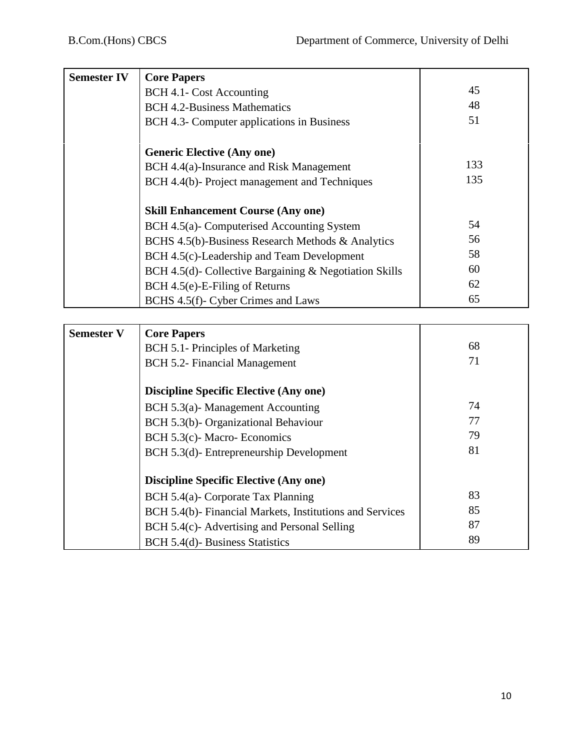| <b>Semester IV</b> | <b>Core Papers</b>                                     |     |
|--------------------|--------------------------------------------------------|-----|
|                    | BCH 4.1- Cost Accounting                               | 45  |
|                    | <b>BCH 4.2-Business Mathematics</b>                    | 48  |
|                    | BCH 4.3- Computer applications in Business             | 51  |
|                    |                                                        |     |
|                    | <b>Generic Elective (Any one)</b>                      |     |
|                    | BCH 4.4(a)-Insurance and Risk Management               | 133 |
|                    | BCH 4.4(b)- Project management and Techniques          | 135 |
|                    |                                                        |     |
|                    | <b>Skill Enhancement Course (Any one)</b>              |     |
|                    | BCH 4.5(a)- Computerised Accounting System             | 54  |
|                    | BCHS 4.5(b)-Business Research Methods & Analytics      | 56  |
|                    | BCH 4.5(c)-Leadership and Team Development             | 58  |
|                    | BCH 4.5(d)- Collective Bargaining & Negotiation Skills | 60  |
|                    | BCH 4.5(e)-E-Filing of Returns                         | 62  |
|                    | BCHS 4.5(f)- Cyber Crimes and Laws                     | 65  |
|                    |                                                        |     |
| <b>Semester V</b>  | <b>Core Papers</b>                                     |     |
|                    | BCH 5.1- Principles of Marketing                       | 68  |
|                    | BCH 5.2- Financial Management                          | 71  |
|                    |                                                        |     |
|                    | <b>Discipline Specific Elective (Any one)</b>          |     |
|                    | BCH 5.3(a)-Management Accounting                       | 74  |
|                    | BCH 5.3(b)- Organizational Behaviour                   | 77  |

| BCH 5.3(a)- Management Accounting                        | 74 |
|----------------------------------------------------------|----|
| BCH 5.3(b)- Organizational Behaviour                     | 77 |
| BCH 5.3(c)-Macro-Economics                               | 79 |
| BCH 5.3(d)-Entrepreneurship Development                  | 81 |
| <b>Discipline Specific Elective (Any one)</b>            |    |
| BCH 5.4(a)- Corporate Tax Planning                       | 83 |
| BCH 5.4(b)- Financial Markets, Institutions and Services | 85 |
| BCH 5.4(c)- Advertising and Personal Selling             | 87 |
| BCH 5.4(d)-Business Statistics                           | 89 |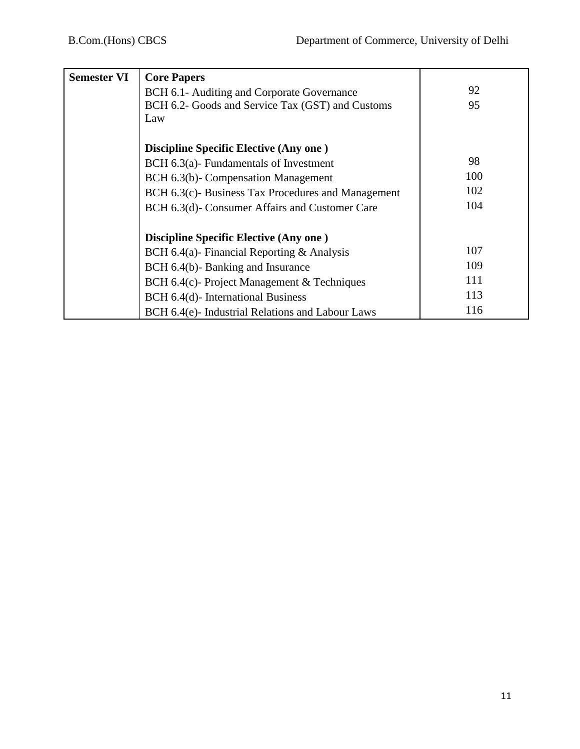| <b>Semester VI</b> | <b>Core Papers</b>                                |     |
|--------------------|---------------------------------------------------|-----|
|                    | BCH 6.1- Auditing and Corporate Governance        | 92  |
|                    | BCH 6.2- Goods and Service Tax (GST) and Customs  | 95  |
|                    | Law                                               |     |
|                    |                                                   |     |
|                    | <b>Discipline Specific Elective (Any one)</b>     |     |
|                    | $BCH 6.3(a)$ - Fundamentals of Investment         | 98  |
|                    | BCH 6.3(b)- Compensation Management               | 100 |
|                    | BCH 6.3(c) Business Tax Procedures and Management | 102 |
|                    | BCH 6.3(d)- Consumer Affairs and Customer Care    | 104 |
|                    |                                                   |     |
|                    | <b>Discipline Specific Elective (Any one)</b>     |     |
|                    | BCH 6.4(a)- Financial Reporting $\&$ Analysis     | 107 |
|                    | BCH 6.4(b)-Banking and Insurance                  | 109 |
|                    | BCH 6.4(c)- Project Management $&$ Techniques     | 111 |
|                    | BCH 6.4(d)- International Business                | 113 |
|                    | BCH 6.4(e)- Industrial Relations and Labour Laws  | 116 |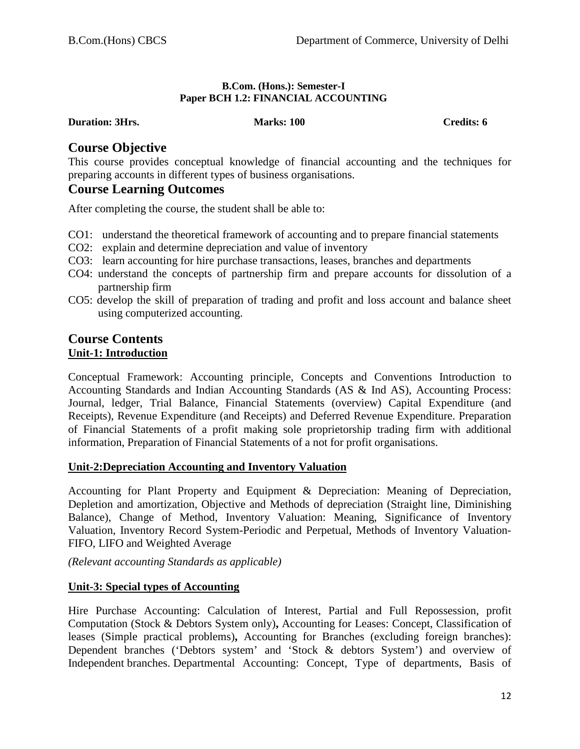#### **B.Com. (Hons.): Semester-I Paper BCH 1.2: FINANCIAL ACCOUNTING**

**Duration: 3Hrs. Marks: 100 Credits: 6 Credits: 6 Credits: 6** 

# **Course Objective**

This course provides conceptual knowledge of financial accounting and the techniques for preparing accounts in different types of business organisations.

# **Course Learning Outcomes**

After completing the course, the student shall be able to:

- CO1: understand the theoretical framework of accounting and to prepare financial statements
- CO2: explain and determine depreciation and value of inventory
- CO3: learn accounting for hire purchase transactions, leases, branches and departments
- CO4: understand the concepts of partnership firm and prepare accounts for dissolution of a partnership firm
- CO5: develop the skill of preparation of trading and profit and loss account and balance sheet using computerized accounting.

#### **Course Contents Unit-1: Introduction**

Conceptual Framework: Accounting principle, Concepts and Conventions Introduction to Accounting Standards and Indian Accounting Standards (AS & Ind AS), Accounting Process: Journal, ledger, Trial Balance, Financial Statements (overview) Capital Expenditure (and Receipts), Revenue Expenditure (and Receipts) and Deferred Revenue Expenditure. Preparation of Financial Statements of a profit making sole proprietorship trading firm with additional information, Preparation of Financial Statements of a not for profit organisations.

### **Unit-2:Depreciation Accounting and Inventory Valuation**

Accounting for Plant Property and Equipment & Depreciation: Meaning of Depreciation, Depletion and amortization, Objective and Methods of depreciation (Straight line, Diminishing Balance), Change of Method, Inventory Valuation: Meaning, Significance of Inventory Valuation, Inventory Record System-Periodic and Perpetual, Methods of Inventory Valuation-FIFO, LIFO and Weighted Average

*(Relevant accounting Standards as applicable)*

### **Unit-3: Special types of Accounting**

Hire Purchase Accounting: Calculation of Interest, Partial and Full Repossession, profit Computation (Stock & Debtors System only)**,** Accounting for Leases: Concept, Classification of leases (Simple practical problems)**,** Accounting for Branches (excluding foreign branches): Dependent branches ('Debtors system' and 'Stock & debtors System') and overview of Independent branches. Departmental Accounting: Concept, Type of departments, Basis of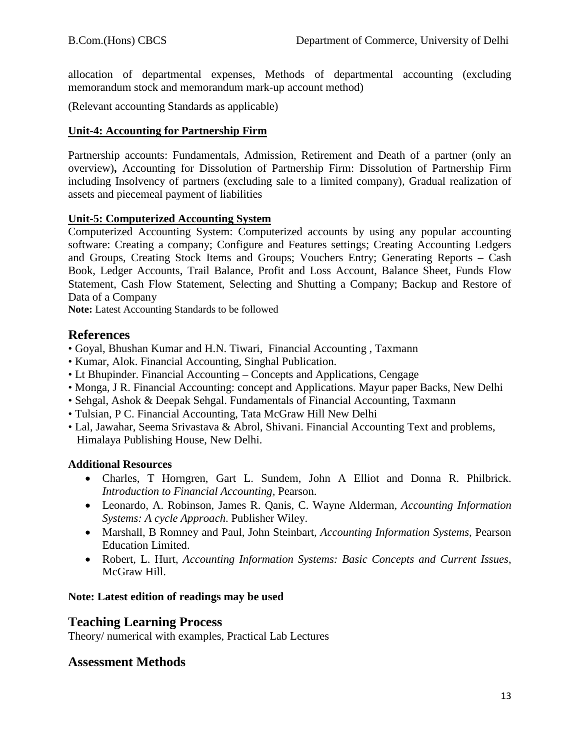allocation of departmental expenses, Methods of departmental accounting (excluding memorandum stock and memorandum mark-up account method)

(Relevant accounting Standards as applicable)

#### **Unit-4: Accounting for Partnership Firm**

Partnership accounts: Fundamentals, Admission, Retirement and Death of a partner (only an overview)**,** Accounting for Dissolution of Partnership Firm: Dissolution of Partnership Firm including Insolvency of partners (excluding sale to a limited company), Gradual realization of assets and piecemeal payment of liabilities

#### **Unit-5: Computerized Accounting System**

Computerized Accounting System: Computerized accounts by using any popular accounting software: Creating a company; Configure and Features settings; Creating Accounting Ledgers and Groups, Creating Stock Items and Groups; Vouchers Entry; Generating Reports – Cash Book, Ledger Accounts, Trail Balance, Profit and Loss Account, Balance Sheet, Funds Flow Statement, Cash Flow Statement, Selecting and Shutting a Company; Backup and Restore of Data of a Company

**Note:** Latest Accounting Standards to be followed

# **References**

- Goyal, Bhushan Kumar and H.N. Tiwari, Financial Accounting , Taxmann
- Kumar, Alok. Financial Accounting, Singhal Publication.
- Lt Bhupinder. Financial Accounting Concepts and Applications, Cengage
- Monga, J R. Financial Accounting: concept and Applications. Mayur paper Backs, New Delhi
- Sehgal, Ashok & Deepak Sehgal. Fundamentals of Financial Accounting, Taxmann
- Tulsian, P C. Financial Accounting, Tata McGraw Hill New Delhi
- Lal, Jawahar, Seema Srivastava & Abrol, Shivani. Financial Accounting Text and problems, Himalaya Publishing House, New Delhi.

### **Additional Resources**

- Charles, T Horngren, Gart L. Sundem, John A Elliot and Donna R. Philbrick. *Introduction to Financial Accounting,* Pearson.
- Leonardo, A. Robinson, James R. Qanis, C. Wayne Alderman, *Accounting Information Systems: A cycle Approach*. Publisher Wiley.
- Marshall, B Romney and Paul, John Steinbart, *Accounting Information Systems*, Pearson Education Limited.
- Robert, L. Hurt, *Accounting Information Systems: Basic Concepts and Current Issues*, McGraw Hill.

### **Note: Latest edition of readings may be used**

### **Teaching Learning Process**

Theory/ numerical with examples, Practical Lab Lectures

### **Assessment Methods**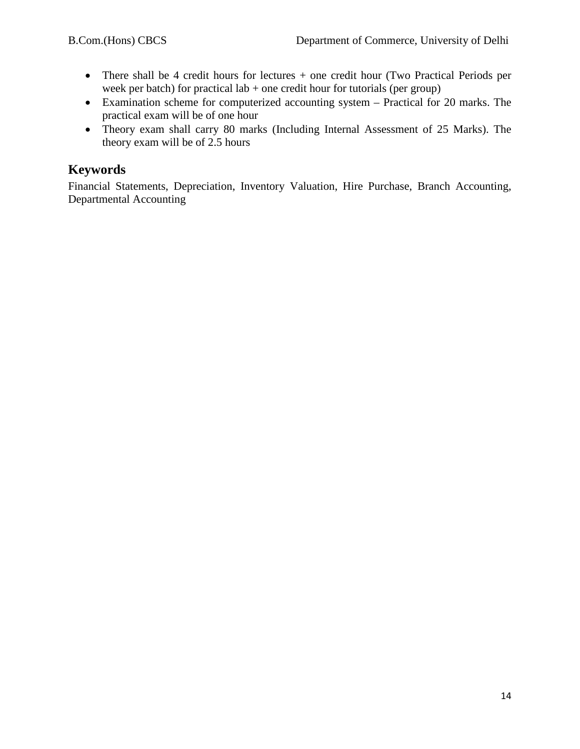- There shall be 4 credit hours for lectures + one credit hour (Two Practical Periods per week per batch) for practical lab  $+$  one credit hour for tutorials (per group)
- Examination scheme for computerized accounting system Practical for 20 marks. The practical exam will be of one hour
- Theory exam shall carry 80 marks (Including Internal Assessment of 25 Marks). The theory exam will be of 2.5 hours

# **Keywords**

Financial Statements, Depreciation, Inventory Valuation, Hire Purchase, Branch Accounting, Departmental Accounting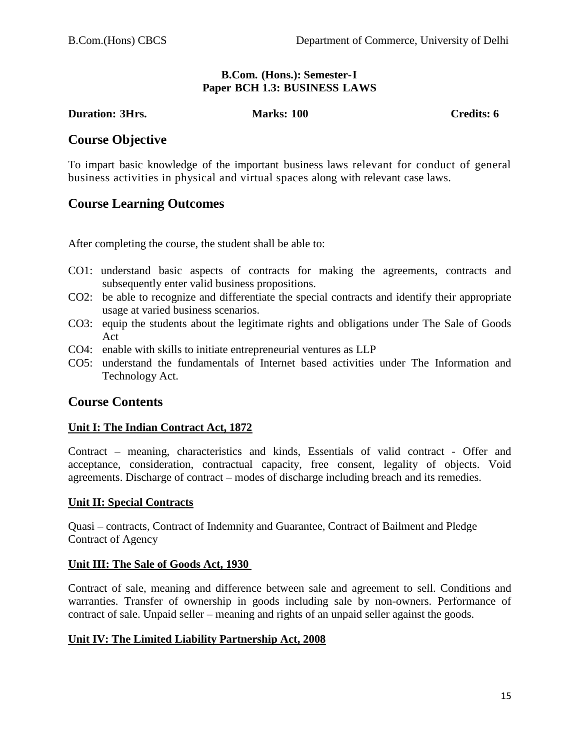#### **B.Com. (Hons.): Semester-I Paper BCH 1.3: BUSINESS LAWS**

**Duration: 3Hrs. Marks: 100 Credits: 6**

### **Course Objective**

To impart basic knowledge of the important business laws relevant for conduct of general business activities in physical and virtual spaces along with relevant case laws.

# **Course Learning Outcomes**

After completing the course, the student shall be able to:

- CO1: understand basic aspects of contracts for making the agreements, contracts and subsequently enter valid business propositions.
- CO2: be able to recognize and differentiate the special contracts and identify their appropriate usage at varied business scenarios.
- CO3: equip the students about the legitimate rights and obligations under The Sale of Goods Act
- CO4: enable with skills to initiate entrepreneurial ventures as LLP
- CO5: understand the fundamentals of Internet based activities under The Information and Technology Act.

# **Course Contents**

### **Unit I: The Indian Contract Act, 1872**

Contract – meaning, characteristics and kinds, Essentials of valid contract - Offer and acceptance, consideration, contractual capacity, free consent, legality of objects. Void agreements. Discharge of contract – modes of discharge including breach and its remedies.

### **Unit II: Special Contracts**

Quasi – contracts, Contract of Indemnity and Guarantee, Contract of Bailment and Pledge Contract of Agency

### **Unit III: The Sale of Goods Act, 1930**

Contract of sale, meaning and difference between sale and agreement to sell. Conditions and warranties. Transfer of ownership in goods including sale by non-owners. Performance of contract of sale. Unpaid seller – meaning and rights of an unpaid seller against the goods.

### **Unit IV: The Limited Liability Partnership Act, 2008**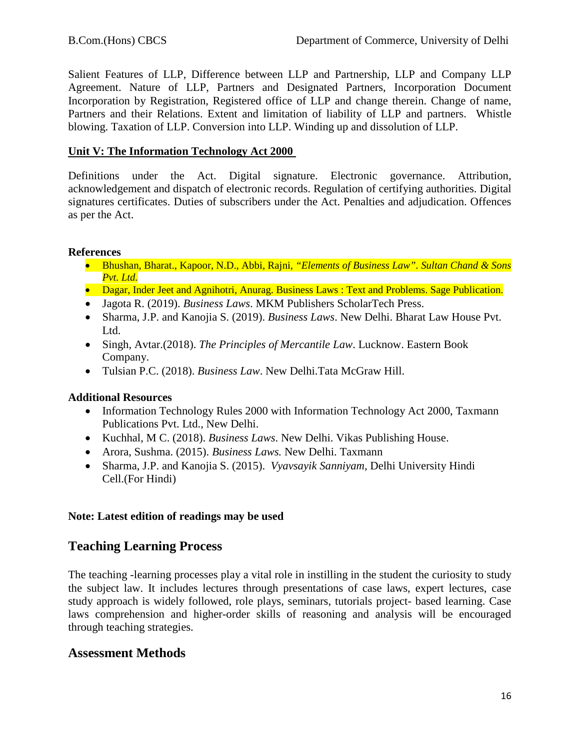Salient Features of LLP, Difference between LLP and Partnership, LLP and Company LLP Agreement. Nature of LLP, Partners and Designated Partners, Incorporation Document Incorporation by Registration, Registered office of LLP and change therein. Change of name, Partners and their Relations. Extent and limitation of liability of LLP and partners. Whistle blowing. Taxation of LLP. Conversion into LLP. Winding up and dissolution of LLP.

#### **Unit V: The Information Technology Act 2000**

Definitions under the Act. Digital signature. Electronic governance. Attribution, acknowledgement and dispatch of electronic records. Regulation of certifying authorities. Digital signatures certificates. Duties of subscribers under the Act. Penalties and adjudication. Offences as per the Act.

#### **References**

- Bhushan, Bharat., Kapoor, N.D., Abbi, Rajni, *"Elements of Business Law". Sultan Chand & Sons Pvt. Ltd.*
- Dagar, Inder Jeet and Agnihotri, Anurag. Business Laws: Text and Problems. Sage Publication.
- Jagota R. (2019). *Business Laws*. MKM Publishers ScholarTech Press.
- Sharma, J.P. and Kanojia S. (2019). *Business Laws*. New Delhi. Bharat Law House Pvt. Ltd.
- Singh, Avtar.(2018). *The Principles of Mercantile Law*. Lucknow. Eastern Book Company.
- Tulsian P.C. (2018). *Business Law*. New Delhi.Tata McGraw Hill.

### **Additional Resources**

- Information Technology Rules 2000 with Information Technology Act 2000, Taxmann Publications Pvt. Ltd., New Delhi.
- Kuchhal, M C. (2018). *Business Laws*. New Delhi. Vikas Publishing House.
- Arora, Sushma. (2015). *Business Laws.* New Delhi. Taxmann
- Sharma, J.P. and Kanojia S. (2015). *Vyavsayik Sanniyam,* Delhi University Hindi Cell.(For Hindi)

### **Note: Latest edition of readings may be used**

# **Teaching Learning Process**

The teaching -learning processes play a vital role in instilling in the student the curiosity to study the subject law. It includes lectures through presentations of case laws, expert lectures, case study approach is widely followed, role plays, seminars, tutorials project- based learning. Case laws comprehension and higher-order skills of reasoning and analysis will be encouraged through teaching strategies.

### **Assessment Methods**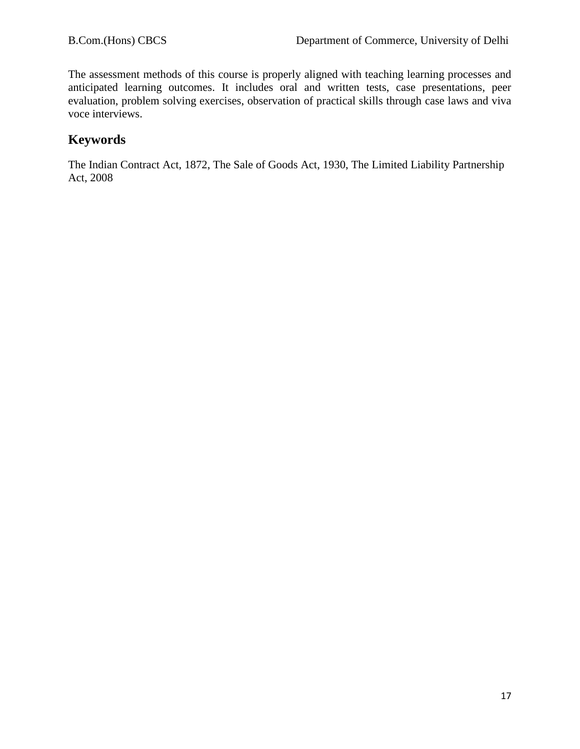The assessment methods of this course is properly aligned with teaching learning processes and anticipated learning outcomes. It includes oral and written tests, case presentations, peer evaluation, problem solving exercises, observation of practical skills through case laws and viva voce interviews.

# **Keywords**

The Indian Contract Act, 1872, The Sale of Goods Act, 1930, The Limited Liability Partnership Act, 2008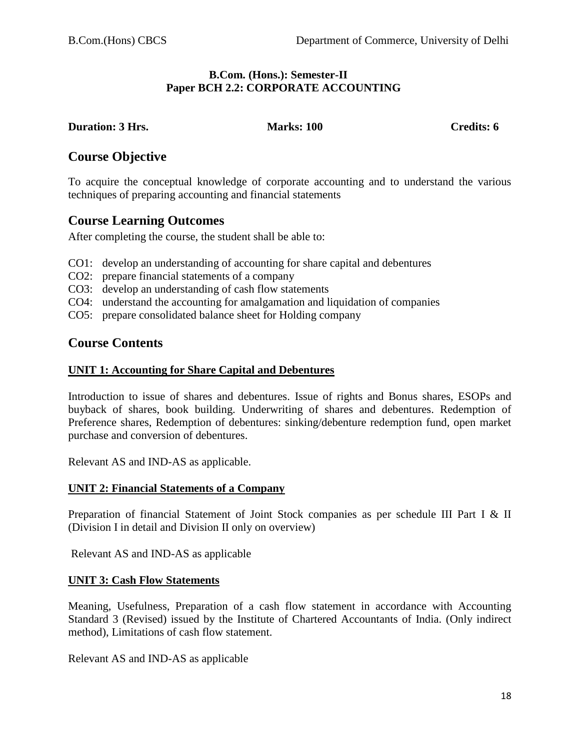#### **B.Com. (Hons.): Semester-II Paper BCH 2.2: CORPORATE ACCOUNTING**

#### **Duration: 3 Hrs. Marks: 100 Credits: 6**

# **Course Objective**

To acquire the conceptual knowledge of corporate accounting and to understand the various techniques of preparing accounting and financial statements

# **Course Learning Outcomes**

After completing the course, the student shall be able to:

- CO1: develop an understanding of accounting for share capital and debentures
- CO2: prepare financial statements of a company
- CO3: develop an understanding of cash flow statements
- CO4: understand the accounting for amalgamation and liquidation of companies
- CO5: prepare consolidated balance sheet for Holding company

# **Course Contents**

### **UNIT 1: Accounting for Share Capital and Debentures**

Introduction to issue of shares and debentures. Issue of rights and Bonus shares, ESOPs and buyback of shares, book building. Underwriting of shares and debentures. Redemption of Preference shares, Redemption of debentures: sinking/debenture redemption fund, open market purchase and conversion of debentures.

Relevant AS and IND-AS as applicable.

### **UNIT 2: Financial Statements of a Company**

Preparation of financial Statement of Joint Stock companies as per schedule III Part I & II (Division I in detail and Division II only on overview)

Relevant AS and IND-AS as applicable

### **UNIT 3: Cash Flow Statements**

Meaning, Usefulness, Preparation of a cash flow statement in accordance with Accounting Standard 3 (Revised) issued by the Institute of Chartered Accountants of India. (Only indirect method), Limitations of cash flow statement.

Relevant AS and IND-AS as applicable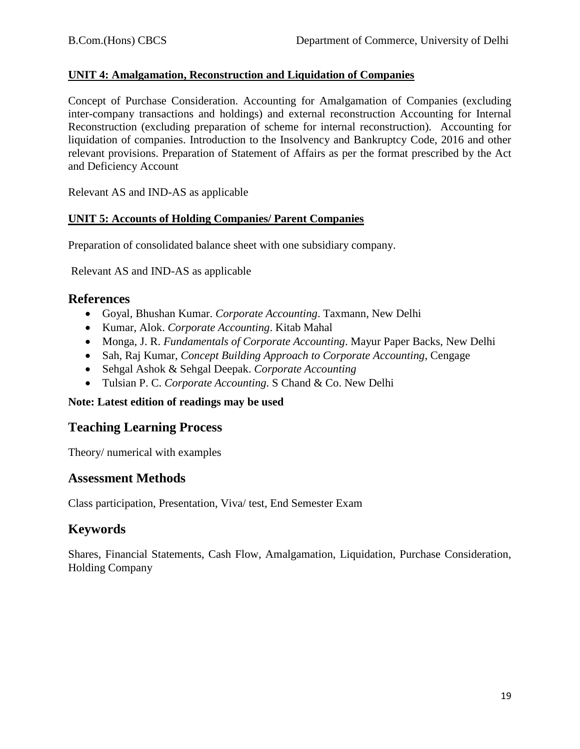#### **UNIT 4: Amalgamation, Reconstruction and Liquidation of Companies**

Concept of Purchase Consideration. Accounting for Amalgamation of Companies (excluding inter-company transactions and holdings) and external reconstruction Accounting for Internal Reconstruction (excluding preparation of scheme for internal reconstruction). Accounting for liquidation of companies. Introduction to the Insolvency and Bankruptcy Code, 2016 and other relevant provisions. Preparation of Statement of Affairs as per the format prescribed by the Act and Deficiency Account

Relevant AS and IND-AS as applicable

#### **UNIT 5: Accounts of Holding Companies/ Parent Companies**

Preparation of consolidated balance sheet with one subsidiary company.

Relevant AS and IND-AS as applicable

#### **References**

- Goyal, Bhushan Kumar. *Corporate Accounting*. Taxmann, New Delhi
- Kumar, Alok. *Corporate Accounting*. Kitab Mahal
- Monga, J. R. *Fundamentals of Corporate Accounting*. Mayur Paper Backs, New Delhi
- Sah, Raj Kumar, *Concept Building Approach to Corporate Accounting*, Cengage
- Sehgal Ashok & Sehgal Deepak. *Corporate Accounting*
- Tulsian P. C. *Corporate Accounting*. S Chand & Co. New Delhi

#### **Note: Latest edition of readings may be used**

### **Teaching Learning Process**

Theory/ numerical with examples

### **Assessment Methods**

Class participation, Presentation, Viva/ test, End Semester Exam

# **Keywords**

Shares, Financial Statements, Cash Flow, Amalgamation, Liquidation, Purchase Consideration, Holding Company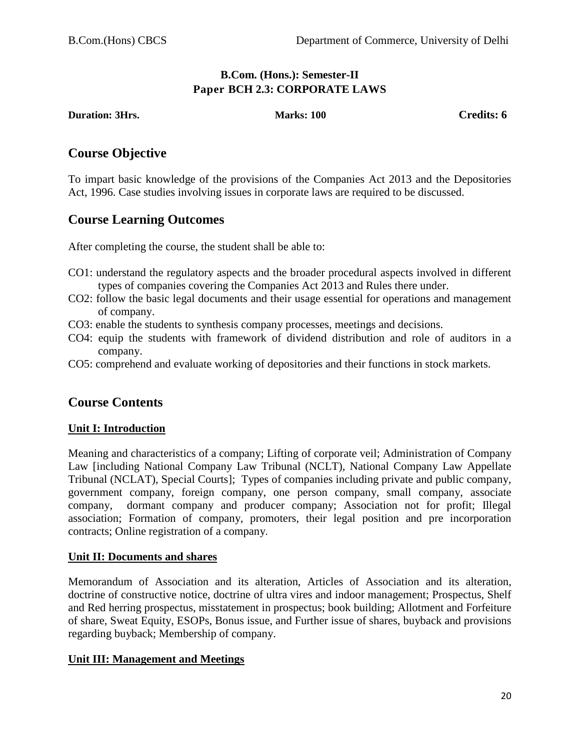### **B.Com. (Hons.): Semester-II Paper BCH 2.3: CORPORATE LAWS**

**Duration: 3Hrs.** Marks: 100 **Credits: 6** Credits: 6

# **Course Objective**

To impart basic knowledge of the provisions of the Companies Act 2013 and the Depositories Act, 1996. Case studies involving issues in corporate laws are required to be discussed.

# **Course Learning Outcomes**

After completing the course, the student shall be able to:

- CO1: understand the regulatory aspects and the broader procedural aspects involved in different types of companies covering the Companies Act 2013 and Rules there under.
- CO2: follow the basic legal documents and their usage essential for operations and management of company.
- CO3: enable the students to synthesis company processes, meetings and decisions.
- CO4: equip the students with framework of dividend distribution and role of auditors in a company.
- CO5: comprehend and evaluate working of depositories and their functions in stock markets.

# **Course Contents**

### **Unit I: Introduction**

Meaning and characteristics of a company; Lifting of corporate veil; Administration of Company Law [including National Company Law Tribunal (NCLT), National Company Law Appellate Tribunal (NCLAT), Special Courts]; Types of companies including private and public company, government company, foreign company, one person company, small company, associate company, dormant company and producer company; Association not for profit; Illegal association; Formation of company, promoters, their legal position and pre incorporation contracts; Online registration of a company.

### **Unit II: Documents and shares**

Memorandum of Association and its alteration, Articles of Association and its alteration, doctrine of constructive notice, doctrine of ultra vires and indoor management; Prospectus, Shelf and Red herring prospectus, misstatement in prospectus; book building; Allotment and Forfeiture of share, Sweat Equity, ESOPs, Bonus issue, and Further issue of shares, buyback and provisions regarding buyback; Membership of company.

### **Unit III: Management and Meetings**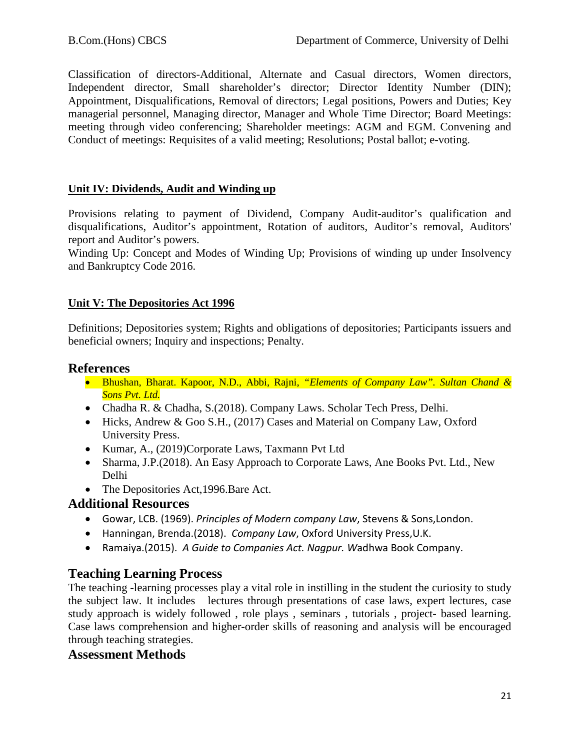Classification of directors-Additional, Alternate and Casual directors, Women directors, Independent director, Small shareholder's director; Director Identity Number (DIN); Appointment, Disqualifications, Removal of directors; Legal positions, Powers and Duties; Key managerial personnel, Managing director, Manager and Whole Time Director; Board Meetings: meeting through video conferencing; Shareholder meetings: AGM and EGM. Convening and Conduct of meetings: Requisites of a valid meeting; Resolutions; Postal ballot; e-voting.

### **Unit IV: Dividends, Audit and Winding up**

Provisions relating to payment of Dividend, Company Audit-auditor's qualification and disqualifications, Auditor's appointment, Rotation of auditors, Auditor's removal, Auditors' report and Auditor's powers.

Winding Up: Concept and Modes of Winding Up; Provisions of winding up under Insolvency and Bankruptcy Code 2016.

### **Unit V: The Depositories Act 1996**

Definitions; Depositories system; Rights and obligations of depositories; Participants issuers and beneficial owners; Inquiry and inspections; Penalty.

### **References**

- Bhushan, Bharat. Kapoor, N.D., Abbi, Rajni, *"Elements of Company Law". Sultan Chand & Sons Pvt. Ltd.*
- Chadha R. & Chadha, S. (2018). Company Laws. Scholar Tech Press, Delhi.
- Hicks, Andrew & Goo S.H., (2017) Cases and Material on Company Law, Oxford University Press.
- Kumar, A., (2019)Corporate Laws, Taxmann Pvt Ltd
- Sharma, J.P. (2018). An Easy Approach to Corporate Laws, Ane Books Pvt. Ltd., New Delhi
- The Depositories Act, 1996. Bare Act.

# **Additional Resources**

- Gowar, LCB. (1969). *Principles of Modern company Law*, Stevens & Sons,London.
- Hanningan, Brenda.(2018). *Company Law*, Oxford University Press,U.K.
- Ramaiya.(2015). *A Guide to Companies Act. Nagpur. W*adhwa Book Company.

# **Teaching Learning Process**

The teaching -learning processes play a vital role in instilling in the student the curiosity to study the subject law. It includes lectures through presentations of case laws, expert lectures, case study approach is widely followed , role plays , seminars , tutorials , project- based learning. Case laws comprehension and higher-order skills of reasoning and analysis will be encouraged through teaching strategies.

### **Assessment Methods**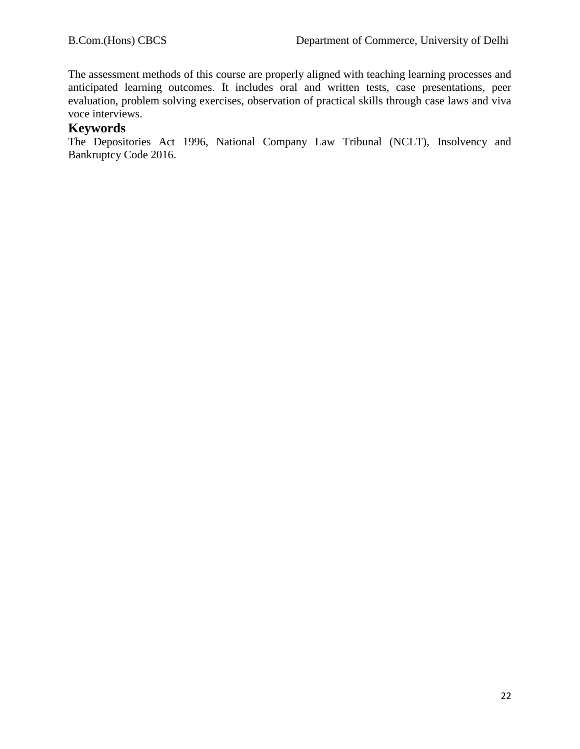The assessment methods of this course are properly aligned with teaching learning processes and anticipated learning outcomes. It includes oral and written tests, case presentations, peer evaluation, problem solving exercises, observation of practical skills through case laws and viva voce interviews.

### **Keywords**

The Depositories Act 1996, National Company Law Tribunal (NCLT), Insolvency and Bankruptcy Code 2016.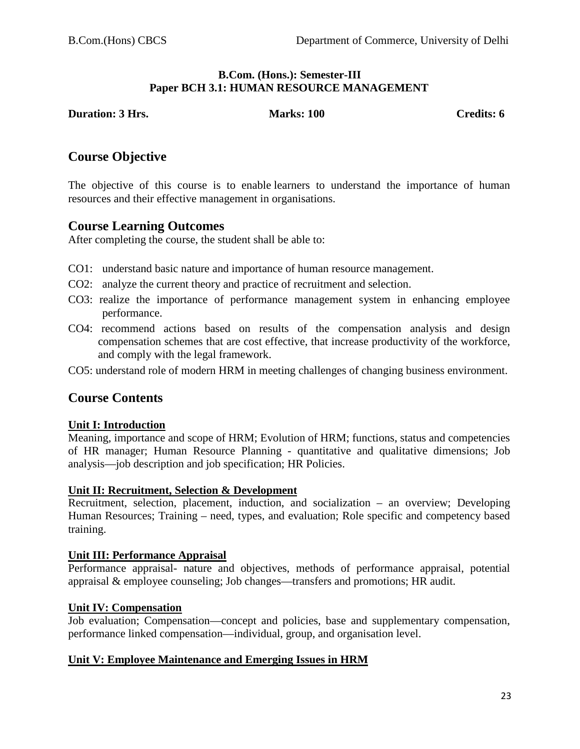#### **B.Com. (Hons.): Semester-III Paper BCH 3.1: HUMAN RESOURCE MANAGEMENT**

**Duration: 3 Hrs.** Marks: 100 **Credits: 6** Credits: 6

# **Course Objective**

The objective of this course is to enable learners to understand the importance of human resources and their effective management in organisations.

# **Course Learning Outcomes**

After completing the course, the student shall be able to:

- CO1: understand basic nature and importance of human resource management.
- CO2: analyze the current theory and practice of recruitment and selection.
- CO3: realize the importance of performance management system in enhancing employee performance.
- CO4: recommend actions based on results of the compensation analysis and design compensation schemes that are cost effective, that increase productivity of the workforce, and comply with the legal framework.
- CO5: understand role of modern HRM in meeting challenges of changing business environment.

# **Course Contents**

### **Unit I: Introduction**

Meaning, importance and scope of HRM; Evolution of HRM; functions, status and competencies of HR manager; Human Resource Planning - quantitative and qualitative dimensions; Job analysis—job description and job specification; HR Policies.

### **Unit II: Recruitment, Selection & Development**

Recruitment, selection, placement, induction, and socialization – an overview; Developing Human Resources; Training – need, types, and evaluation; Role specific and competency based training.

### **Unit III: Performance Appraisal**

Performance appraisal- nature and objectives, methods of performance appraisal, potential appraisal & employee counseling; Job changes—transfers and promotions; HR audit.

### **Unit IV: Compensation**

Job evaluation; Compensation—concept and policies, base and supplementary compensation, performance linked compensation—individual, group, and organisation level.

### **Unit V: Employee Maintenance and Emerging Issues in HRM**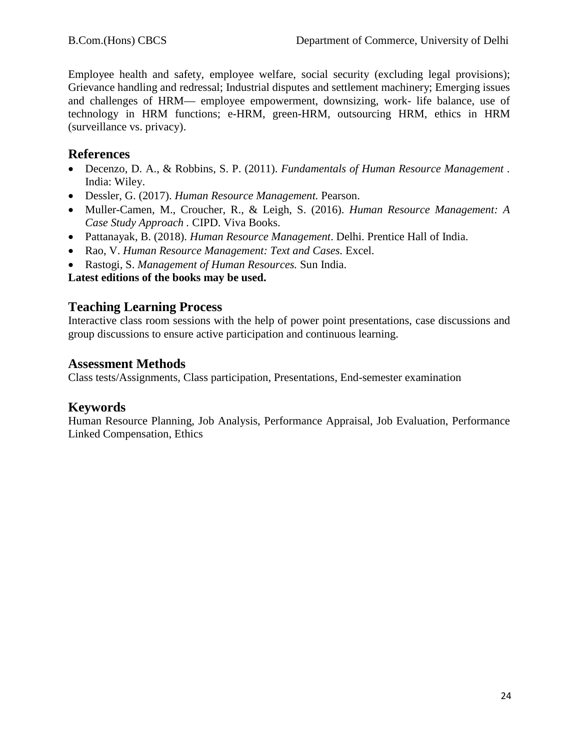Employee health and safety, employee welfare, social security (excluding legal provisions); Grievance handling and redressal; Industrial disputes and settlement machinery; Emerging issues and challenges of HRM— employee empowerment, downsizing, work- life balance, use of technology in HRM functions; e-HRM, green-HRM, outsourcing HRM, ethics in HRM (surveillance vs. privacy).

# **References**

- Decenzo, D. A., & Robbins, S. P. (2011). *Fundamentals of Human Resource Management .* India: Wiley.
- Dessler, G. (2017). *Human Resource Management.* Pearson.
- Muller-Camen, M., Croucher, R., & Leigh, S. (2016). *Human Resource Management: A Case Study Approach .* CIPD. Viva Books.
- Pattanayak, B. (2018). *Human Resource Management*. Delhi. Prentice Hall of India.
- Rao, V. *Human Resource Management: Text and Cases.* Excel.
- Rastogi, S. *Management of Human Resources.* Sun India.

**Latest editions of the books may be used.**

# **Teaching Learning Process**

Interactive class room sessions with the help of power point presentations, case discussions and group discussions to ensure active participation and continuous learning.

# **Assessment Methods**

Class tests/Assignments, Class participation, Presentations, End-semester examination

# **Keywords**

Human Resource Planning, Job Analysis, Performance Appraisal, Job Evaluation, Performance Linked Compensation, Ethics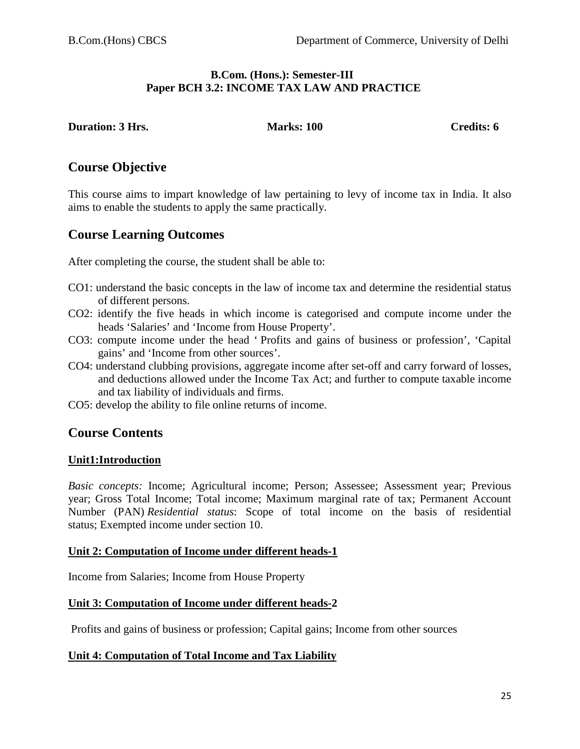#### **B.Com. (Hons.): Semester-III Paper BCH 3.2: INCOME TAX LAW AND PRACTICE**

#### **Duration: 3 Hrs. Marks: 100 Credits: 6 Credits: 6**

### **Course Objective**

This course aims to impart knowledge of law pertaining to levy of income tax in India. It also aims to enable the students to apply the same practically.

### **Course Learning Outcomes**

After completing the course, the student shall be able to:

- CO1: understand the basic concepts in the law of income tax and determine the residential status of different persons.
- CO2: identify the five heads in which income is categorised and compute income under the heads 'Salaries' and 'Income from House Property'.
- CO3: compute income under the head ' Profits and gains of business or profession', 'Capital gains' and 'Income from other sources'.
- CO4: understand clubbing provisions, aggregate income after set-off and carry forward of losses, and deductions allowed under the Income Tax Act; and further to compute taxable income and tax liability of individuals and firms.
- CO5: develop the ability to file online returns of income.

### **Course Contents**

#### **Unit1:Introduction**

*Basic concepts:* Income; Agricultural income; Person; Assessee; Assessment year; Previous year; Gross Total Income; Total income; Maximum marginal rate of tax; Permanent Account Number (PAN) *Residential status*: Scope of total income on the basis of residential status; Exempted income under section 10.

#### **Unit 2: Computation of Income under different heads-1**

Income from Salaries; Income from House Property

#### **Unit 3: Computation of Income under different heads-2**

Profits and gains of business or profession; Capital gains; Income from other sources

### **Unit 4: Computation of Total Income and Tax Liability**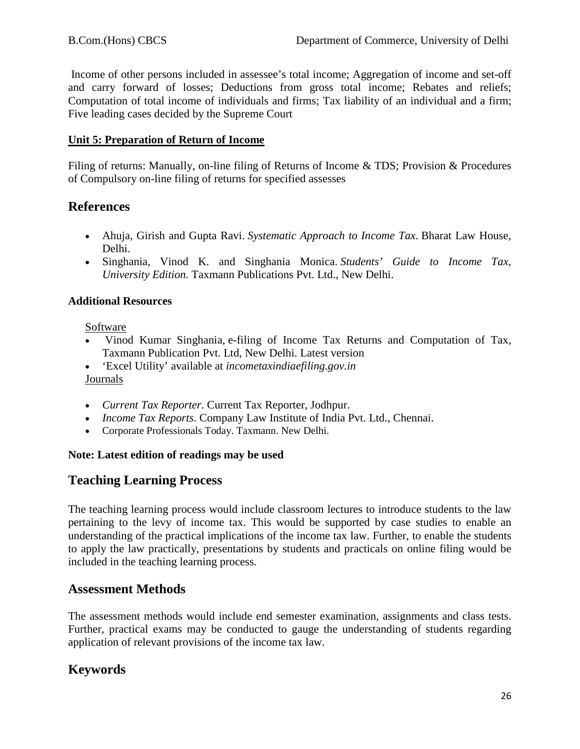Income of other persons included in assessee's total income; Aggregation of income and set-off and carry forward of losses; Deductions from gross total income; Rebates and reliefs; Computation of total income of individuals and firms; Tax liability of an individual and a firm; Five leading cases decided by the Supreme Court

### **Unit 5: Preparation of Return of Income**

Filing of returns: Manually, on-line filing of Returns of Income & TDS; Provision & Procedures of Compulsory on-line filing of returns for specified assesses

# **References**

- Ahuja, Girish and Gupta Ravi. *Systematic Approach to Income Tax*. Bharat Law House, Delhi.
- Singhania, Vinod K. and Singhania Monica. *Students' Guide to Income Tax, University Edition.* Taxmann Publications Pvt. Ltd., New Delhi.

### **Additional Resources**

Software

- Vinod Kumar Singhania, e-filing of Income Tax Returns and Computation of Tax, Taxmann Publication Pvt. Ltd, New Delhi. Latest version
- 'Excel Utility' available at *incometaxindiaefiling.gov.in* Journals
- *Current Tax Reporter*. Current Tax Reporter, Jodhpur.
- *Income Tax Reports*. Company Law Institute of India Pvt. Ltd., Chennai.
- Corporate Professionals Today. Taxmann. New Delhi.

### **Note: Latest edition of readings may be used**

# **Teaching Learning Process**

The teaching learning process would include classroom lectures to introduce students to the law pertaining to the levy of income tax. This would be supported by case studies to enable an understanding of the practical implications of the income tax law. Further, to enable the students to apply the law practically, presentations by students and practicals on online filing would be included in the teaching learning process.

# **Assessment Methods**

The assessment methods would include end semester examination, assignments and class tests. Further, practical exams may be conducted to gauge the understanding of students regarding application of relevant provisions of the income tax law.

# **Keywords**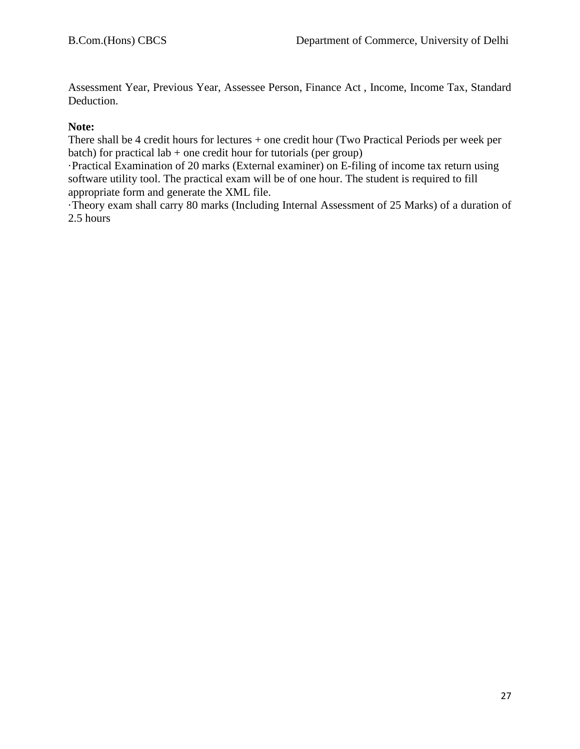Assessment Year, Previous Year, Assessee Person, Finance Act , Income, Income Tax, Standard Deduction.

#### **Note:**

There shall be 4 credit hours for lectures + one credit hour (Two Practical Periods per week per batch) for practical lab  $+$  one credit hour for tutorials (per group)

·Practical Examination of 20 marks (External examiner) on E-filing of income tax return using software utility tool. The practical exam will be of one hour. The student is required to fill appropriate form and generate the XML file.

·Theory exam shall carry 80 marks (Including Internal Assessment of 25 Marks) of a duration of 2.5 hours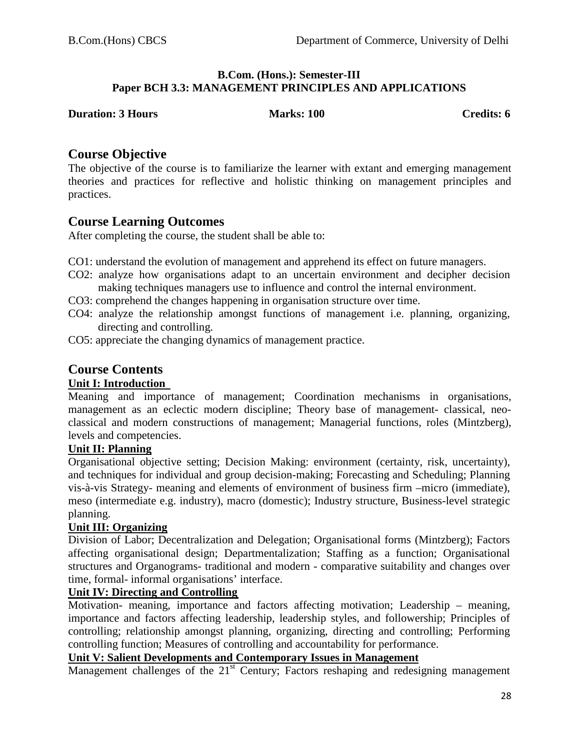#### **B.Com. (Hons.): Semester-III Paper BCH 3.3: MANAGEMENT PRINCIPLES AND APPLICATIONS**

| <b>Duration: 3 Hours</b> |  |
|--------------------------|--|
|--------------------------|--|

**Duries:** 100 **Credits: 6** 

### **Course Objective**

The objective of the course is to familiarize the learner with extant and emerging management theories and practices for reflective and holistic thinking on management principles and practices.

# **Course Learning Outcomes**

After completing the course, the student shall be able to:

- CO1: understand the evolution of management and apprehend its effect on future managers.
- CO2: analyze how organisations adapt to an uncertain environment and decipher decision making techniques managers use to influence and control the internal environment.
- CO3: comprehend the changes happening in organisation structure over time.
- CO4: analyze the relationship amongst functions of management i.e. planning, organizing, directing and controlling.
- CO5: appreciate the changing dynamics of management practice.

# **Course Contents**

### **Unit I: Introduction**

Meaning and importance of management; Coordination mechanisms in organisations, management as an eclectic modern discipline; Theory base of management- classical, neoclassical and modern constructions of management; Managerial functions, roles (Mintzberg), levels and competencies.

### **Unit II: Planning**

Organisational objective setting; Decision Making: environment (certainty, risk, uncertainty), and techniques for individual and group decision-making; Forecasting and Scheduling; Planning vis-à-vis Strategy- meaning and elements of environment of business firm –micro (immediate), meso (intermediate e.g. industry), macro (domestic); Industry structure, Business-level strategic planning.

### **Unit III: Organizing**

Division of Labor; Decentralization and Delegation; Organisational forms (Mintzberg); Factors affecting organisational design; Departmentalization; Staffing as a function; Organisational structures and Organograms- traditional and modern - comparative suitability and changes over time, formal- informal organisations' interface.

### **Unit IV: Directing and Controlling**

Motivation- meaning, importance and factors affecting motivation; Leadership – meaning, importance and factors affecting leadership, leadership styles, and followership; Principles of controlling; relationship amongst planning, organizing, directing and controlling; Performing controlling function; Measures of controlling and accountability for performance.

### **Unit V: Salient Developments and Contemporary Issues in Management**

Management challenges of the  $21<sup>st</sup>$  Century; Factors reshaping and redesigning management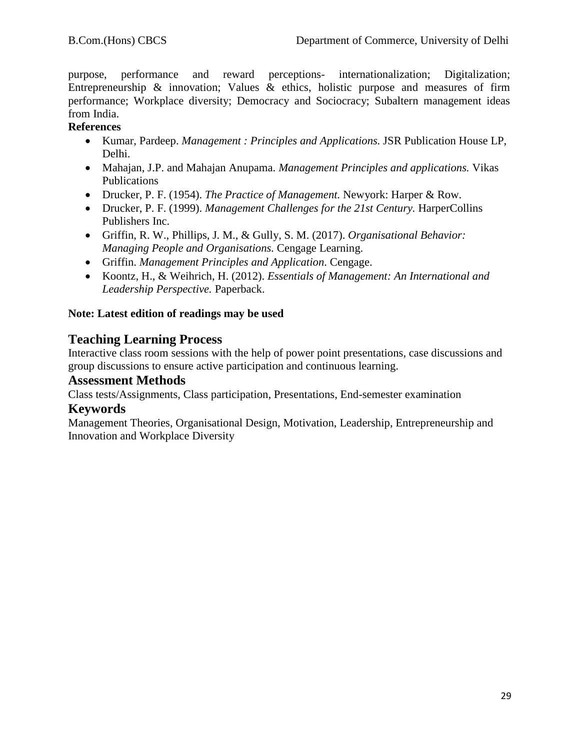purpose, performance and reward perceptions- internationalization; Digitalization; Entrepreneurship  $\&$  innovation; Values  $\&$  ethics, holistic purpose and measures of firm performance; Workplace diversity; Democracy and Sociocracy; Subaltern management ideas from India.

### **References**

- Kumar, Pardeep. *Management : Principles and Applications.* JSR Publication House LP, Delhi.
- Mahajan, J.P. and Mahajan Anupama. *Management Principles and applications.* Vikas Publications
- Drucker, P. F. (1954). *The Practice of Management.* Newyork: Harper & Row.
- Drucker, P. F. (1999). *Management Challenges for the 21st Century.* HarperCollins Publishers Inc.
- Griffin, R. W., Phillips, J. M., & Gully, S. M. (2017). *Organisational Behavior: Managing People and Organisations.* Cengage Learning.
- Griffin. *Management Principles and Application*. Cengage.
- Koontz, H., & Weihrich, H. (2012). *Essentials of Management: An International and Leadership Perspective.* Paperback.

### **Note: Latest edition of readings may be used**

# **Teaching Learning Process**

Interactive class room sessions with the help of power point presentations, case discussions and group discussions to ensure active participation and continuous learning.

### **Assessment Methods**

Class tests/Assignments, Class participation, Presentations, End-semester examination

### **Keywords**

Management Theories, Organisational Design, Motivation, Leadership, Entrepreneurship and Innovation and Workplace Diversity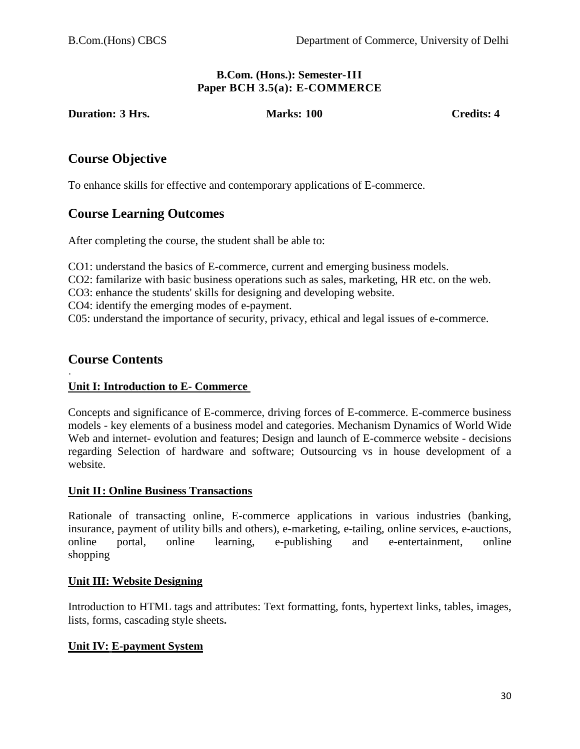#### **B.Com. (Hons.): Semester-III Paper BCH 3.5(a): E-COMMERCE**

**Duration: 3 Hrs. Marks: 100** Credits: 4

# **Course Objective**

To enhance skills for effective and contemporary applications of E-commerce.

# **Course Learning Outcomes**

After completing the course, the student shall be able to:

CO1: understand the basics of E-commerce, current and emerging business models.

CO2: familarize with basic business operations such as sales, marketing, HR etc. on the web.

CO3: enhance the students' skills for designing and developing website.

CO4: identify the emerging modes of e-payment.

C05: understand the importance of security, privacy, ethical and legal issues of e-commerce.

# **Course Contents**

#### · **Unit I: Introduction to E- Commerce**

Concepts and significance of E-commerce, driving forces of E-commerce. E-commerce business models - key elements of a business model and categories. Mechanism Dynamics of World Wide Web and internet- evolution and features; Design and launch of E-commerce website - decisions regarding Selection of hardware and software; Outsourcing vs in house development of a website.

### **Unit II: Online Business Transactions**

Rationale of transacting online, E-commerce applications in various industries (banking, insurance, payment of utility bills and others), e-marketing, e-tailing, online services, e-auctions, online portal, online learning, e-publishing and e-entertainment, online shopping

### **Unit III: Website Designing**

Introduction to HTML tags and attributes: Text formatting, fonts, hypertext links, tables, images, lists, forms, cascading style sheets**.** 

### **Unit IV: E-payment System**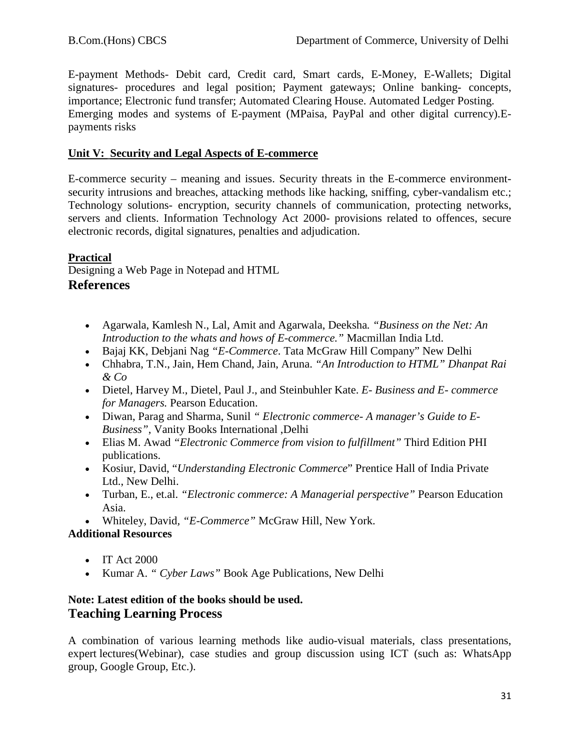E-payment Methods- Debit card, Credit card, Smart cards, E-Money, E-Wallets; Digital signatures- procedures and legal position; Payment gateways; Online banking- concepts, importance; Electronic fund transfer; Automated Clearing House. Automated Ledger Posting. Emerging modes and systems of E-payment (MPaisa, PayPal and other digital currency).Epayments risks

### **Unit V: Security and Legal Aspects of E-commerce**

E-commerce security – meaning and issues. Security threats in the E-commerce environmentsecurity intrusions and breaches, attacking methods like hacking, sniffing, cyber-vandalism etc.; Technology solutions- encryption, security channels of communication, protecting networks, servers and clients. Information Technology Act 2000- provisions related to offences, secure electronic records, digital signatures, penalties and adjudication.

### **Practical**

Designing a Web Page in Notepad and HTML

### **References**

- Agarwala, Kamlesh N., Lal, Amit and Agarwala, Deeksha*. "Business on the Net: An Introduction to the whats and hows of E-commerce."* Macmillan India Ltd.
- Bajaj KK, Debjani Nag *"E-Commerce*. Tata McGraw Hill Company" New Delhi
- Chhabra, T.N., Jain, Hem Chand, Jain, Aruna. *"An Introduction to HTML" Dhanpat Rai & Co*
- Dietel, Harvey M., Dietel, Paul J., and Steinbuhler Kate. *E- Business and E- commerce for Managers.* Pearson Education.
- Diwan, Parag and Sharma, Sunil *" Electronic commerce- A manager's Guide to E-Business"*, Vanity Books International ,Delhi
- Elias M. Awad *"Electronic Commerce from vision to fulfillment"* Third Edition PHI publications.
- Kosiur, David, "*Understanding Electronic Commerce*" Prentice Hall of India Private Ltd., New Delhi.
- Turban, E., et.al. *"Electronic commerce: A Managerial perspective"* Pearson Education Asia.
- Whiteley, David*, "E-Commerce"* McGraw Hill, New York.

### **Additional Resources**

- IT Act 2000
- Kumar A. *" Cyber Laws"* Book Age Publications, New Delhi

### **Note: Latest edition of the books should be used. Teaching Learning Process**

A combination of various learning methods like audio-visual materials, class presentations, expert lectures(Webinar), case studies and group discussion using ICT (such as: WhatsApp group, Google Group, Etc.).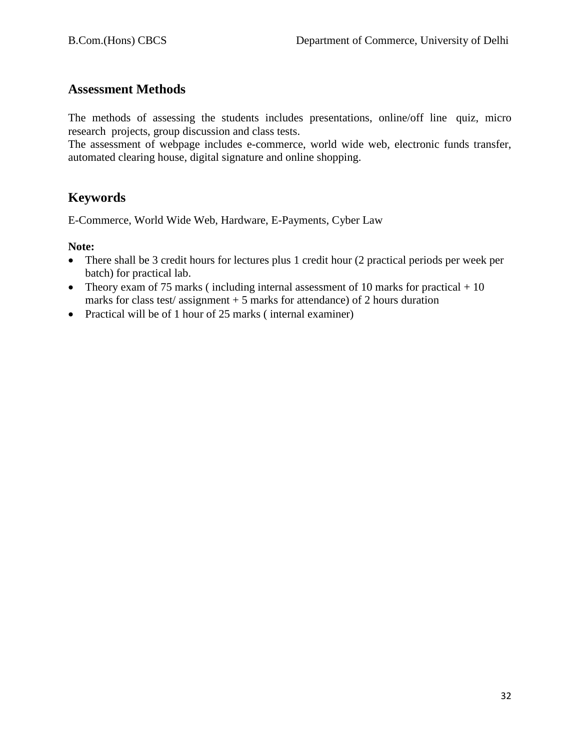# **Assessment Methods**

The methods of assessing the students includes presentations, online/off line quiz, micro research projects, group discussion and class tests.

The assessment of webpage includes e-commerce, world wide web, electronic funds transfer, automated clearing house, digital signature and online shopping.

# **Keywords**

E-Commerce, World Wide Web, Hardware, E-Payments, Cyber Law

### **Note:**

- There shall be 3 credit hours for lectures plus 1 credit hour (2 practical periods per week per batch) for practical lab.
- Theory exam of 75 marks (including internal assessment of 10 marks for practical  $+10$ marks for class test/assignment  $+5$  marks for attendance) of 2 hours duration
- Practical will be of 1 hour of 25 marks (internal examiner)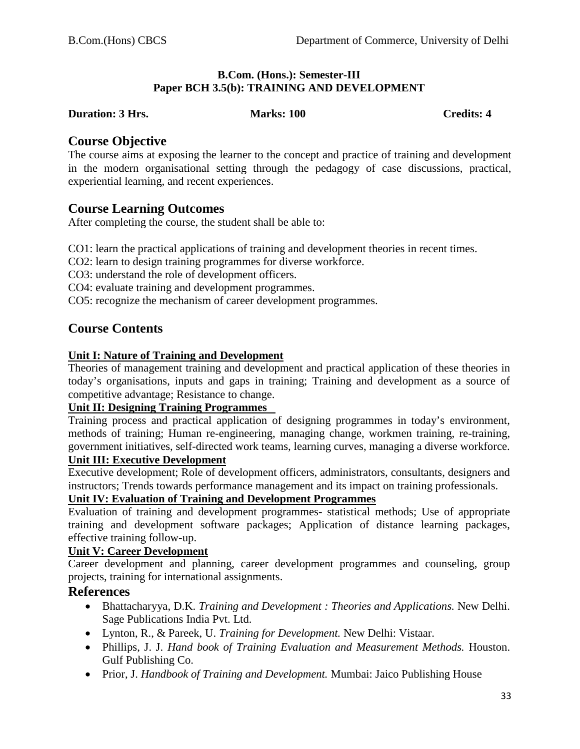#### **B.Com. (Hons.): Semester-III Paper BCH 3.5(b): TRAINING AND DEVELOPMENT**

#### **Duration: 3 Hrs.** Marks: 100 Credits: 4

### **Course Objective**

The course aims at exposing the learner to the concept and practice of training and development in the modern organisational setting through the pedagogy of case discussions, practical, experiential learning, and recent experiences.

# **Course Learning Outcomes**

After completing the course, the student shall be able to:

CO1: learn the practical applications of training and development theories in recent times.

CO2: learn to design training programmes for diverse workforce.

CO3: understand the role of development officers.

CO4: evaluate training and development programmes.

CO5: recognize the mechanism of career development programmes.

# **Course Contents**

### **Unit I: Nature of Training and Development**

Theories of management training and development and practical application of these theories in today's organisations, inputs and gaps in training; Training and development as a source of competitive advantage; Resistance to change.

### **Unit II: Designing Training Programmes**

Training process and practical application of designing programmes in today's environment, methods of training; Human re-engineering, managing change, workmen training, re-training, government initiatives, self-directed work teams, learning curves, managing a diverse workforce.

#### **Unit III: Executive Development**

Executive development; Role of development officers, administrators, consultants, designers and instructors; Trends towards performance management and its impact on training professionals.

### **Unit IV: Evaluation of Training and Development Programmes**

Evaluation of training and development programmes- statistical methods; Use of appropriate training and development software packages; Application of distance learning packages, effective training follow-up.

### **Unit V: Career Development**

Career development and planning, career development programmes and counseling, group projects, training for international assignments.

### **References**

- Bhattacharyya, D.K. *Training and Development : Theories and Applications.* New Delhi. Sage Publications India Pvt. Ltd.
- Lynton, R., & Pareek, U. *Training for Development.* New Delhi: Vistaar.
- Phillips, J. J. *Hand book of Training Evaluation and Measurement Methods.* Houston. Gulf Publishing Co.
- Prior, J. *Handbook of Training and Development.* Mumbai: Jaico Publishing House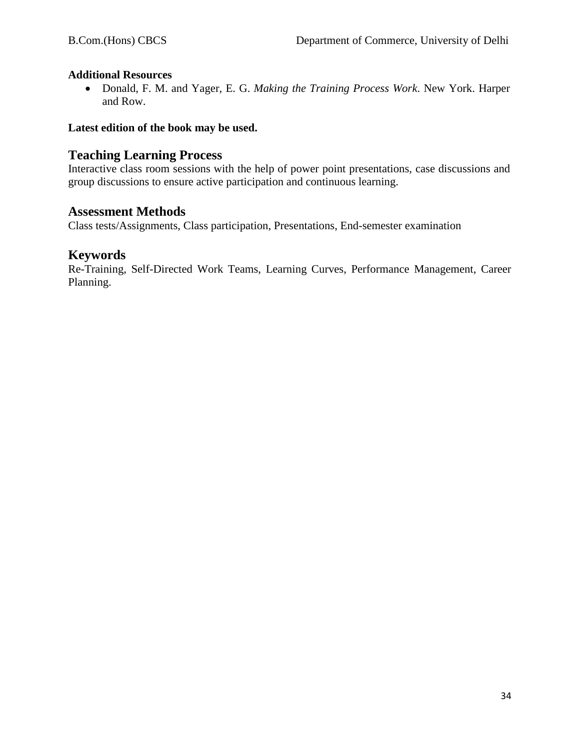### **Additional Resources**

• Donald, F. M. and Yager, E. G. *Making the Training Process Work*. New York. Harper and Row.

### **Latest edition of the book may be used.**

# **Teaching Learning Process**

Interactive class room sessions with the help of power point presentations, case discussions and group discussions to ensure active participation and continuous learning.

### **Assessment Methods**

Class tests/Assignments, Class participation, Presentations, End-semester examination

# **Keywords**

Re-Training, Self-Directed Work Teams, Learning Curves, Performance Management, Career Planning.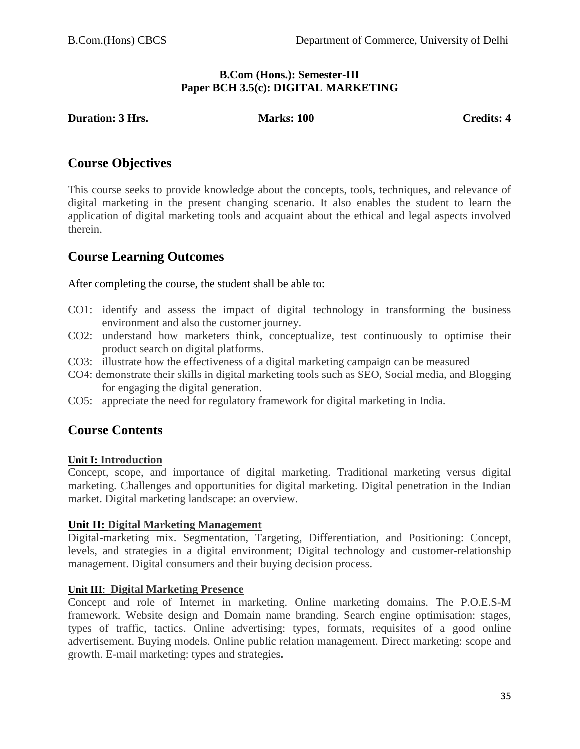#### **B.Com (Hons.): Semester-III Paper BCH 3.5(c): DIGITAL MARKETING**

**Duration: 3 Hrs.** Marks: 100 Credits: 4

# **Course Objectives**

This course seeks to provide knowledge about the concepts, tools, techniques, and relevance of digital marketing in the present changing scenario. It also enables the student to learn the application of digital marketing tools and acquaint about the ethical and legal aspects involved therein.

# **Course Learning Outcomes**

After completing the course, the student shall be able to:

- CO1: identify and assess the impact of digital technology in transforming the business environment and also the customer journey.
- CO2: understand how marketers think, conceptualize, test continuously to optimise their product search on digital platforms.
- CO3: illustrate how the effectiveness of a digital marketing campaign can be measured
- CO4: demonstrate their skills in digital marketing tools such as SEO, Social media, and Blogging for engaging the digital generation.
- CO5: appreciate the need for regulatory framework for digital marketing in India.

# **Course Contents**

### **Unit I: Introduction**

Concept, scope, and importance of digital marketing. Traditional marketing versus digital marketing. Challenges and opportunities for digital marketing. Digital penetration in the Indian market. Digital marketing landscape: an overview.

### **Unit II: Digital Marketing Management**

Digital-marketing mix. Segmentation, Targeting, Differentiation, and Positioning: Concept, levels, and strategies in a digital environment; Digital technology and customer-relationship management. Digital consumers and their buying decision process.

### **Unit III**: **Digital Marketing Presence**

Concept and role of Internet in marketing. Online marketing domains. The P.O.E.S-M framework. Website design and Domain name branding. Search engine optimisation: stages, types of traffic, tactics. Online advertising: types, formats, requisites of a good online advertisement. Buying models. Online public relation management. Direct marketing: scope and growth. E-mail marketing: types and strategies**.**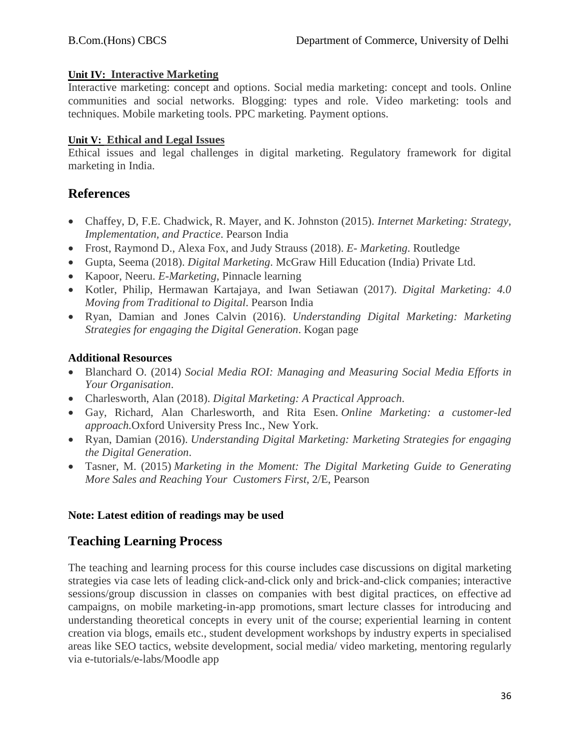### **Unit IV: Interactive Marketing**

Interactive marketing: concept and options. Social media marketing: concept and tools. Online communities and social networks. Blogging: types and role. Video marketing: tools and techniques. Mobile marketing tools. PPC marketing. Payment options.

### **Unit V: Ethical and Legal Issues**

Ethical issues and legal challenges in digital marketing. Regulatory framework for digital marketing in India.

# **References**

- Chaffey, D, F.E. Chadwick, R. Mayer, and K. Johnston (2015). *Internet Marketing: Strategy, Implementation, and Practice*. Pearson India
- Frost, Raymond D., Alexa Fox, and Judy Strauss (2018). *E- Marketing*. Routledge
- Gupta, Seema (2018). *Digital Marketing*. McGraw Hill Education (India) Private Ltd.
- Kapoor, Neeru. *E-Marketing*, Pinnacle learning
- Kotler, Philip, Hermawan Kartajaya, and Iwan Setiawan (2017). *Digital Marketing: 4.0 Moving from Traditional to Digital*. Pearson India
- Ryan, Damian and Jones Calvin (2016). *Understanding Digital Marketing: Marketing Strategies for engaging the Digital Generation*. Kogan page

### **Additional Resources**

- Blanchard O. (2014) *Social Media ROI: Managing and Measuring Social Media Efforts in Your Organisation*.
- Charlesworth, Alan (2018). *Digital Marketing: A Practical Approach*.
- Gay, Richard, Alan Charlesworth, and Rita Esen. *Online Marketing: a customer-led approach.*Oxford University Press Inc., New York.
- Ryan, Damian (2016). *Understanding Digital Marketing: Marketing Strategies for engaging the Digital Generation*.
- Tasner, M. (2015) *Marketing in the Moment: The Digital Marketing Guide to Generating More Sales and Reaching Your Customers First*, 2/E, Pearson

### **Note: Latest edition of readings may be used**

# **Teaching Learning Process**

The teaching and learning process for this course includes case discussions on digital marketing strategies via case lets of leading click-and-click only and brick-and-click companies; interactive sessions/group discussion in classes on companies with best digital practices, on effective ad campaigns, on mobile marketing-in-app promotions, smart lecture classes for introducing and understanding theoretical concepts in every unit of the course; experiential learning in content creation via blogs, emails etc., student development workshops by industry experts in specialised areas like SEO tactics, website development, social media/ video marketing, mentoring regularly via e-tutorials/e-labs/Moodle app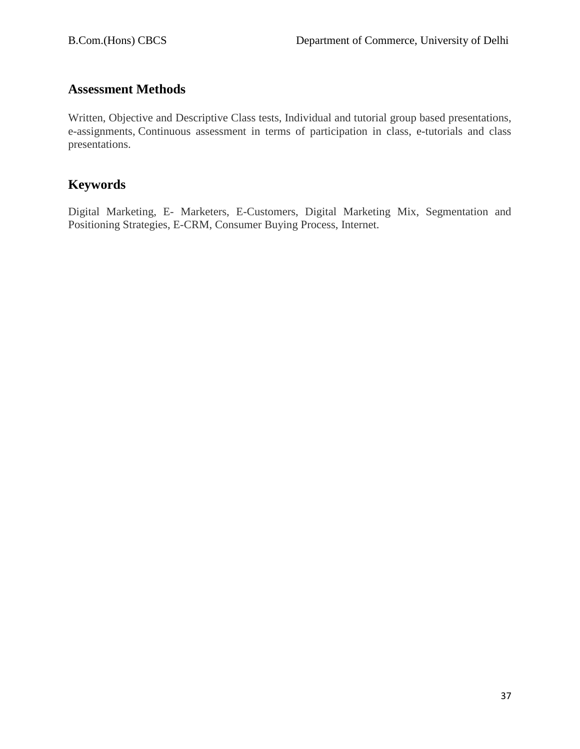# **Assessment Methods**

Written, Objective and Descriptive Class tests, Individual and tutorial group based presentations, e-assignments, Continuous assessment in terms of participation in class, e-tutorials and class presentations.

# **Keywords**

Digital Marketing, E- Marketers, E-Customers, Digital Marketing Mix, Segmentation and Positioning Strategies, E-CRM, Consumer Buying Process, Internet.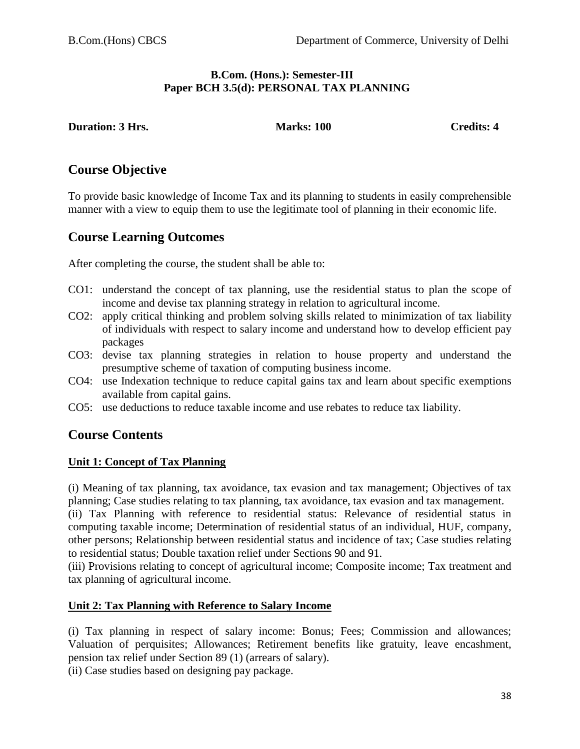#### **B.Com. (Hons.): Semester-III Paper BCH 3.5(d): PERSONAL TAX PLANNING**

**Duration: 3 Hrs. Marks: 100 Credits: 4** 

# **Course Objective**

To provide basic knowledge of Income Tax and its planning to students in easily comprehensible manner with a view to equip them to use the legitimate tool of planning in their economic life.

# **Course Learning Outcomes**

After completing the course, the student shall be able to:

- CO1: understand the concept of tax planning, use the residential status to plan the scope of income and devise tax planning strategy in relation to agricultural income.
- CO2: apply critical thinking and problem solving skills related to minimization of tax liability of individuals with respect to salary income and understand how to develop efficient pay packages
- CO3: devise tax planning strategies in relation to house property and understand the presumptive scheme of taxation of computing business income.
- CO4: use Indexation technique to reduce capital gains tax and learn about specific exemptions available from capital gains.
- CO5: use deductions to reduce taxable income and use rebates to reduce tax liability.

# **Course Contents**

#### **Unit 1: Concept of Tax Planning**

(i) Meaning of tax planning, tax avoidance, tax evasion and tax management; Objectives of tax planning; Case studies relating to tax planning, tax avoidance, tax evasion and tax management.

(ii) Tax Planning with reference to residential status: Relevance of residential status in computing taxable income; Determination of residential status of an individual, HUF, company, other persons; Relationship between residential status and incidence of tax; Case studies relating to residential status; Double taxation relief under Sections 90 and 91.

(iii) Provisions relating to concept of agricultural income; Composite income; Tax treatment and tax planning of agricultural income.

#### **Unit 2: Tax Planning with Reference to Salary Income**

(i) Tax planning in respect of salary income: Bonus; Fees; Commission and allowances; Valuation of perquisites; Allowances; Retirement benefits like gratuity, leave encashment, pension tax relief under Section 89 (1) (arrears of salary).

(ii) Case studies based on designing pay package.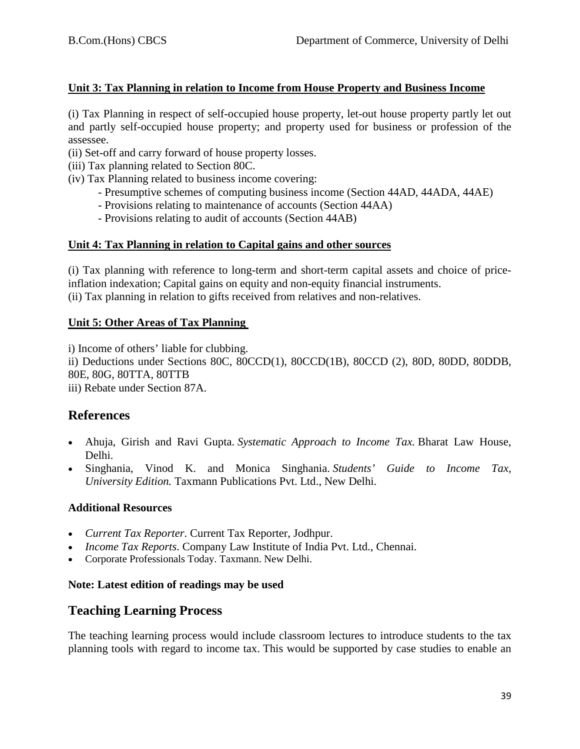### **Unit 3: Tax Planning in relation to Income from House Property and Business Income**

(i) Tax Planning in respect of self-occupied house property, let-out house property partly let out and partly self-occupied house property; and property used for business or profession of the assessee.

- (ii) Set-off and carry forward of house property losses.
- (iii) Tax planning related to Section 80C.
- (iv) Tax Planning related to business income covering:
	- Presumptive schemes of computing business income (Section 44AD, 44ADA, 44AE)
	- Provisions relating to maintenance of accounts (Section 44AA)
	- Provisions relating to audit of accounts (Section 44AB)

### **Unit 4: Tax Planning in relation to Capital gains and other sources**

(i) Tax planning with reference to long-term and short-term capital assets and choice of priceinflation indexation; Capital gains on equity and non-equity financial instruments. (ii) Tax planning in relation to gifts received from relatives and non-relatives.

### **Unit 5: Other Areas of Tax Planning**

i) Income of others' liable for clubbing. ii) Deductions under Sections 80C, 80CCD(1), 80CCD(1B), 80CCD (2), 80D, 80DD, 80DDB, 80E, 80G, 80TTA, 80TTB iii) Rebate under Section 87A.

# **References**

- Ahuja, Girish and Ravi Gupta. *Systematic Approach to Income Tax.* Bharat Law House, Delhi.
- Singhania, Vinod K. and Monica Singhania. *Students' Guide to Income Tax, University Edition.* Taxmann Publications Pvt. Ltd., New Delhi.

#### **Additional Resources**

- *Current Tax Reporter*. Current Tax Reporter, Jodhpur.
- *Income Tax Reports*. Company Law Institute of India Pvt. Ltd., Chennai.
- Corporate Professionals Today. Taxmann. New Delhi.

#### **Note: Latest edition of readings may be used**

# **Teaching Learning Process**

The teaching learning process would include classroom lectures to introduce students to the tax planning tools with regard to income tax. This would be supported by case studies to enable an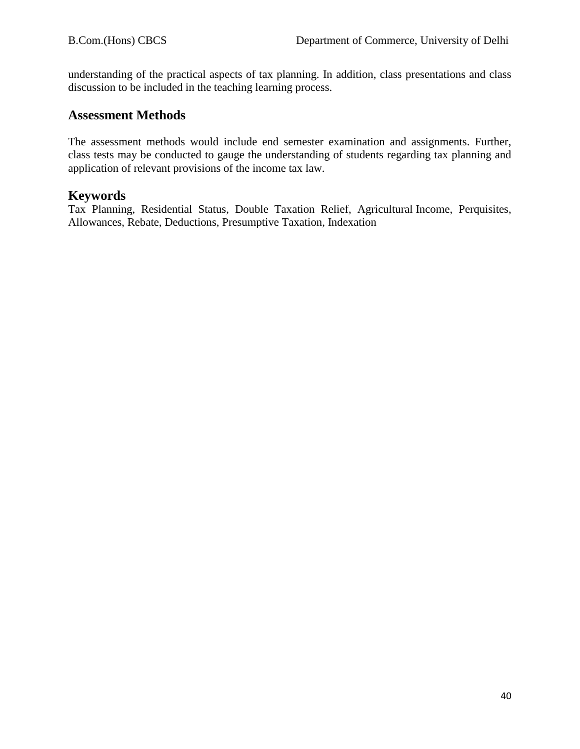understanding of the practical aspects of tax planning. In addition, class presentations and class discussion to be included in the teaching learning process.

# **Assessment Methods**

The assessment methods would include end semester examination and assignments. Further, class tests may be conducted to gauge the understanding of students regarding tax planning and application of relevant provisions of the income tax law.

# **Keywords**

Tax Planning, Residential Status, Double Taxation Relief, Agricultural Income, Perquisites, Allowances, Rebate, Deductions, Presumptive Taxation, Indexation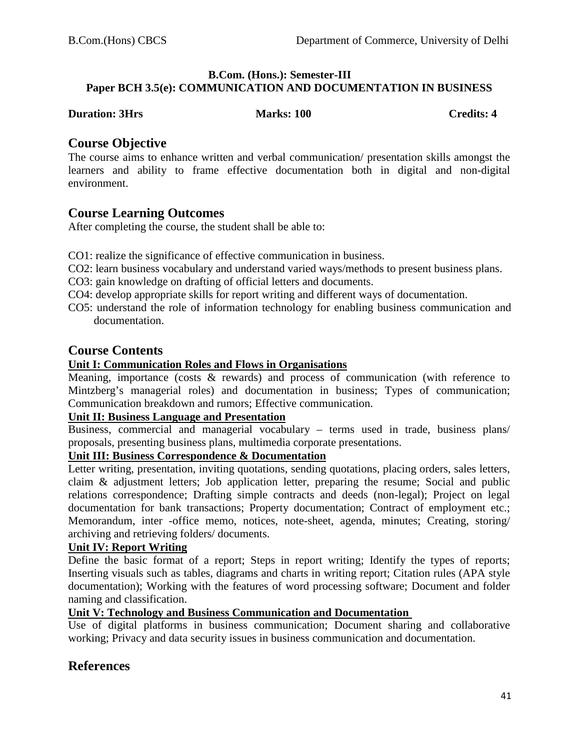#### **B.Com. (Hons.): Semester-III Paper BCH 3.5(e): COMMUNICATION AND DOCUMENTATION IN BUSINESS**

#### **Duration: 3Hrs Marks: 100 Credits: 4** Credits: 4

# **Course Objective**

The course aims to enhance written and verbal communication/ presentation skills amongst the learners and ability to frame effective documentation both in digital and non-digital environment.

# **Course Learning Outcomes**

After completing the course, the student shall be able to:

- CO1: realize the significance of effective communication in business.
- CO2: learn business vocabulary and understand varied ways/methods to present business plans.
- CO3: gain knowledge on drafting of official letters and documents.
- CO4: develop appropriate skills for report writing and different ways of documentation.
- CO5: understand the role of information technology for enabling business communication and documentation.

# **Course Contents**

# **Unit I: Communication Roles and Flows in Organisations**

Meaning, importance (costs & rewards) and process of communication (with reference to Mintzberg's managerial roles) and documentation in business; Types of communication; Communication breakdown and rumors; Effective communication.

# **Unit II: Business Language and Presentation**

Business, commercial and managerial vocabulary – terms used in trade, business plans/ proposals, presenting business plans, multimedia corporate presentations.

# **Unit III: Business Correspondence & Documentation**

Letter writing, presentation, inviting quotations, sending quotations, placing orders, sales letters, claim & adjustment letters; Job application letter, preparing the resume; Social and public relations correspondence; Drafting simple contracts and deeds (non-legal); Project on legal documentation for bank transactions; Property documentation; Contract of employment etc.; Memorandum, inter -office memo, notices, note-sheet, agenda, minutes; Creating, storing/ archiving and retrieving folders/ documents.

#### **Unit IV: Report Writing**

Define the basic format of a report; Steps in report writing; Identify the types of reports; Inserting visuals such as tables, diagrams and charts in writing report; Citation rules (APA style documentation); Working with the features of word processing software; Document and folder naming and classification.

#### **Unit V: Technology and Business Communication and Documentation**

Use of digital platforms in business communication; Document sharing and collaborative working; Privacy and data security issues in business communication and documentation.

# **References**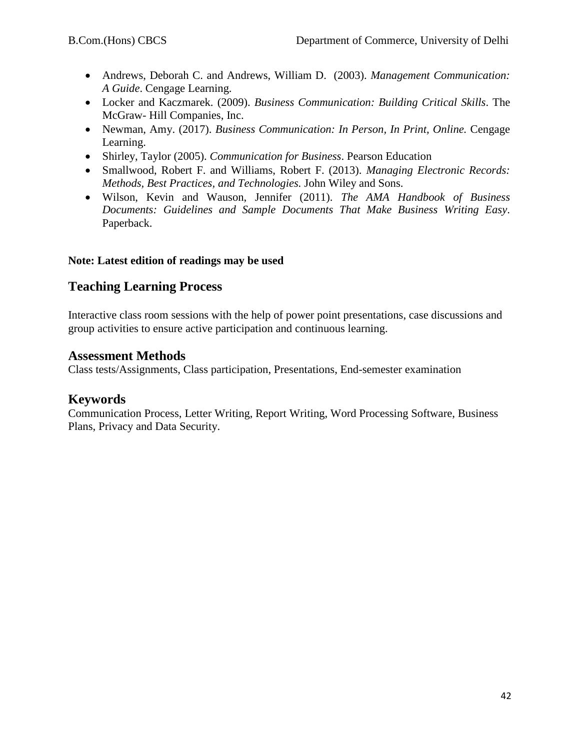- Andrews, Deborah C. and [Andrews,](https://www.amazon.com/s/ref=rdr_ext_aut?_encoding=UTF8&index=books&field-author=William%20D.%20Andrews) William D. (2003). *Management Communication: A Guide*. Cengage Learning.
- Locker and Kaczmarek. (2009). *Business Communication: Building Critical Skills*. The McGraw- Hill Companies, Inc.
- Newman, Amy. (2017). *Business Communication: In Person, In Print, Online.* Cengage Learning.
- Shirley, Taylor (2005). *Communication for Business*. Pearson Education
- Smallwood, Robert F. and Williams, Robert F. (2013). *Managing Electronic Records: Methods, Best Practices, and Technologies.* John Wiley and Sons.
- Wilson, Kevin and Wauson, Jennifer (2011). *The AMA Handbook of Business Documents: Guidelines and Sample Documents That Make Business Writing Easy*. Paperback.

### **Note: Latest edition of readings may be used**

# **Teaching Learning Process**

Interactive class room sessions with the help of power point presentations, case discussions and group activities to ensure active participation and continuous learning.

# **Assessment Methods**

Class tests/Assignments, Class participation, Presentations, End-semester examination

# **Keywords**

Communication Process, Letter Writing, Report Writing, Word Processing Software, Business Plans, Privacy and Data Security.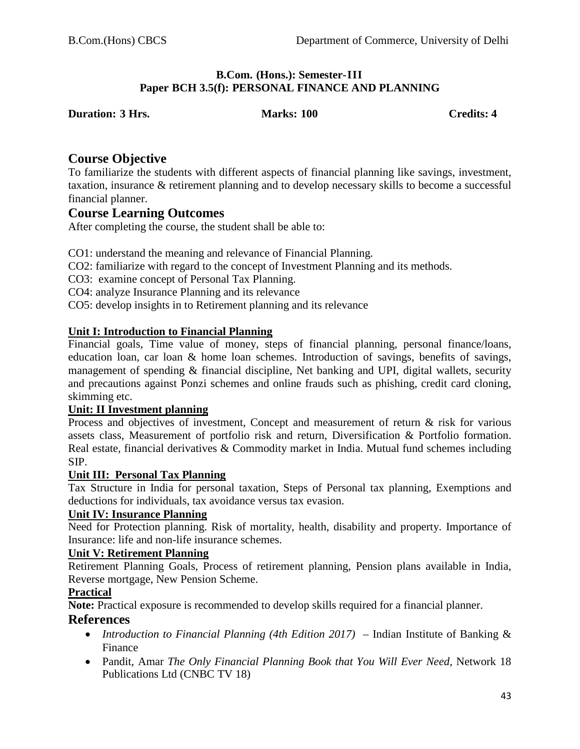#### **B.Com. (Hons.): Semester-III Paper BCH 3.5(f): PERSONAL FINANCE AND PLANNING**

**Duration: 3 Hrs. Marks: 100 Credits: 4**

# **Course Objective**

To familiarize the students with different aspects of financial planning like savings, investment, taxation, insurance & retirement planning and to develop necessary skills to become a successful financial planner.

# **Course Learning Outcomes**

After completing the course, the student shall be able to:

CO1: understand the meaning and relevance of Financial Planning.

CO2: familiarize with regard to the concept of Investment Planning and its methods.

CO3: examine concept of Personal Tax Planning.

CO4: analyze Insurance Planning and its relevance

CO5: develop insights in to Retirement planning and its relevance

### **Unit I: Introduction to Financial Planning**

Financial goals, Time value of money, steps of financial planning, personal finance/loans, education loan, car loan & home loan schemes. Introduction of savings, benefits of savings, management of spending & financial discipline, Net banking and UPI, digital wallets, security and precautions against Ponzi schemes and online frauds such as phishing, credit card cloning, skimming etc.

### **Unit: II Investment planning**

Process and objectives of investment, Concept and measurement of return & risk for various assets class, Measurement of portfolio risk and return, Diversification & Portfolio formation. Real estate, financial derivatives & Commodity market in India. Mutual fund schemes including SIP.

#### **Unit III: Personal Tax Planning**

Tax Structure in India for personal taxation, Steps of Personal tax planning, Exemptions and deductions for individuals, tax avoidance versus tax evasion.

#### **Unit IV: Insurance Planning**

Need for Protection planning. Risk of mortality, health, disability and property. Importance of Insurance: life and non-life insurance schemes.

#### **Unit V: Retirement Planning**

Retirement Planning Goals, Process of retirement planning, Pension plans available in India, Reverse mortgage, New Pension Scheme.

#### **Practical**

**Note:** Practical exposure is recommended to develop skills required for a financial planner.

#### **References**

- *Introduction to Financial Planning (4th Edition 2017)* Indian Institute of Banking & Finance
- Pandit, Amar *The Only Financial Planning Book that You Will Ever Need*, Network 18 Publications Ltd (CNBC TV 18)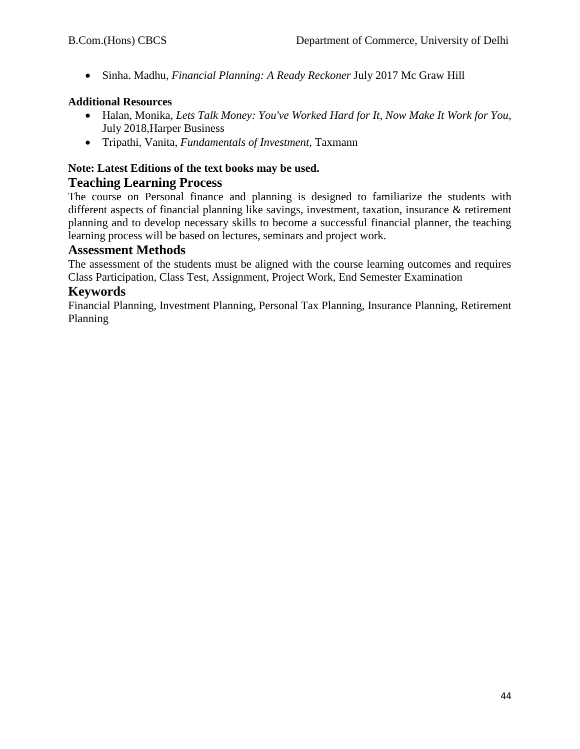• Sinha. Madhu*, Financial Planning: A Ready Reckoner* July 2017 Mc Graw Hill

### **Additional Resources**

- Halan, Monika*, Lets Talk Money: You've Worked Hard for It, Now Make It Work for You*, July 2018,Harper Business
- Tripathi, Vanita*, Fundamentals of Investment*, Taxmann

# **Note: Latest Editions of the text books may be used. Teaching Learning Process**

The course on Personal finance and planning is designed to familiarize the students with different aspects of financial planning like savings, investment, taxation, insurance & retirement planning and to develop necessary skills to become a successful financial planner, the teaching learning process will be based on lectures, seminars and project work.

### **Assessment Methods**

The assessment of the students must be aligned with the course learning outcomes and requires Class Participation, Class Test, Assignment, Project Work, End Semester Examination

# **Keywords**

Financial Planning, Investment Planning, Personal Tax Planning, Insurance Planning, Retirement Planning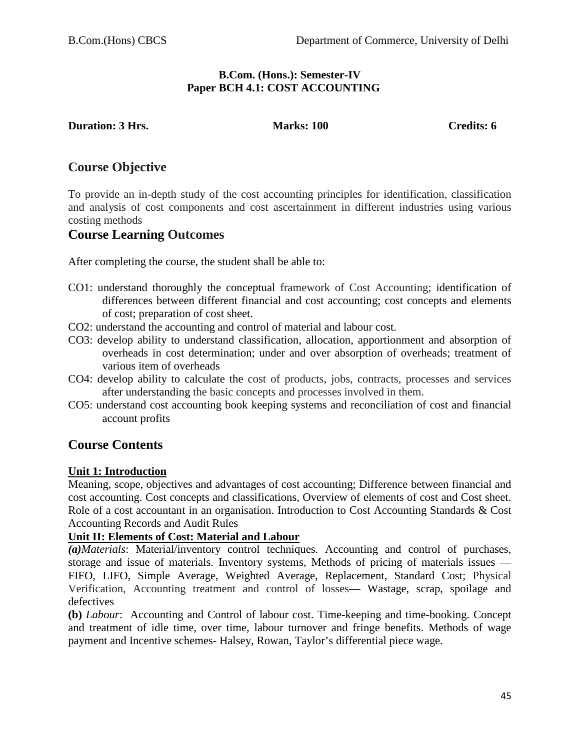#### **B.Com. (Hons.): Semester-IV Paper BCH 4.1: COST ACCOUNTING**

**Duration: 3 Hrs. Marks: 100 Credits: 6 Credits: 6** 

# **Course Objective**

To provide an in-depth study of the cost accounting principles for identification, classification and analysis of cost components and cost ascertainment in different industries using various costing methods

# **Course Learning Outcomes**

After completing the course, the student shall be able to:

- CO1: understand thoroughly the conceptual framework of Cost Accounting; identification of differences between different financial and cost accounting; cost concepts and elements of cost; preparation of cost sheet.
- CO2: understand the accounting and control of material and labour cost.
- CO3: develop ability to understand classification, allocation, apportionment and absorption of overheads in cost determination; under and over absorption of overheads; treatment of various item of overheads
- CO4: develop ability to calculate the cost of products, jobs, contracts, processes and services after understanding the basic concepts and processes involved in them.
- CO5: understand cost accounting book keeping systems and reconciliation of cost and financial account profits

# **Course Contents**

#### **Unit 1: Introduction**

Meaning, scope, objectives and advantages of cost accounting; Difference between financial and cost accounting. Cost concepts and classifications, Overview of elements of cost and Cost sheet. Role of a cost accountant in an organisation. Introduction to Cost Accounting Standards & Cost Accounting Records and Audit Rules

#### **Unit II: Elements of Cost: Material and Labour**

*(a)Materials*: Material/inventory control techniques. Accounting and control of purchases, storage and issue of materials. Inventory systems, Methods of pricing of materials issues — FIFO, LIFO, Simple Average, Weighted Average, Replacement, Standard Cost; Physical Verification, Accounting treatment and control of losses— Wastage, scrap, spoilage and defectives

**(b)** *Labour*: Accounting and Control of labour cost. Time-keeping and time-booking. Concept and treatment of idle time, over time, labour turnover and fringe benefits. Methods of wage payment and Incentive schemes- Halsey, Rowan, Taylor's differential piece wage.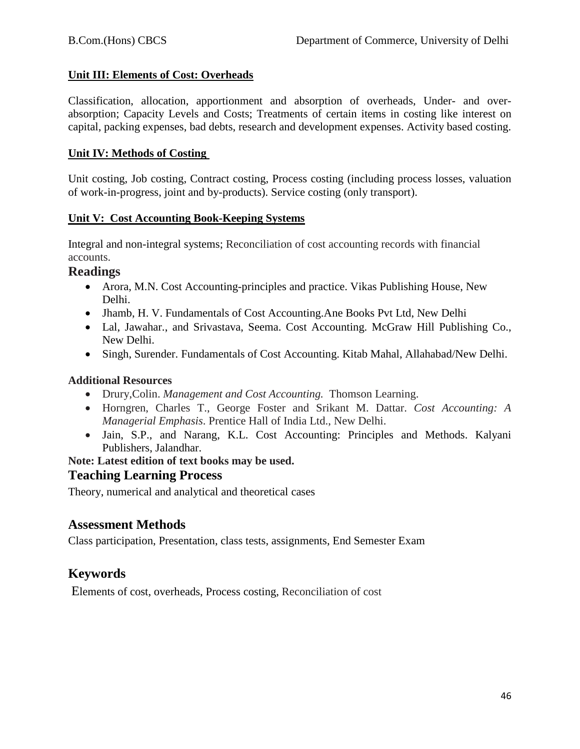#### **Unit III: Elements of Cost: Overheads**

Classification, allocation, apportionment and absorption of overheads, Under- and overabsorption; Capacity Levels and Costs; Treatments of certain items in costing like interest on capital, packing expenses, bad debts, research and development expenses. Activity based costing.

#### **Unit IV: Methods of Costing**

Unit costing, Job costing, Contract costing, Process costing (including process losses, valuation of work-in-progress, joint and by-products). Service costing (only transport).

#### **Unit V: Cost Accounting Book-Keeping Systems**

Integral and non-integral systems; Reconciliation of cost accounting records with financial accounts.

# **Readings**

- Arora, M.N. Cost Accounting-principles and practice. Vikas Publishing House, New Delhi.
- Jhamb, H. V. Fundamentals of Cost Accounting. Ane Books Pvt Ltd, New Delhi
- Lal, Jawahar., and Srivastava, Seema. Cost Accounting. McGraw Hill Publishing Co., New Delhi.
- Singh, Surender. Fundamentals of Cost Accounting. Kitab Mahal, Allahabad/New Delhi.

# **Additional Resources**

- Drury,Colin. *Management and Cost Accounting.* Thomson Learning.
- Horngren, Charles T., George Foster and Srikant M. Dattar. *Cost Accounting: A Managerial Emphasis*. Prentice Hall of India Ltd., New Delhi.
- Jain, S.P., and Narang, K.L. Cost Accounting: Principles and Methods. Kalyani Publishers, Jalandhar.

#### **Note: Latest edition of text books may be used.**

# **Teaching Learning Process**

Theory, numerical and analytical and theoretical cases

# **Assessment Methods**

Class participation, Presentation, class tests, assignments, End Semester Exam

# **Keywords**

Elements of cost, overheads, Process costing, Reconciliation of cost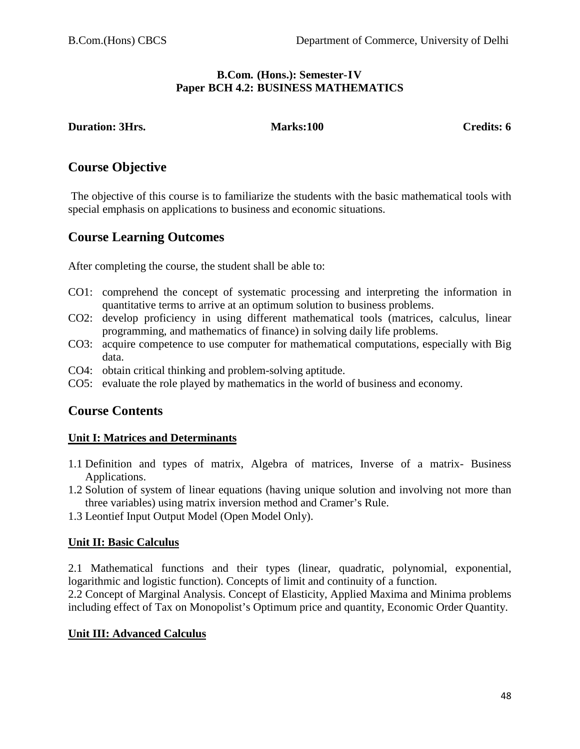#### **B.Com. (Hons.): Semester-IV Paper BCH 4.2: BUSINESS MATHEMATICS**

**Duration: 3Hrs.** Marks:100 Credits: 6

# **Course Objective**

The objective of this course is to familiarize the students with the basic mathematical tools with special emphasis on applications to business and economic situations.

# **Course Learning Outcomes**

After completing the course, the student shall be able to:

- CO1: comprehend the concept of systematic processing and interpreting the information in quantitative terms to arrive at an optimum solution to business problems.
- CO2: develop proficiency in using different mathematical tools (matrices, calculus, linear programming, and mathematics of finance) in solving daily life problems.
- CO3: acquire competence to use computer for mathematical computations, especially with Big data.
- CO4: obtain critical thinking and problem-solving aptitude.
- CO5: evaluate the role played by mathematics in the world of business and economy.

# **Course Contents**

# **Unit I: Matrices and Determinants**

- 1.1 Definition and types of matrix, Algebra of matrices, Inverse of a matrix- Business Applications.
- 1.2 Solution of system of linear equations (having unique solution and involving not more than three variables) using matrix inversion method and Cramer's Rule.
- 1.3 Leontief Input Output Model (Open Model Only).

# **Unit II: Basic Calculus**

2.1 Mathematical functions and their types (linear, quadratic, polynomial, exponential, logarithmic and logistic function). Concepts of limit and continuity of a function.

2.2 Concept of Marginal Analysis. Concept of Elasticity, Applied Maxima and Minima problems including effect of Tax on Monopolist's Optimum price and quantity, Economic Order Quantity.

# **Unit III: Advanced Calculus**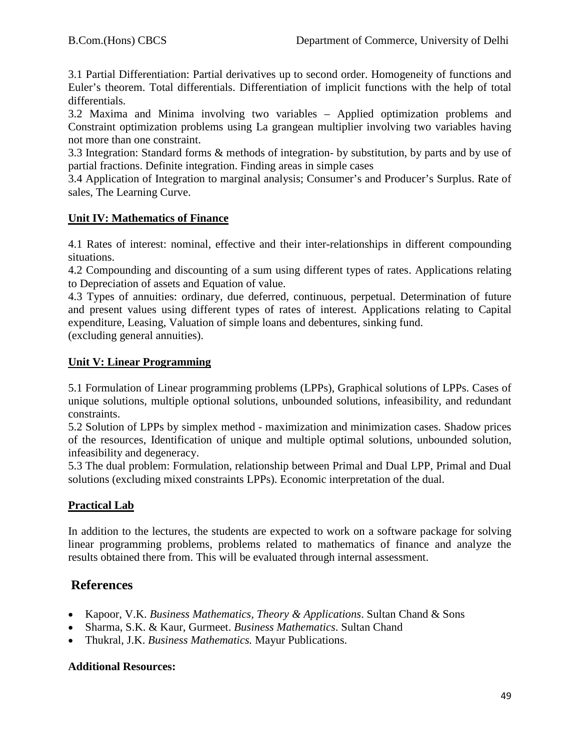3.1 Partial Differentiation: Partial derivatives up to second order. Homogeneity of functions and Euler's theorem. Total differentials. Differentiation of implicit functions with the help of total differentials.

3.2 Maxima and Minima involving two variables – Applied optimization problems and Constraint optimization problems using La grangean multiplier involving two variables having not more than one constraint.

3.3 Integration: Standard forms & methods of integration- by substitution, by parts and by use of partial fractions. Definite integration. Finding areas in simple cases

3.4 Application of Integration to marginal analysis; Consumer's and Producer's Surplus. Rate of sales, The Learning Curve.

# **Unit IV: Mathematics of Finance**

4.1 Rates of interest: nominal, effective and their inter-relationships in different compounding situations.

4.2 Compounding and discounting of a sum using different types of rates. Applications relating to Depreciation of assets and Equation of value.

4.3 Types of annuities: ordinary, due deferred, continuous, perpetual. Determination of future and present values using different types of rates of interest. Applications relating to Capital expenditure, Leasing, Valuation of simple loans and debentures, sinking fund. (excluding general annuities).

# **Unit V: Linear Programming**

5.1 Formulation of Linear programming problems (LPPs), Graphical solutions of LPPs. Cases of unique solutions, multiple optional solutions, unbounded solutions, infeasibility, and redundant constraints.

5.2 Solution of LPPs by simplex method - maximization and minimization cases. Shadow prices of the resources, Identification of unique and multiple optimal solutions, unbounded solution, infeasibility and degeneracy.

5.3 The dual problem: Formulation, relationship between Primal and Dual LPP, Primal and Dual solutions (excluding mixed constraints LPPs). Economic interpretation of the dual.

# **Practical Lab**

In addition to the lectures, the students are expected to work on a software package for solving linear programming problems, problems related to mathematics of finance and analyze the results obtained there from. This will be evaluated through internal assessment.

# **References**

- Kapoor, V.K. *Business Mathematics, Theory & Applications*. Sultan Chand & Sons
- Sharma, S.K. & Kaur, Gurmeet. *Business Mathematics*. Sultan Chand
- Thukral, J.K. *Business Mathematics.* Mayur Publications.

# **Additional Resources:**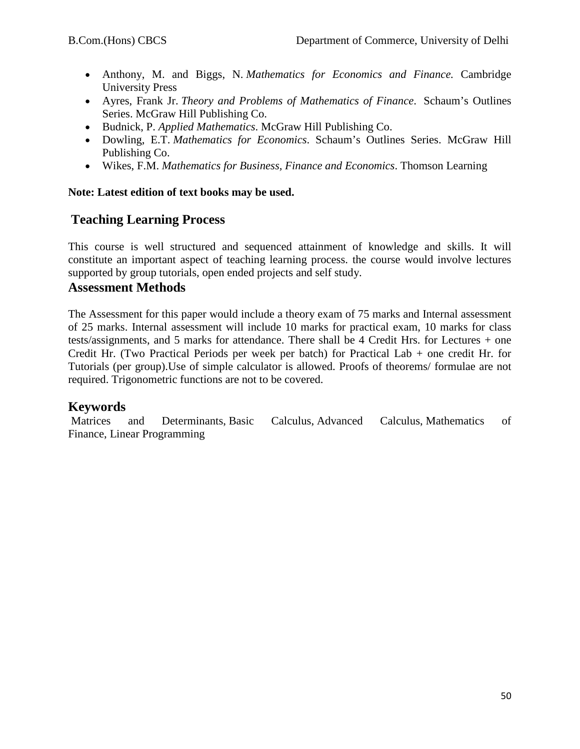- Anthony, M. and Biggs, N. *Mathematics for Economics and Finance.* Cambridge University Press
- Ayres, Frank Jr. *Theory and Problems of Mathematics of Finance*. Schaum's Outlines Series. McGraw Hill Publishing Co.
- Budnick, P. *Applied Mathematics*. McGraw Hill Publishing Co.
- Dowling, E.T. *Mathematics for Economics*. Schaum's Outlines Series. McGraw Hill Publishing Co.
- Wikes, F.M. *Mathematics for Business, Finance and Economics*. Thomson Learning

### **Note: Latest edition of text books may be used.**

# **Teaching Learning Process**

This course is well structured and sequenced attainment of knowledge and skills. It will constitute an important aspect of teaching learning process. the course would involve lectures supported by group tutorials, open ended projects and self study.

# **Assessment Methods**

The Assessment for this paper would include a theory exam of 75 marks and Internal assessment of 25 marks. Internal assessment will include 10 marks for practical exam, 10 marks for class tests/assignments, and 5 marks for attendance. There shall be 4 Credit Hrs. for Lectures + one Credit Hr. (Two Practical Periods per week per batch) for Practical Lab + one credit Hr. for Tutorials (per group).Use of simple calculator is allowed. Proofs of theorems/ formulae are not required. Trigonometric functions are not to be covered.

# **Keywords**

Matrices and Determinants, Basic Calculus, Advanced Calculus, Mathematics of Finance, Linear Programming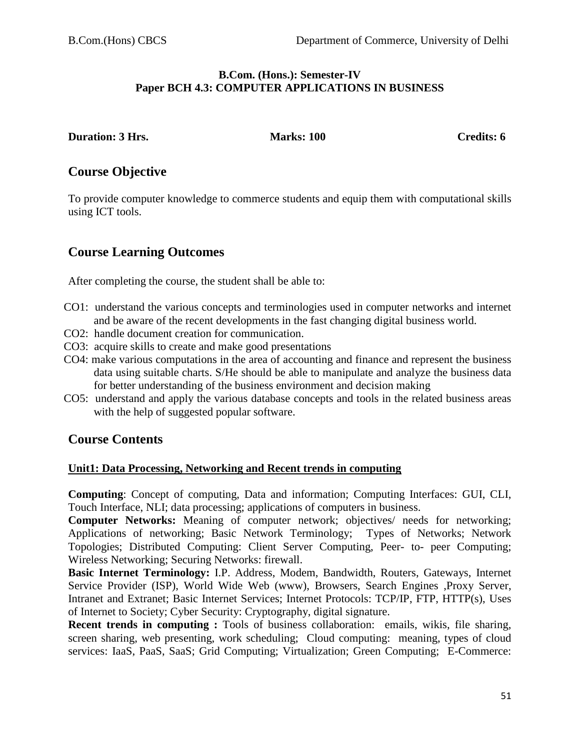#### **B.Com. (Hons.): Semester-IV Paper BCH 4.3: COMPUTER APPLICATIONS IN BUSINESS**

**Duration: 3 Hrs.** Marks: 100 Credits: 6

# **Course Objective**

To provide computer knowledge to commerce students and equip them with computational skills using ICT tools.

# **Course Learning Outcomes**

After completing the course, the student shall be able to:

- CO1: understand the various concepts and terminologies used in computer networks and internet and be aware of the recent developments in the fast changing digital business world.
- CO2: handle document creation for communication.
- CO3: acquire skills to create and make good presentations
- CO4: make various computations in the area of accounting and finance and represent the business data using suitable charts. S/He should be able to manipulate and analyze the business data for better understanding of the business environment and decision making
- CO5: understand and apply the various database concepts and tools in the related business areas with the help of suggested popular software.

# **Course Contents**

#### **Unit1: Data Processing, Networking and Recent trends in computing**

**Computing**: Concept of computing, Data and information; Computing Interfaces: GUI, CLI, Touch Interface, NLI; data processing; applications of computers in business.

**Computer Networks:** Meaning of computer network; objectives/ needs for networking; Applications of networking; Basic Network Terminology; Types of Networks; Network Topologies; Distributed Computing: Client Server Computing, Peer- to- peer Computing; Wireless Networking; Securing Networks: firewall.

**Basic Internet Terminology:** I.P. Address, Modem, Bandwidth, Routers, Gateways, Internet Service Provider (ISP), World Wide Web (www), Browsers, Search Engines ,Proxy Server, Intranet and Extranet; Basic Internet Services; Internet Protocols: TCP/IP, FTP, HTTP(s), Uses of Internet to Society; Cyber Security: Cryptography, digital signature.

**Recent trends in computing :** Tools of business collaboration: emails, wikis, file sharing, screen sharing, web presenting, work scheduling; Cloud computing: meaning, types of cloud services: IaaS, PaaS, SaaS; Grid Computing; Virtualization; Green Computing; E-Commerce: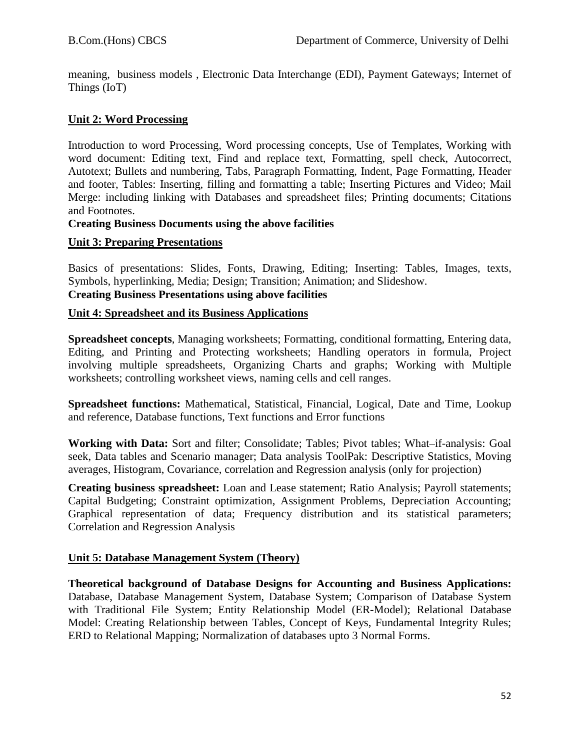meaning, business models , Electronic Data Interchange (EDI), Payment Gateways; Internet of Things (IoT)

#### **Unit 2: Word Processing**

Introduction to word Processing, Word processing concepts, Use of Templates, Working with word document: Editing text, Find and replace text, Formatting, spell check, Autocorrect, Autotext; Bullets and numbering, Tabs, Paragraph Formatting, Indent, Page Formatting, Header and footer, Tables: Inserting, filling and formatting a table; Inserting Pictures and Video; Mail Merge: including linking with Databases and spreadsheet files; Printing documents; Citations and Footnotes.

#### **Creating Business Documents using the above facilities**

#### **Unit 3: Preparing Presentations**

Basics of presentations: Slides, Fonts, Drawing, Editing; Inserting: Tables, Images, texts, Symbols, hyperlinking, Media; Design; Transition; Animation; and Slideshow. **Creating Business Presentations using above facilities**

#### **Unit 4: Spreadsheet and its Business Applications**

**Spreadsheet concepts**, Managing worksheets; Formatting, conditional formatting, Entering data, Editing, and Printing and Protecting worksheets; Handling operators in formula, Project involving multiple spreadsheets, Organizing Charts and graphs; Working with Multiple worksheets; controlling worksheet views, naming cells and cell ranges.

**Spreadsheet functions:** Mathematical, Statistical, Financial, Logical, Date and Time, Lookup and reference, Database functions, Text functions and Error functions

**Working with Data:** Sort and filter; Consolidate; Tables; Pivot tables; What–if-analysis: Goal seek, Data tables and Scenario manager; Data analysis ToolPak: Descriptive Statistics, Moving averages, Histogram, Covariance, correlation and Regression analysis (only for projection)

**Creating business spreadsheet:** Loan and Lease statement; Ratio Analysis; Payroll statements; Capital Budgeting; Constraint optimization, Assignment Problems, Depreciation Accounting; Graphical representation of data; Frequency distribution and its statistical parameters; Correlation and Regression Analysis

#### **Unit 5: Database Management System (Theory)**

**Theoretical background of Database Designs for Accounting and Business Applications:**  Database, Database Management System, Database System; Comparison of Database System with Traditional File System; Entity Relationship Model (ER-Model); Relational Database Model: Creating Relationship between Tables, Concept of Keys, Fundamental Integrity Rules; ERD to Relational Mapping; Normalization of databases upto 3 Normal Forms.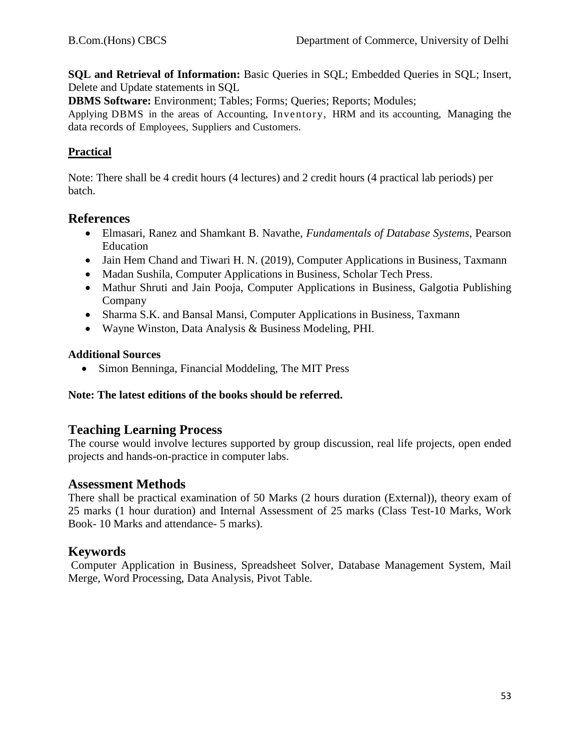**SQL and Retrieval of Information:** Basic Queries in SQL; Embedded Queries in SQL; Insert, Delete and Update statements in SQL

**DBMS Software:** Environment; Tables; Forms; Queries; Reports; Modules;

Applying DBMS in the areas of Accounting, Inventory, HRM and its accounting, Managing the data records of Employees, Suppliers and Customers.

### **Practical**

Note: There shall be 4 credit hours (4 lectures) and 2 credit hours (4 practical lab periods) per batch.

### **References**

- Elmasari, Ranez and Shamkant B. Navathe, *Fundamentals of Database Systems*, Pearson Education
- Jain Hem Chand and Tiwari H. N. (2019), Computer Applications in Business, Taxmann
- Madan Sushila, Computer Applications in Business, Scholar Tech Press.
- Mathur Shruti and Jain Pooja, Computer Applications in Business, Galgotia Publishing Company
- Sharma S.K. and Bansal Mansi, Computer Applications in Business, Taxmann
- Wayne Winston, Data Analysis & Business Modeling, PHI.

#### **Additional Sources**

• Simon Benninga, Financial Moddeling, The MIT Press

#### **Note: The latest editions of the books should be referred.**

# **Teaching Learning Process**

The course would involve lectures supported by group discussion, real life projects, open ended projects and hands-on-practice in computer labs.

# **Assessment Methods**

There shall be practical examination of 50 Marks (2 hours duration (External)), theory exam of 25 marks (1 hour duration) and Internal Assessment of 25 marks (Class Test-10 Marks, Work Book- 10 Marks and attendance- 5 marks).

# **Keywords**

Computer Application in Business, Spreadsheet Solver, Database Management System, Mail Merge, Word Processing, Data Analysis, Pivot Table.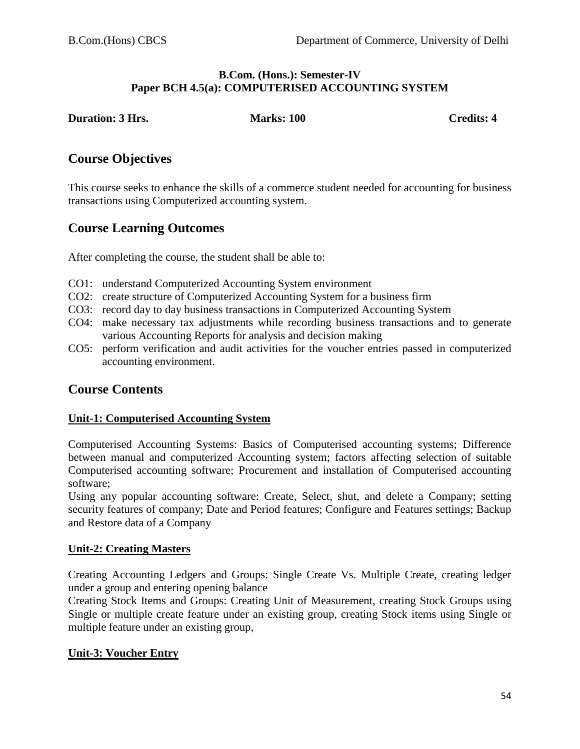#### **B.Com. (Hons.): Semester-IV Paper BCH 4.5(a): COMPUTERISED ACCOUNTING SYSTEM**

**Duration: 3 Hrs.** Marks: 100 Credits: 4

# **Course Objectives**

This course seeks to enhance the skills of a commerce student needed for accounting for business transactions using Computerized accounting system.

# **Course Learning Outcomes**

After completing the course, the student shall be able to:

- CO1: understand Computerized Accounting System environment
- CO2: create structure of Computerized Accounting System for a business firm
- CO3: record day to day business transactions in Computerized Accounting System
- CO4: make necessary tax adjustments while recording business transactions and to generate various Accounting Reports for analysis and decision making
- CO5: perform verification and audit activities for the voucher entries passed in computerized accounting environment.

# **Course Contents**

#### **Unit-1: Computerised Accounting System**

Computerised Accounting Systems: Basics of Computerised accounting systems; Difference between manual and computerized Accounting system; factors affecting selection of suitable Computerised accounting software; Procurement and installation of Computerised accounting software;

Using any popular accounting software: Create, Select, shut, and delete a Company; setting security features of company; Date and Period features; Configure and Features settings; Backup and Restore data of a Company

#### **Unit-2: Creating Masters**

Creating Accounting Ledgers and Groups: Single Create Vs. Multiple Create, creating ledger under a group and entering opening balance

Creating Stock Items and Groups: Creating Unit of Measurement, creating Stock Groups using Single or multiple create feature under an existing group, creating Stock items using Single or multiple feature under an existing group,

#### **Unit-3: Voucher Entry**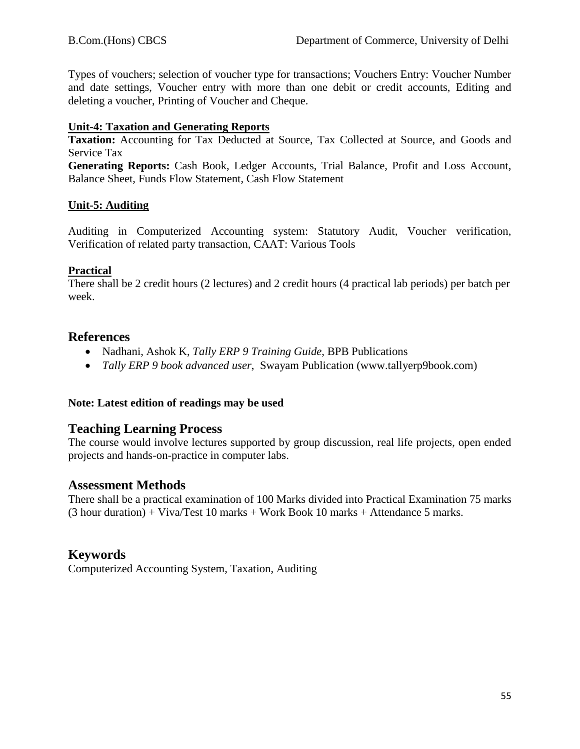Types of vouchers; selection of voucher type for transactions; Vouchers Entry: Voucher Number and date settings, Voucher entry with more than one debit or credit accounts, Editing and deleting a voucher, Printing of Voucher and Cheque.

#### **Unit-4: Taxation and Generating Reports**

**Taxation:** Accounting for Tax Deducted at Source, Tax Collected at Source, and Goods and Service Tax

**Generating Reports:** Cash Book, Ledger Accounts, Trial Balance, Profit and Loss Account, Balance Sheet, Funds Flow Statement, Cash Flow Statement

#### **Unit-5: Auditing**

Auditing in Computerized Accounting system: Statutory Audit, Voucher verification, Verification of related party transaction, CAAT: Various Tools

#### **Practical**

There shall be 2 credit hours (2 lectures) and 2 credit hours (4 practical lab periods) per batch per week.

### **References**

- Nadhani, Ashok K, *Tally ERP 9 Training Guide*, BPB Publications
- *Tally ERP 9 book advanced user*, Swayam Publication (www.tallyerp9book.com)

#### **Note: Latest edition of readings may be used**

# **Teaching Learning Process**

The course would involve lectures supported by group discussion, real life projects, open ended projects and hands-on-practice in computer labs.

#### **Assessment Methods**

There shall be a practical examination of 100 Marks divided into Practical Examination 75 marks  $(3$  hour duration) + Viva/Test 10 marks + Work Book 10 marks + Attendance 5 marks.

# **Keywords**

Computerized Accounting System, Taxation, Auditing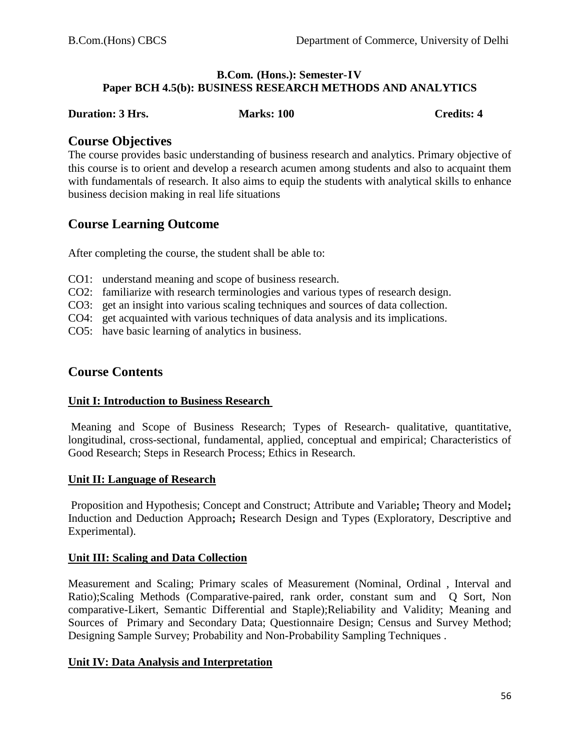#### **B.Com. (Hons.): Semester-IV Paper BCH 4.5(b): BUSINESS RESEARCH METHODS AND ANALYTICS**

### **Duration: 3 Hrs.** Marks: 100 **Credits: 4** Credits: 4

#### **Course Objectives**

The course provides basic understanding of business research and analytics. Primary objective of this course is to orient and develop a research acumen among students and also to acquaint them with fundamentals of research. It also aims to equip the students with analytical skills to enhance business decision making in real life situations

# **Course Learning Outcome**

After completing the course, the student shall be able to:

- CO1: understand meaning and scope of business research.
- CO2: familiarize with research terminologies and various types of research design.
- CO3: get an insight into various scaling techniques and sources of data collection.
- CO4: get acquainted with various techniques of data analysis and its implications.
- CO5: have basic learning of analytics in business.

# **Course Contents**

#### **Unit I: Introduction to Business Research**

Meaning and Scope of Business Research; Types of Research- qualitative, quantitative, longitudinal, cross-sectional, fundamental, applied, conceptual and empirical; Characteristics of Good Research; Steps in Research Process; Ethics in Research.

#### **Unit II: Language of Research**

Proposition and Hypothesis; Concept and Construct; Attribute and Variable**;** Theory and Model**;** Induction and Deduction Approach**;** Research Design and Types (Exploratory, Descriptive and Experimental).

#### **Unit III: Scaling and Data Collection**

Measurement and Scaling; Primary scales of Measurement (Nominal, Ordinal , Interval and Ratio);Scaling Methods (Comparative-paired, rank order, constant sum and Q Sort, Non comparative-Likert, Semantic Differential and Staple);Reliability and Validity; Meaning and Sources of Primary and Secondary Data; Questionnaire Design; Census and Survey Method; Designing Sample Survey; Probability and Non-Probability Sampling Techniques .

#### **Unit IV: Data Analysis and Interpretation**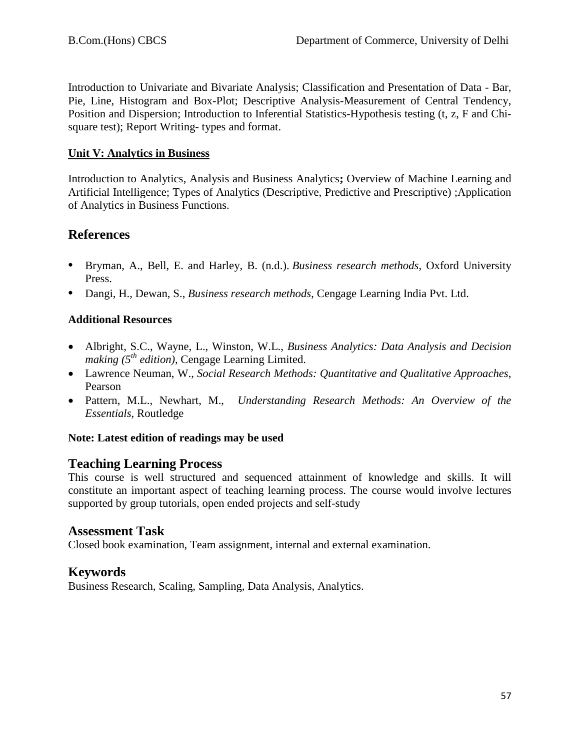Introduction to Univariate and Bivariate Analysis; Classification and Presentation of Data - Bar, Pie, Line, Histogram and Box-Plot; Descriptive Analysis-Measurement of Central Tendency, Position and Dispersion; Introduction to Inferential Statistics-Hypothesis testing (t, z, F and Chisquare test); Report Writing- types and format.

### **Unit V: Analytics in Business**

Introduction to Analytics, Analysis and Business Analytics**;** Overview of Machine Learning and Artificial Intelligence; Types of Analytics (Descriptive, Predictive and Prescriptive) ;Application of Analytics in Business Functions.

# **References**

- **•** Bryman, A., Bell, E. and Harley, B. (n.d.). *Business research methods*, Oxford University Press.
- **•** Dangi, H., Dewan, S., *Business research methods*, Cengage Learning India Pvt. Ltd.

# **Additional Resources**

- Albright, S.C., Wayne, L., Winston, W.L., *Business Analytics: Data Analysis and Decision making*  $(5^{th}$  *edition*), Cengage Learning Limited.
- Lawrence Neuman, W., *Social Research Methods: Quantitative and Qualitative Approaches*, Pearson
- Pattern, M.L., Newhart, M., *Understanding Research Methods: An Overview of the Essentials*, Routledge

#### **Note: Latest edition of readings may be used**

# **Teaching Learning Process**

This course is well structured and sequenced attainment of knowledge and skills. It will constitute an important aspect of teaching learning process. The course would involve lectures supported by group tutorials, open ended projects and self-study

# **Assessment Task**

Closed book examination, Team assignment, internal and external examination.

# **Keywords**

Business Research, Scaling, Sampling, Data Analysis, Analytics.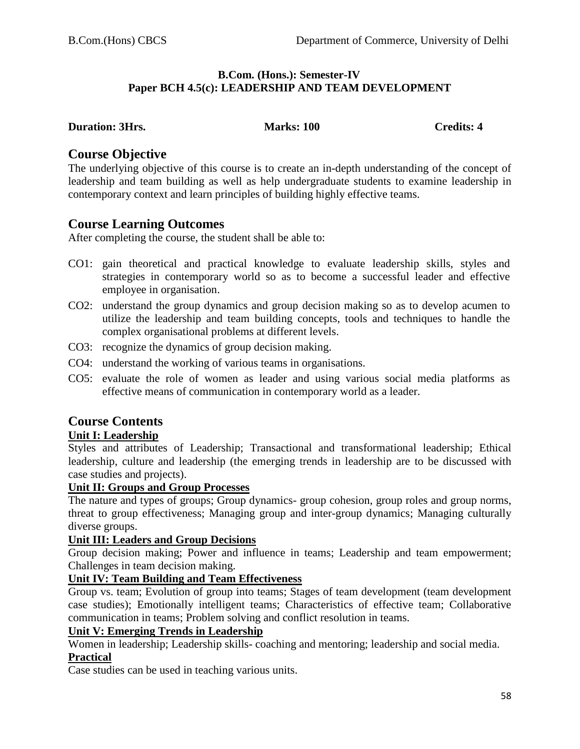#### **B.Com. (Hons.): Semester-IV Paper BCH 4.5(c): LEADERSHIP AND TEAM DEVELOPMENT**

#### **Duration: 3Hrs.** Marks: 100 Credits: 4

# **Course Objective**

The underlying objective of this course is to create an in-depth understanding of the concept of leadership and team building as well as help undergraduate students to examine leadership in contemporary context and learn principles of building highly effective teams.

# **Course Learning Outcomes**

After completing the course, the student shall be able to:

- CO1: gain theoretical and practical knowledge to evaluate leadership skills, styles and strategies in contemporary world so as to become a successful leader and effective employee in organisation.
- CO2: understand the group dynamics and group decision making so as to develop acumen to utilize the leadership and team building concepts, tools and techniques to handle the complex organisational problems at different levels.
- CO3: recognize the dynamics of group decision making.
- CO4: understand the working of various teams in organisations.
- CO5: evaluate the role of women as leader and using various social media platforms as effective means of communication in contemporary world as a leader.

# **Course Contents**

#### **Unit I: Leadership**

Styles and attributes of Leadership; Transactional and transformational leadership; Ethical leadership, culture and leadership (the emerging trends in leadership are to be discussed with case studies and projects).

#### **Unit II: Groups and Group Processes**

The nature and types of groups; Group dynamics- group cohesion, group roles and group norms, threat to group effectiveness; Managing group and inter-group dynamics; Managing culturally diverse groups.

#### **Unit III: Leaders and Group Decisions**

Group decision making; Power and influence in teams; Leadership and team empowerment; Challenges in team decision making.

#### **Unit IV: Team Building and Team Effectiveness**

Group vs. team; Evolution of group into teams; Stages of team development (team development case studies); Emotionally intelligent teams; Characteristics of effective team; Collaborative communication in teams; Problem solving and conflict resolution in teams.

#### **Unit V: Emerging Trends in Leadership**

Women in leadership; Leadership skills- coaching and mentoring; leadership and social media. **Practical**

Case studies can be used in teaching various units.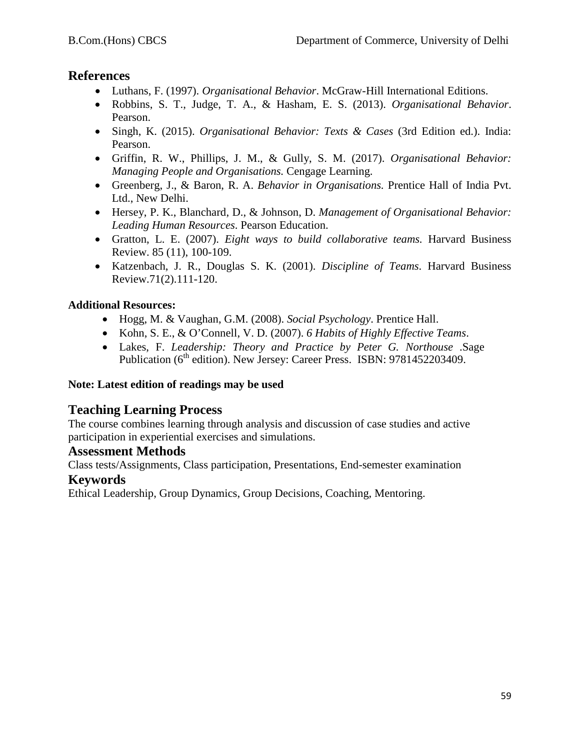# **References**

- Luthans, F. (1997). *Organisational Behavior*. McGraw-Hill International Editions.
- Robbins, S. T., Judge, T. A., & Hasham, E. S. (2013). *Organisational Behavior*. Pearson.
- Singh, K. (2015). *Organisational Behavior: Texts & Cases* (3rd Edition ed.). India: Pearson.
- Griffin, R. W., Phillips, J. M., & Gully, S. M. (2017). *Organisational Behavior: Managing People and Organisations.* Cengage Learning.
- Greenberg, J., & Baron, R. A. *Behavior in Organisations.* Prentice Hall of India Pvt. Ltd., New Delhi.
- Hersey, P. K., Blanchard, D., & Johnson, D. *Management of Organisational Behavior: Leading Human Resources*. Pearson Education.
- Gratton, L. E. (2007). *Eight ways to build collaborative teams.* Harvard Business Review. 85 (11), 100-109.
- Katzenbach, J. R., Douglas S. K. (2001). *Discipline of Teams*. Harvard Business Review.71(2).111-120.

# **Additional Resources:**

- Hogg, M. & Vaughan, G.M. (2008). *Social Psychology*. Prentice Hall.
- Kohn, S. E., & O'Connell, V. D. (2007). *6 Habits of Highly Effective Teams*.
- Lakes, F. *Leadership: Theory and Practice by Peter G. Northouse* .Sage Publication ( $6<sup>th</sup>$  edition). New Jersey: Career Press. ISBN: 9781452203409.

# **Note: Latest edition of readings may be used**

# **Teaching Learning Process**

The course combines learning through analysis and discussion of case studies and active participation in experiential exercises and simulations.

# **Assessment Methods**

Class tests/Assignments, Class participation, Presentations, End-semester examination

# **Keywords**

Ethical Leadership, Group Dynamics, Group Decisions, Coaching, Mentoring.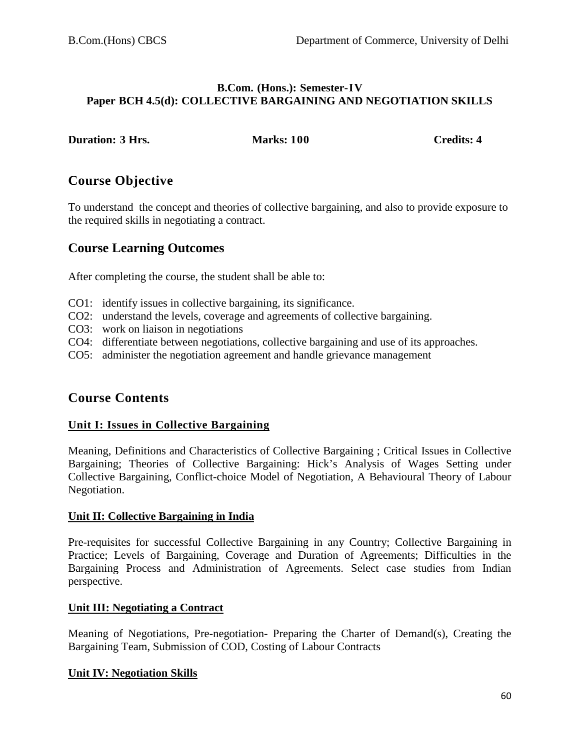#### **B.Com. (Hons.): Semester-IV Paper BCH 4.5(d): COLLECTIVE BARGAINING AND NEGOTIATION SKILLS**

| <b>Duration: 3 Hrs.</b> |  |  |
|-------------------------|--|--|
|-------------------------|--|--|

**Duration: 3 Duration: 3 Duration: 3 Duration: 3 Duration: 4 Duration: 4 Duration: 4 Duration: 4 Duration: 4 Duration: 4 Duration: 4 Duration: 4 Duration: 4 Duration: 4** 

# **Course Objective**

To understand the concept and theories of collective bargaining, and also to provide exposure to the required skills in negotiating a contract.

# **Course Learning Outcomes**

After completing the course, the student shall be able to:

- CO1: identify issues in collective bargaining, its significance.
- CO2: understand the levels, coverage and agreements of collective bargaining.
- CO3: work on liaison in negotiations
- CO4: differentiate between negotiations, collective bargaining and use of its approaches.
- CO5: administer the negotiation agreement and handle grievance management

# **Course Contents**

# **Unit I: Issues in Collective Bargaining**

Meaning, Definitions and Characteristics of Collective Bargaining ; Critical Issues in Collective Bargaining; Theories of Collective Bargaining: Hick's Analysis of Wages Setting under Collective Bargaining, Conflict-choice Model of Negotiation, A Behavioural Theory of Labour Negotiation.

# **Unit II: Collective Bargaining in India**

Pre-requisites for successful Collective Bargaining in any Country; Collective Bargaining in Practice; Levels of Bargaining, Coverage and Duration of Agreements; Difficulties in the Bargaining Process and Administration of Agreements. Select case studies from Indian perspective.

# **Unit III: Negotiating a Contract**

Meaning of Negotiations, Pre-negotiation- Preparing the Charter of Demand(s), Creating the Bargaining Team, Submission of COD, Costing of Labour Contracts

# **Unit IV: Negotiation Skills**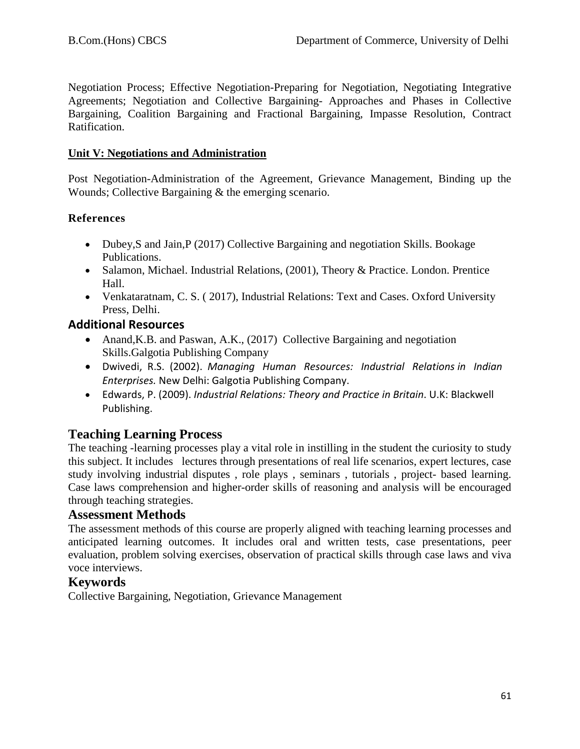Negotiation Process; Effective Negotiation-Preparing for Negotiation, Negotiating Integrative Agreements; Negotiation and Collective Bargaining- Approaches and Phases in Collective Bargaining, Coalition Bargaining and Fractional Bargaining, Impasse Resolution, Contract Ratification.

#### **Unit V: Negotiations and Administration**

Post Negotiation-Administration of the Agreement, Grievance Management, Binding up the Wounds; Collective Bargaining & the emerging scenario.

### **References**

- Dubey, S and Jain, P (2017) Collective Bargaining and negotiation Skills. Bookage Publications.
- Salamon, Michael. Industrial Relations, (2001), Theory & Practice. London. Prentice Hall.
- Venkataratnam, C. S. ( 2017), Industrial Relations: Text and Cases. Oxford University Press, Delhi.

# **Additional Resources**

- Anand, K.B. and Paswan, A.K., (2017) Collective Bargaining and negotiation Skills.Galgotia Publishing Company
- Dwivedi, R.S. (2002). *Managing Human Resources: Industrial Relations in Indian Enterprises.* New Delhi: Galgotia Publishing Company.
- Edwards, P. (2009). *Industrial Relations: Theory and Practice in Britain*. U.K: Blackwell Publishing.

# **Teaching Learning Process**

The teaching -learning processes play a vital role in instilling in the student the curiosity to study this subject. It includes lectures through presentations of real life scenarios, expert lectures, case study involving industrial disputes , role plays , seminars , tutorials , project- based learning. Case laws comprehension and higher-order skills of reasoning and analysis will be encouraged through teaching strategies.

# **Assessment Methods**

The assessment methods of this course are properly aligned with teaching learning processes and anticipated learning outcomes. It includes oral and written tests, case presentations, peer evaluation, problem solving exercises, observation of practical skills through case laws and viva voce interviews.

# **Keywords**

Collective Bargaining, Negotiation, Grievance Management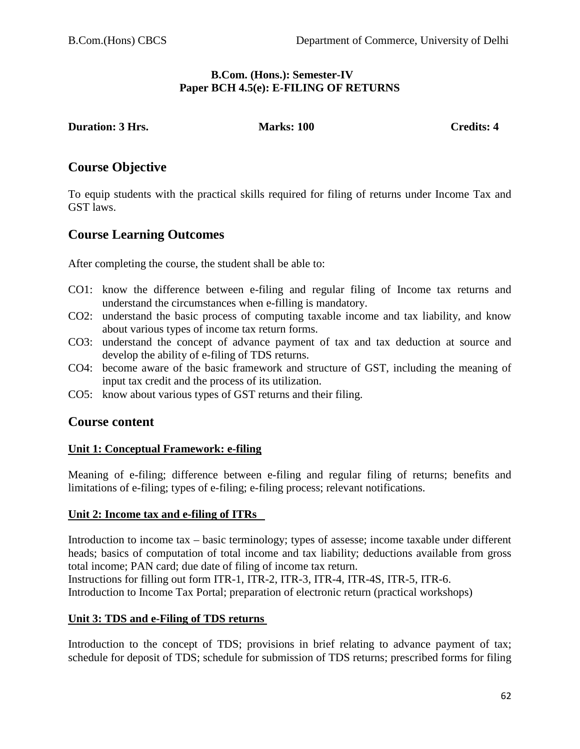#### **B.Com. (Hons.): Semester-IV Paper BCH 4.5(e): E-FILING OF RETURNS**

**Duration: 3 Hrs. Marks: 100 Credits: 4 Credits: 4** 

# **Course Objective**

To equip students with the practical skills required for filing of returns under Income Tax and GST laws.

# **Course Learning Outcomes**

After completing the course, the student shall be able to:

- CO1: know the difference between e-filing and regular filing of Income tax returns and understand the circumstances when e-filling is mandatory.
- CO2: understand the basic process of computing taxable income and tax liability, and know about various types of income tax return forms.
- CO3: understand the concept of advance payment of tax and tax deduction at source and develop the ability of e-filing of TDS returns.
- CO4: become aware of the basic framework and structure of GST, including the meaning of input tax credit and the process of its utilization.
- CO5: know about various types of GST returns and their filing.

# **Course content**

#### **Unit 1: Conceptual Framework: e-filing**

Meaning of e-filing; difference between e-filing and regular filing of returns; benefits and limitations of e-filing; types of e-filing; e-filing process; relevant notifications.

#### **Unit 2: Income tax and e-filing of ITRs**

Introduction to income tax – basic terminology; types of assesse; income taxable under different heads; basics of computation of total income and tax liability; deductions available from gross total income; PAN card; due date of filing of income tax return.

Instructions for filling out form ITR-1, ITR-2, ITR-3, ITR-4, ITR-4S, ITR-5, ITR-6. Introduction to Income Tax Portal; preparation of electronic return (practical workshops)

# **Unit 3: TDS and e-Filing of TDS returns**

Introduction to the concept of TDS; provisions in brief relating to advance payment of tax; schedule for deposit of TDS; schedule for submission of TDS returns; prescribed forms for filing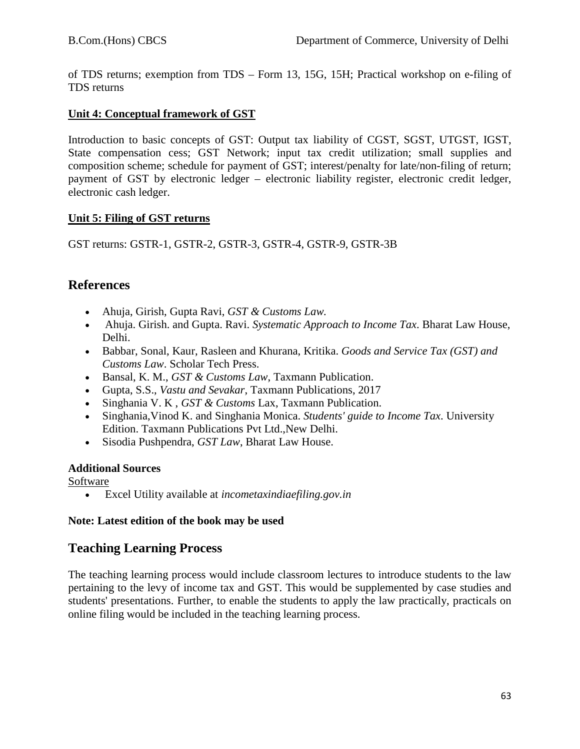of TDS returns; exemption from TDS – Form 13, 15G, 15H; Practical workshop on e-filing of TDS returns

### **Unit 4: Conceptual framework of GST**

Introduction to basic concepts of GST: Output tax liability of CGST, SGST, UTGST, IGST, State compensation cess; GST Network; input tax credit utilization; small supplies and composition scheme; schedule for payment of GST; interest/penalty for late/non-filing of return; payment of GST by electronic ledger – electronic liability register, electronic credit ledger, electronic cash ledger.

### **Unit 5: Filing of GST returns**

GST returns: GSTR-1, GSTR-2, GSTR-3, GSTR-4, GSTR-9, GSTR-3B

# **References**

- Ahuja, Girish, Gupta Ravi, *GST & Customs Law.*
- Ahuja. Girish. and Gupta. Ravi. *Systematic Approach to Income Tax*. Bharat Law House, Delhi.
- Babbar, Sonal, Kaur, Rasleen and Khurana, Kritika. *Goods and Service Tax (GST) and Customs Law*. Scholar Tech Press.
- Bansal, K. M., *GST & Customs Law*, Taxmann Publication.
- Gupta, S.S., *Vastu and Sevakar*, Taxmann Publications, 2017
- Singhania V. K , *GST & Customs* Lax, Taxmann Publication.
- Singhania,Vinod K. and Singhania Monica. *Students' guide to Income Tax*. University Edition. Taxmann Publications Pvt Ltd.,New Delhi.
- Sisodia Pushpendra, *GST Law*, Bharat Law House.

#### **Additional Sources**

Software

• Excel Utility available at *incometaxindiaefiling.gov.in*

# **Note: Latest edition of the book may be used**

# **Teaching Learning Process**

The teaching learning process would include classroom lectures to introduce students to the law pertaining to the levy of income tax and GST. This would be supplemented by case studies and students' presentations. Further, to enable the students to apply the law practically, practicals on online filing would be included in the teaching learning process.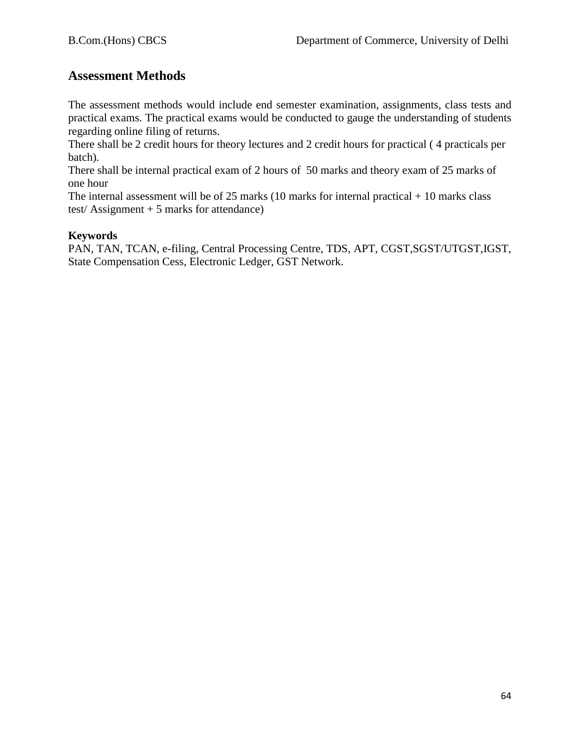# **Assessment Methods**

The assessment methods would include end semester examination, assignments, class tests and practical exams. The practical exams would be conducted to gauge the understanding of students regarding online filing of returns.

There shall be 2 credit hours for theory lectures and 2 credit hours for practical ( 4 practicals per batch).

There shall be internal practical exam of 2 hours of 50 marks and theory exam of 25 marks of one hour

The internal assessment will be of 25 marks (10 marks for internal practical  $+ 10$  marks class test/ $\text{Assignment} + 5 \text{ marks for attendance}$ 

#### **Keywords**

PAN, TAN, TCAN, e-filing, Central Processing Centre, TDS, APT, CGST,SGST/UTGST,IGST, State Compensation Cess, Electronic Ledger, GST Network.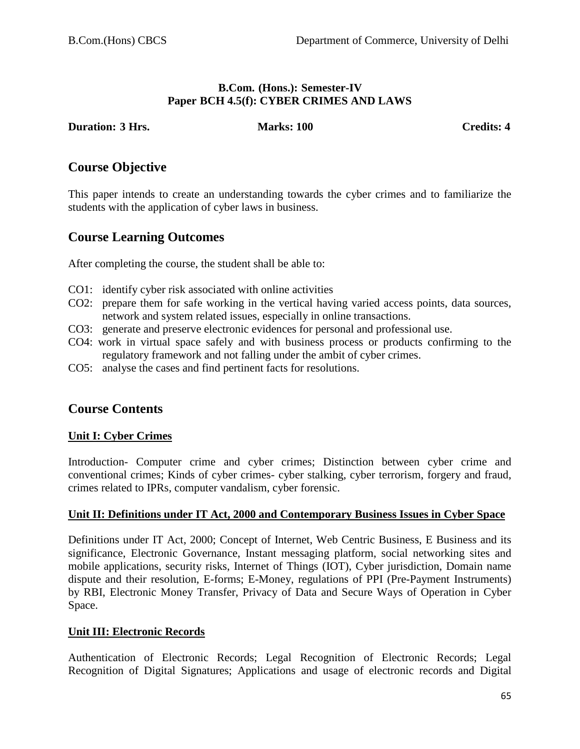#### **B.Com. (Hons.): Semester-IV Paper BCH 4.5(f): CYBER CRIMES AND LAWS**

#### **Duration: 3** Hrs. Marks: 100 Credits: 4

# **Course Objective**

This paper intends to create an understanding towards the cyber crimes and to familiarize the students with the application of cyber laws in business.

# **Course Learning Outcomes**

After completing the course, the student shall be able to:

- CO1: identify cyber risk associated with online activities
- CO2: prepare them for safe working in the vertical having varied access points, data sources, network and system related issues, especially in online transactions.
- CO3: generate and preserve electronic evidences for personal and professional use.
- CO4: work in virtual space safely and with business process or products confirming to the regulatory framework and not falling under the ambit of cyber crimes.
- CO5: analyse the cases and find pertinent facts for resolutions.

# **Course Contents**

#### **Unit I: Cyber Crimes**

Introduction- Computer crime and cyber crimes; Distinction between cyber crime and conventional crimes; Kinds of cyber crimes- cyber stalking, cyber terrorism, forgery and fraud, crimes related to IPRs, computer vandalism, cyber forensic.

#### **Unit II: Definitions under IT Act, 2000 and Contemporary Business Issues in Cyber Space**

Definitions under IT Act, 2000; Concept of Internet, Web Centric Business, E Business and its significance, Electronic Governance, Instant messaging platform, social networking sites and mobile applications, security risks, Internet of Things (IOT), Cyber jurisdiction, Domain name dispute and their resolution, E-forms; E-Money, regulations of PPI (Pre-Payment Instruments) by RBI, Electronic Money Transfer, Privacy of Data and Secure Ways of Operation in Cyber Space.

#### **Unit III: Electronic Records**

Authentication of Electronic Records; Legal Recognition of Electronic Records; Legal Recognition of Digital Signatures; Applications and usage of electronic records and Digital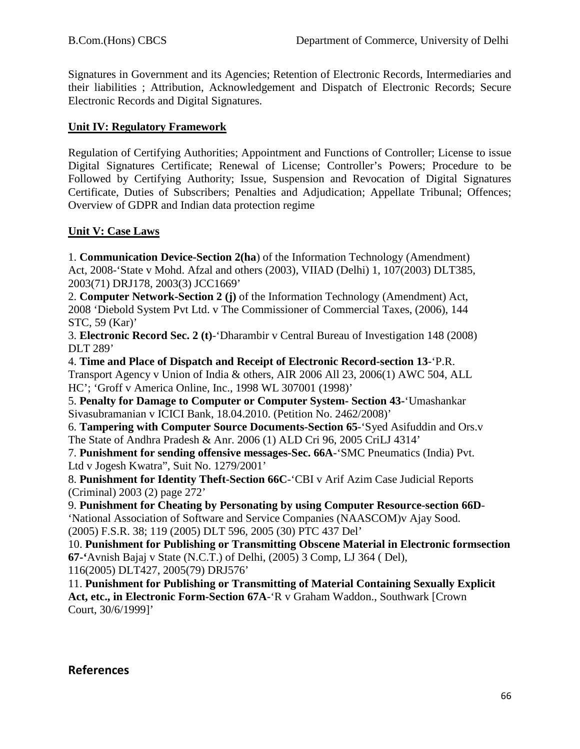Signatures in Government and its Agencies; Retention of Electronic Records, Intermediaries and their liabilities ; Attribution, Acknowledgement and Dispatch of Electronic Records; Secure Electronic Records and Digital Signatures.

### **Unit IV: Regulatory Framework**

Regulation of Certifying Authorities; Appointment and Functions of Controller; License to issue Digital Signatures Certificate; Renewal of License; Controller's Powers; Procedure to be Followed by Certifying Authority; Issue, Suspension and Revocation of Digital Signatures Certificate, Duties of Subscribers; Penalties and Adjudication; Appellate Tribunal; Offences; Overview of GDPR and Indian data protection regime

### **Unit V: Case Laws**

1. **Communication Device-Section 2(ha**) of the Information Technology (Amendment) Act, 2008-'State v Mohd. Afzal and others (2003), VIIAD (Delhi) 1, 107(2003) DLT385, 2003(71) DRJ178, 2003(3) JCC1669'

2. **Computer Network-Section 2 (j)** of the Information Technology (Amendment) Act, 2008 'Diebold System Pvt Ltd. v The Commissioner of Commercial Taxes, (2006), 144 STC, 59 (Kar)'

3. **Electronic Record Sec. 2 (t)**-'Dharambir v Central Bureau of Investigation 148 (2008) DLT 289'

4. **Time and Place of Dispatch and Receipt of Electronic Record-section 13**-'P.R. Transport Agency v Union of India & others, AIR 2006 All 23, 2006(1) AWC 504, ALL HC'; 'Groff v America Online, Inc., 1998 WL 307001 (1998)'

5. **Penalty for Damage to Computer or Computer System- Section 43-**'Umashankar Sivasubramanian v ICICI Bank, 18.04.2010. (Petition No. 2462/2008)'

6. **Tampering with Computer Source Documents-Section 65**-'Syed Asifuddin and Ors.v The State of Andhra Pradesh & Anr. 2006 (1) ALD Cri 96, 2005 CriLJ 4314'

7. **Punishment for sending offensive messages-Sec. 66A**-'SMC Pneumatics (India) Pvt. Ltd v Jogesh Kwatra", Suit No. 1279/2001'

8. **Punishment for Identity Theft-Section 66C**-'CBI v Arif Azim Case Judicial Reports (Criminal) 2003 (2) page 272'

9. **Punishment for Cheating by Personating by using Computer Resource-section 66D**- 'National Association of Software and Service Companies (NAASCOM)v Ajay Sood. (2005) F.S.R. 38; 119 (2005) DLT 596, 2005 (30) PTC 437 Del'

10. **Punishment for Publishing or Transmitting Obscene Material in Electronic formsection 67-'**Avnish Bajaj v State (N.C.T.) of Delhi, (2005) 3 Comp, LJ 364 ( Del), 116(2005) DLT427, 2005(79) DRJ576'

11. **Punishment for Publishing or Transmitting of Material Containing Sexually Explicit Act, etc., in Electronic Form-Section 67A**-'R v Graham Waddon., Southwark [Crown Court, 30/6/1999]'

#### **References**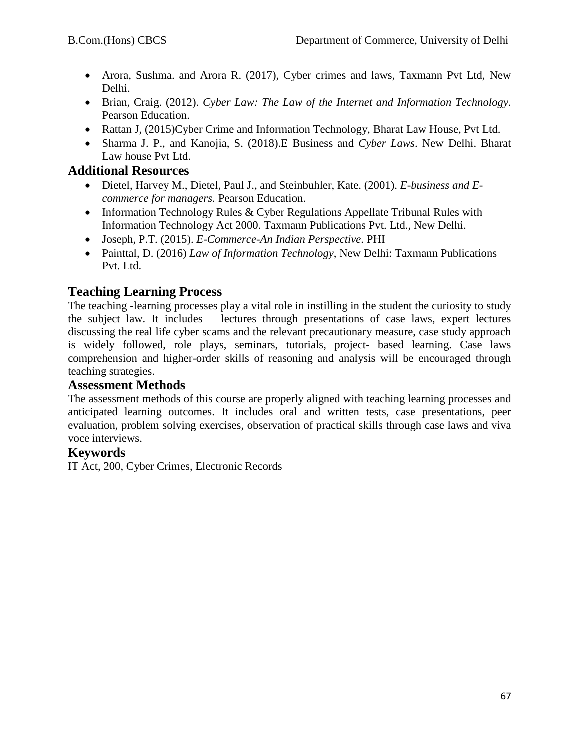- Arora, Sushma. and Arora R. (2017), Cyber crimes and laws, Taxmann Pvt Ltd, New Delhi.
- Brian, Craig. (2012). *Cyber Law: The Law of the Internet and Information Technology.*  Pearson Education.
- Rattan J, (2015)Cyber Crime and Information Technology, Bharat Law House, Pvt Ltd.
- Sharma J. P., and Kanojia, S. (2018).E Business and *Cyber Laws*. New Delhi. Bharat Law house Pvt Ltd.

# **Additional Resources**

- Dietel, Harvey M., Dietel, Paul J., and Steinbuhler, Kate. (2001). *E-business and Ecommerce for managers.* Pearson Education.
- Information Technology Rules & Cyber Regulations Appellate Tribunal Rules with Information Technology Act 2000. Taxmann Publications Pvt. Ltd., New Delhi.
- Joseph, P.T. (2015). *E-Commerce-An Indian Perspective*. PHI
- Painttal, D. (2016) *Law of Information Technology*, New Delhi: Taxmann Publications Pvt. Ltd.

# **Teaching Learning Process**

The teaching -learning processes play a vital role in instilling in the student the curiosity to study the subject law. It includes lectures through presentations of case laws, expert lectures discussing the real life cyber scams and the relevant precautionary measure, case study approach is widely followed, role plays, seminars, tutorials, project- based learning. Case laws comprehension and higher-order skills of reasoning and analysis will be encouraged through teaching strategies.

# **Assessment Methods**

The assessment methods of this course are properly aligned with teaching learning processes and anticipated learning outcomes. It includes oral and written tests, case presentations, peer evaluation, problem solving exercises, observation of practical skills through case laws and viva voce interviews.

# **Keywords**

IT Act, 200, Cyber Crimes, Electronic Records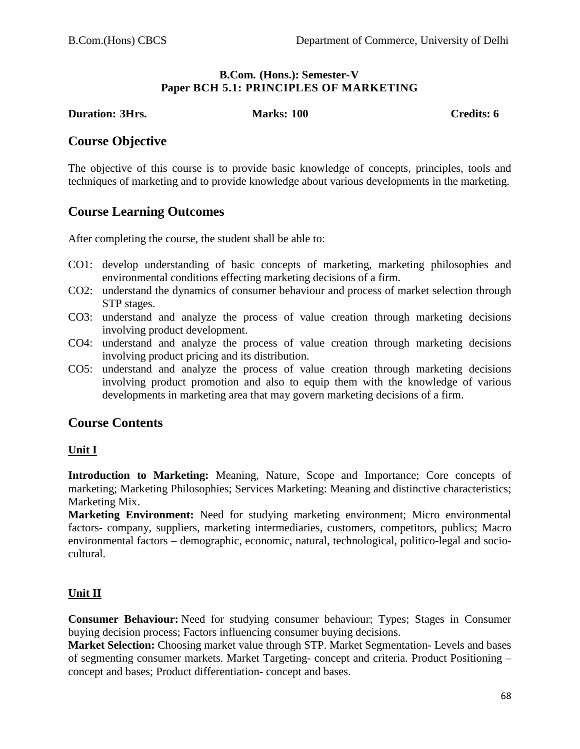#### **B.Com. (Hons.): Semester-V Paper BCH 5.1: PRINCIPLES OF MARKETING**

#### **Duration: 3Hrs. Marks: 100 Credits: 6**

### **Course Objective**

The objective of this course is to provide basic knowledge of concepts, principles, tools and techniques of marketing and to provide knowledge about various developments in the marketing.

# **Course Learning Outcomes**

After completing the course, the student shall be able to:

- CO1: develop understanding of basic concepts of marketing, marketing philosophies and environmental conditions effecting marketing decisions of a firm.
- CO2: understand the dynamics of consumer behaviour and process of market selection through STP stages.
- CO3: understand and analyze the process of value creation through marketing decisions involving product development.
- CO4: understand and analyze the process of value creation through marketing decisions involving product pricing and its distribution.
- CO5: understand and analyze the process of value creation through marketing decisions involving product promotion and also to equip them with the knowledge of various developments in marketing area that may govern marketing decisions of a firm.

# **Course Contents**

#### **Unit I**

**Introduction to Marketing:** Meaning, Nature, Scope and Importance; Core concepts of marketing; Marketing Philosophies; Services Marketing: Meaning and distinctive characteristics; Marketing Mix.

**Marketing Environment:** Need for studying marketing environment; Micro environmental factors- company, suppliers, marketing intermediaries, customers, competitors, publics; Macro environmental factors – demographic, economic, natural, technological, politico-legal and sociocultural.

#### **Unit II**

**Consumer Behaviour:** Need for studying consumer behaviour; Types; Stages in Consumer buying decision process; Factors influencing consumer buying decisions.

**Market Selection:** Choosing market value through STP. Market Segmentation- Levels and bases of segmenting consumer markets. Market Targeting- concept and criteria. Product Positioning – concept and bases; Product differentiation- concept and bases.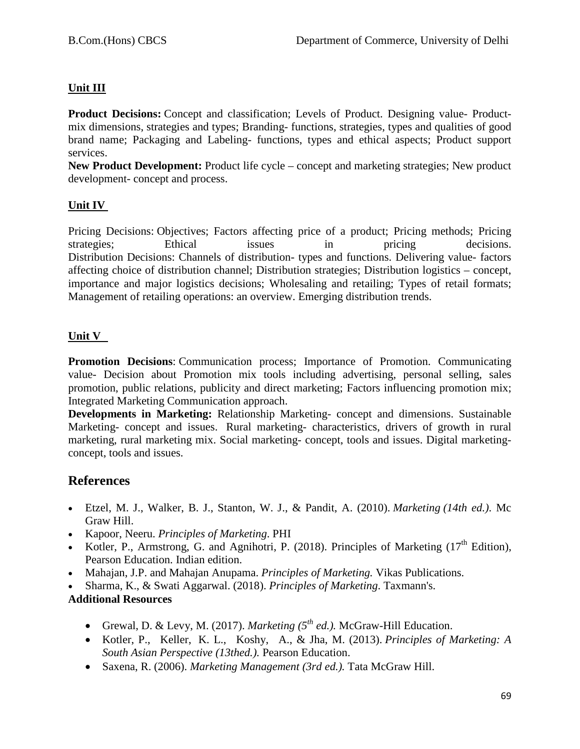# **Unit III**

**Product Decisions:** Concept and classification; Levels of Product. Designing value- Productmix dimensions, strategies and types; Branding- functions, strategies, types and qualities of good brand name; Packaging and Labeling- functions, types and ethical aspects; Product support services.

**New Product Development:** Product life cycle – concept and marketing strategies; New product development- concept and process.

#### **Unit IV**

Pricing Decisions: Objectives; Factors affecting price of a product; Pricing methods; Pricing strategies; Ethical issues in pricing decisions. Distribution Decisions: Channels of distribution- types and functions. Delivering value- factors affecting choice of distribution channel; Distribution strategies; Distribution logistics – concept, importance and major logistics decisions; Wholesaling and retailing; Types of retail formats; Management of retailing operations: an overview. Emerging distribution trends.

### **Unit V**

**Promotion Decisions**: Communication process; Importance of Promotion. Communicating value- Decision about Promotion mix tools including advertising, personal selling, sales promotion, public relations, publicity and direct marketing; Factors influencing promotion mix; Integrated Marketing Communication approach.

**Developments in Marketing:** Relationship Marketing- concept and dimensions. Sustainable Marketing- concept and issues. Rural marketing- characteristics, drivers of growth in rural marketing, rural marketing mix. Social marketing- concept, tools and issues. Digital marketingconcept, tools and issues.

# **References**

- Etzel, M. J., Walker, B. J., Stanton, W. J., & Pandit, A. (2010). *Marketing (14th ed.)*. Mc Graw Hill.
- Kapoor, Neeru. *Principles of Marketing*. PHI
- Kotler, P., Armstrong, G. and Agnihotri, P. (2018). Principles of Marketing  $(17<sup>th</sup>$  Edition). Pearson Education. Indian edition.
- Mahajan, J.P. and Mahajan Anupama. *Principles of Marketing.* Vikas Publications.
- Sharma, K., & Swati Aggarwal. (2018). *Principles of Marketing*. Taxmann's.

#### **Additional Resources**

- Grewal, D. & Levy, M. (2017). *Marketing*  $(5^{th}$  *ed.*). McGraw-Hill Education.
- Kotler, P., Keller, K. L., Koshy, A., & Jha, M. (2013). *Principles of Marketing: A South Asian Perspective (13thed.).* Pearson Education.
- Saxena, R. (2006). *Marketing Management (3rd ed.).* Tata McGraw Hill.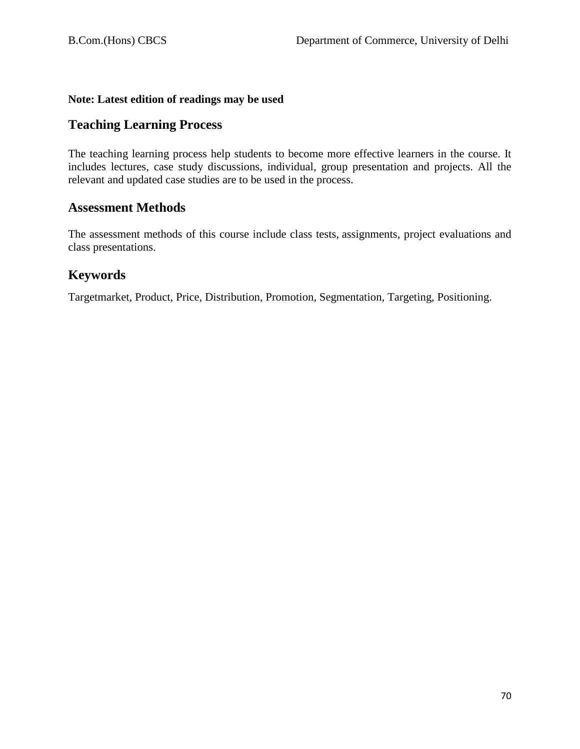### **Note: Latest edition of readings may be used**

# **Teaching Learning Process**

The teaching learning process help students to become more effective learners in the course. It includes lectures, case study discussions, individual, group presentation and projects. All the relevant and updated case studies are to be used in the process.

# **Assessment Methods**

The assessment methods of this course include class tests, assignments, project evaluations and class presentations.

# **Keywords**

Targetmarket, Product, Price, Distribution, Promotion, Segmentation, Targeting, Positioning.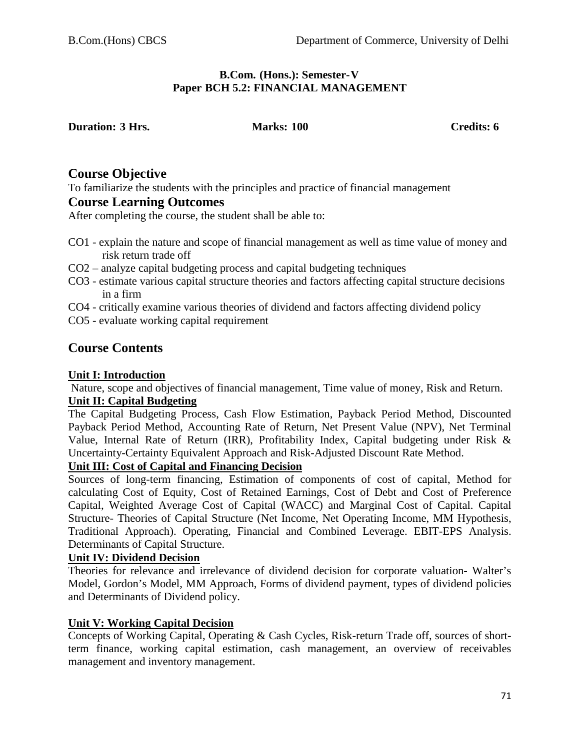#### **B.Com. (Hons.): Semester-V Paper BCH 5.2: FINANCIAL MANAGEMENT**

| <b>Duration: 3 Hrs.</b> |  |  |
|-------------------------|--|--|
|-------------------------|--|--|

**Duration: 3 Hrs. Marks: 100 Credits: 6**

### **Course Objective**

To familiarize the students with the principles and practice of financial management

# **Course Learning Outcomes**

After completing the course, the student shall be able to:

- CO1 explain the nature and scope of financial management as well as time value of money and risk return trade off
- CO2 analyze capital budgeting process and capital budgeting techniques
- CO3 estimate various capital structure theories and factors affecting capital structure decisions in a firm
- CO4 critically examine various theories of dividend and factors affecting dividend policy
- CO5 evaluate working capital requirement

# **Course Contents**

### **Unit I: Introduction**

Nature, scope and objectives of financial management, Time value of money, Risk and Return. **Unit II: Capital Budgeting** 

The Capital Budgeting Process, Cash Flow Estimation, Payback Period Method, Discounted Payback Period Method, Accounting Rate of Return, Net Present Value (NPV), Net Terminal Value, Internal Rate of Return (IRR), Profitability Index, Capital budgeting under Risk & Uncertainty-Certainty Equivalent Approach and Risk-Adjusted Discount Rate Method.

### **Unit III: Cost of Capital and Financing Decision**

Sources of long-term financing, Estimation of components of cost of capital, Method for calculating Cost of Equity, Cost of Retained Earnings, Cost of Debt and Cost of Preference Capital, Weighted Average Cost of Capital (WACC) and Marginal Cost of Capital. Capital Structure- Theories of Capital Structure (Net Income, Net Operating Income, MM Hypothesis, Traditional Approach). Operating, Financial and Combined Leverage. EBIT-EPS Analysis. Determinants of Capital Structure.

#### **Unit IV: Dividend Decision**

Theories for relevance and irrelevance of dividend decision for corporate valuation- Walter's Model, Gordon's Model, MM Approach, Forms of dividend payment, types of dividend policies and Determinants of Dividend policy.

#### **Unit V: Working Capital Decision**

Concepts of Working Capital, Operating & Cash Cycles, Risk-return Trade off, sources of shortterm finance, working capital estimation, cash management, an overview of receivables management and inventory management.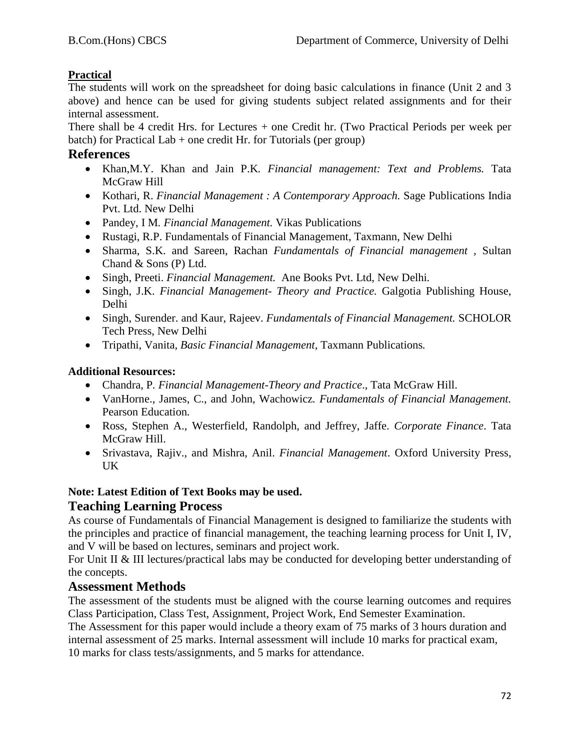# **Practical**

The students will work on the spreadsheet for doing basic calculations in finance (Unit 2 and 3 above) and hence can be used for giving students subject related assignments and for their internal assessment.

There shall be 4 credit Hrs. for Lectures + one Credit hr. (Two Practical Periods per week per batch) for Practical Lab  $+$  one credit Hr. for Tutorials (per group)

### **References**

- Khan,M.Y. Khan and Jain P.K*. Financial management: Text and Problems.* Tata McGraw Hill
- Kothari, R. *Financial Management : A Contemporary Approach.* Sage Publications India Pvt. Ltd. New Delhi
- Pandey, I M*. Financial Management.* Vikas Publications
- Rustagi, R.P. Fundamentals of Financial Management, Taxmann, New Delhi
- Sharma, S.K. and Sareen, Rachan *Fundamentals of Financial management ,* Sultan Chand & Sons (P) Ltd.
- Singh, Preeti. *Financial Management.* Ane Books Pvt. Ltd, New Delhi*.*
- Singh, J.K. *Financial Management- Theory and Practice.* Galgotia Publishing House, Delhi
- Singh, Surender. and Kaur, Rajeev. *Fundamentals of Financial Management.* SCHOLOR Tech Press, New Delhi
- Tripathi, Vanita*, Basic Financial Management,* Taxmann Publications*.*

### **Additional Resources:**

- Chandra, P*. Financial Management-Theory and Practice*., Tata McGraw Hill.
- VanHorne., James, C., and John, Wachowicz*. Fundamentals of Financial Management.*  Pearson Education*.*
- Ross, Stephen A., Westerfield, Randolph, and Jeffrey, Jaffe. *Corporate Finance*. Tata McGraw Hill.
- Srivastava, Rajiv., and Mishra, Anil. *Financial Management*. Oxford University Press, UK

# **Note: Latest Edition of Text Books may be used.**

# **Teaching Learning Process**

As course of Fundamentals of Financial Management is designed to familiarize the students with the principles and practice of financial management, the teaching learning process for Unit I, IV, and V will be based on lectures, seminars and project work.

For Unit II & III lectures/practical labs may be conducted for developing better understanding of the concepts.

# **Assessment Methods**

The assessment of the students must be aligned with the course learning outcomes and requires Class Participation, Class Test, Assignment, Project Work, End Semester Examination.

The Assessment for this paper would include a theory exam of 75 marks of 3 hours duration and internal assessment of 25 marks. Internal assessment will include 10 marks for practical exam, 10 marks for class tests/assignments, and 5 marks for attendance.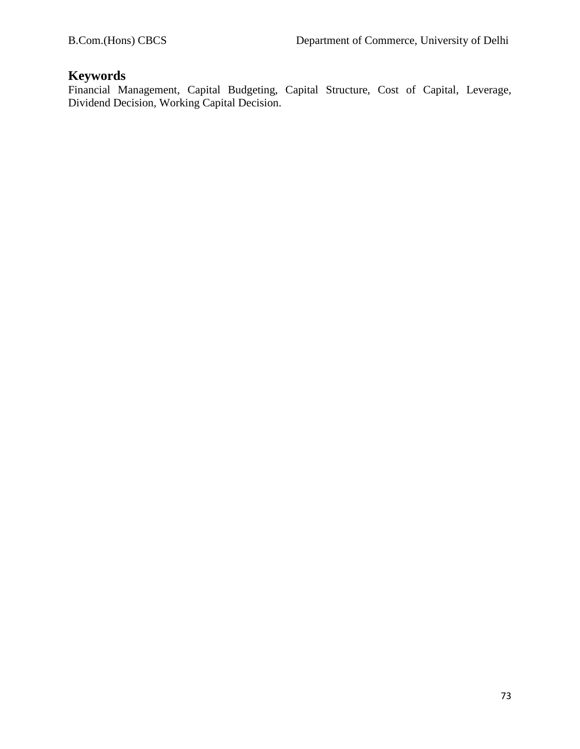# **Keywords**

Financial Management, Capital Budgeting, Capital Structure, Cost of Capital, Leverage, Dividend Decision, Working Capital Decision.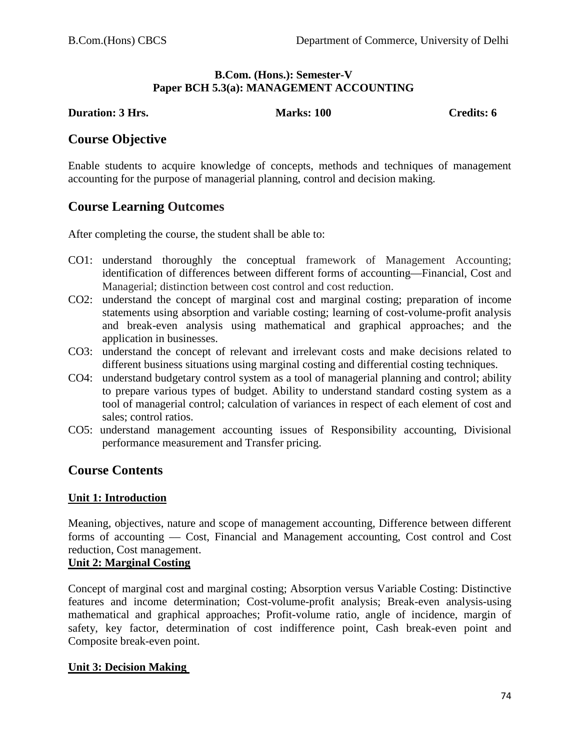#### **B.Com. (Hons.): Semester-V Paper BCH 5.3(a): MANAGEMENT ACCOUNTING**

**Duration: 3 Hrs. Marks: 100 Credits: 6 Credits: 6** 

# **Course Objective**

Enable students to acquire knowledge of concepts, methods and techniques of management accounting for the purpose of managerial planning, control and decision making.

# **Course Learning Outcomes**

After completing the course, the student shall be able to:

- CO1: understand thoroughly the conceptual framework of Management Accounting; identification of differences between different forms of accounting––Financial, Cost and Managerial; distinction between cost control and cost reduction.
- CO2: understand the concept of marginal cost and marginal costing; preparation of income statements using absorption and variable costing; learning of cost-volume-profit analysis and break-even analysis using mathematical and graphical approaches; and the application in businesses.
- CO3: understand the concept of relevant and irrelevant costs and make decisions related to different business situations using marginal costing and differential costing techniques.
- CO4: understand budgetary control system as a tool of managerial planning and control; ability to prepare various types of budget. Ability to understand standard costing system as a tool of managerial control; calculation of variances in respect of each element of cost and sales; control ratios.
- CO5: understand management accounting issues of Responsibility accounting, Divisional performance measurement and Transfer pricing.

# **Course Contents**

#### **Unit 1: Introduction**

Meaning, objectives, nature and scope of management accounting, Difference between different forms of accounting –– Cost, Financial and Management accounting, Cost control and Cost reduction, Cost management.

#### **Unit 2: Marginal Costing**

Concept of marginal cost and marginal costing; Absorption versus Variable Costing: Distinctive features and income determination; Cost-volume-profit analysis; Break-even analysis-using mathematical and graphical approaches; Profit-volume ratio, angle of incidence, margin of safety, key factor, determination of cost indifference point, Cash break-even point and Composite break-even point.

#### **Unit 3: Decision Making**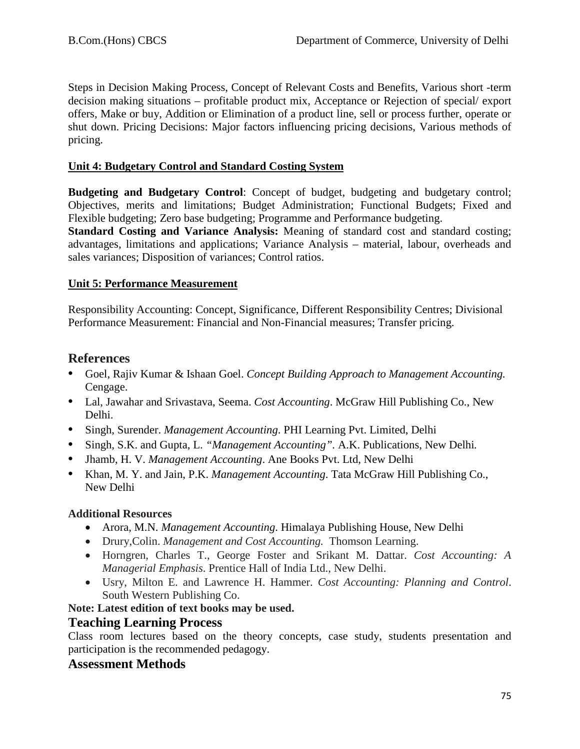Steps in Decision Making Process, Concept of Relevant Costs and Benefits, Various short -term decision making situations – profitable product mix, Acceptance or Rejection of special/ export offers, Make or buy, Addition or Elimination of a product line, sell or process further, operate or shut down. Pricing Decisions: Major factors influencing pricing decisions, Various methods of pricing.

### **Unit 4: Budgetary Control and Standard Costing System**

**Budgeting and Budgetary Control:** Concept of budget, budgeting and budgetary control; Objectives, merits and limitations; Budget Administration; Functional Budgets; Fixed and Flexible budgeting; Zero base budgeting; Programme and Performance budgeting.

**Standard Costing and Variance Analysis:** Meaning of standard cost and standard costing; advantages, limitations and applications; Variance Analysis – material, labour, overheads and sales variances; Disposition of variances; Control ratios.

## **Unit 5: Performance Measurement**

Responsibility Accounting: Concept, Significance, Different Responsibility Centres; Divisional Performance Measurement: Financial and Non-Financial measures; Transfer pricing.

# **References**

- **•** Goel, Rajiv Kumar & Ishaan Goel. *Concept Building Approach to Management Accounting.* Cengage.
- **•** Lal, Jawahar and Srivastava, Seema. *Cost Accounting*. McGraw Hill Publishing Co., New Delhi.
- **•** Singh, Surender. *Management Accounting*. PHI Learning Pvt. Limited, Delhi
- **•** Singh, S.K. and Gupta, L. *"Management Accounting".* A.K. Publications, New Delhi*.*
- **•** Jhamb, H. V. *Management Accounting*. Ane Books Pvt. Ltd, New Delhi
- **•** Khan, M. Y. and Jain, P.K. *Management Accounting*. Tata McGraw Hill Publishing Co., New Delhi

# **Additional Resources**

- Arora, M.N. *Management Accounting*. Himalaya Publishing House, New Delhi
- Drury,Colin. *Management and Cost Accounting.* Thomson Learning.
- Horngren, Charles T., George Foster and Srikant M. Dattar. *Cost Accounting: A Managerial Emphasis*. Prentice Hall of India Ltd., New Delhi.
- Usry, Milton E. and Lawrence H. Hammer. *Cost Accounting: Planning and Control*. South Western Publishing Co.

# **Note: Latest edition of text books may be used.**

# **Teaching Learning Process**

Class room lectures based on the theory concepts, case study, students presentation and participation is the recommended pedagogy.

# **Assessment Methods**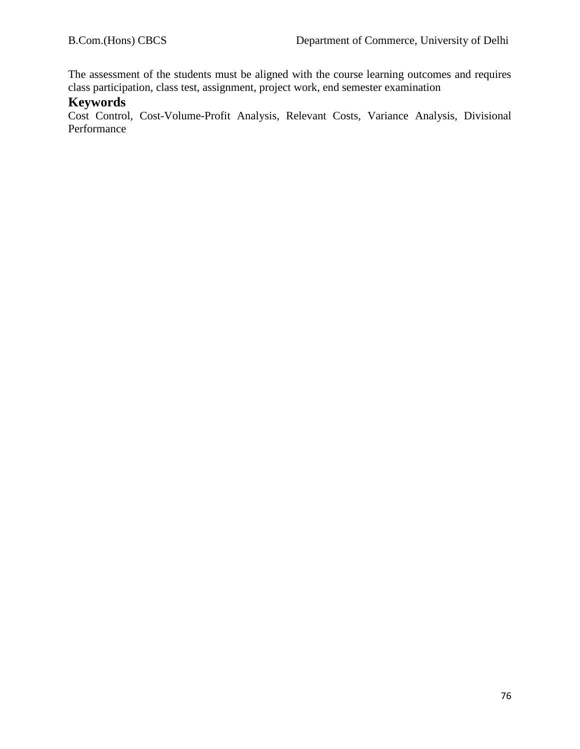The assessment of the students must be aligned with the course learning outcomes and requires class participation, class test, assignment, project work, end semester examination

## **Keywords**

Cost Control, Cost-Volume-Profit Analysis, Relevant Costs, Variance Analysis, Divisional Performance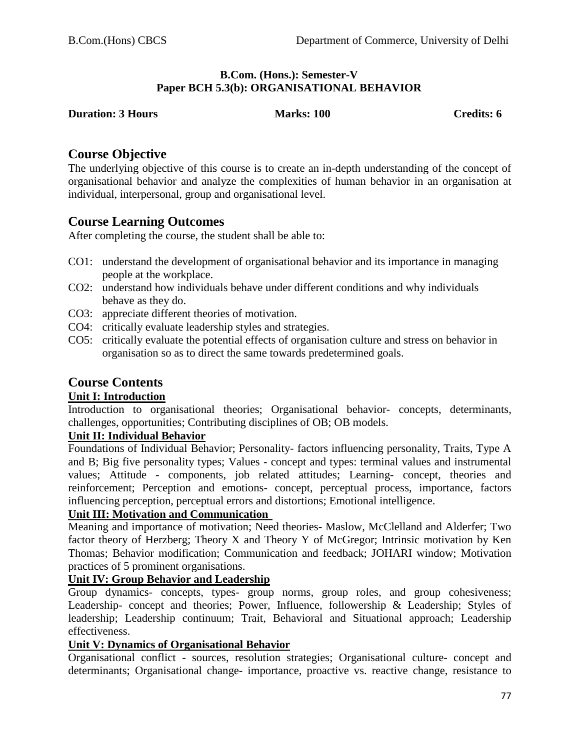#### **B.Com. (Hons.): Semester-V Paper BCH 5.3(b): ORGANISATIONAL BEHAVIOR**

**Duries:** 100 Credits: 6

# **Course Objective**

The underlying objective of this course is to create an in-depth understanding of the concept of organisational behavior and analyze the complexities of human behavior in an organisation at individual, interpersonal, group and organisational level.

# **Course Learning Outcomes**

After completing the course, the student shall be able to:

- CO1: understand the development of organisational behavior and its importance in managing people at the workplace.
- CO2: understand how individuals behave under different conditions and why individuals behave as they do.
- CO3: appreciate different theories of motivation.
- CO4: critically evaluate leadership styles and strategies.
- CO5: critically evaluate the potential effects of organisation culture and stress on behavior in organisation so as to direct the same towards predetermined goals.

# **Course Contents**

# **Unit I: Introduction**

Introduction to organisational theories; Organisational behavior- concepts, determinants, challenges, opportunities; Contributing disciplines of OB; OB models.

# **Unit II: Individual Behavior**

Foundations of Individual Behavior; Personality- factors influencing personality, Traits, Type A and B; Big five personality types; Values - concept and types: terminal values and instrumental values; Attitude - components, job related attitudes; Learning- concept, theories and reinforcement; Perception and emotions- concept, perceptual process, importance, factors influencing perception, perceptual errors and distortions; Emotional intelligence.

# **Unit III: Motivation and Communication**

Meaning and importance of motivation; Need theories- Maslow, McClelland and Alderfer; Two factor theory of Herzberg; Theory X and Theory Y of McGregor; Intrinsic motivation by Ken Thomas; Behavior modification; Communication and feedback; JOHARI window; Motivation practices of 5 prominent organisations.

# **Unit IV: Group Behavior and Leadership**

Group dynamics- concepts, types- group norms, group roles, and group cohesiveness; Leadership- concept and theories; Power, Influence, followership & Leadership; Styles of leadership; Leadership continuum; Trait, Behavioral and Situational approach; Leadership effectiveness.

# **Unit V: Dynamics of Organisational Behavior**

Organisational conflict - sources, resolution strategies; Organisational culture- concept and determinants; Organisational change- importance, proactive vs. reactive change, resistance to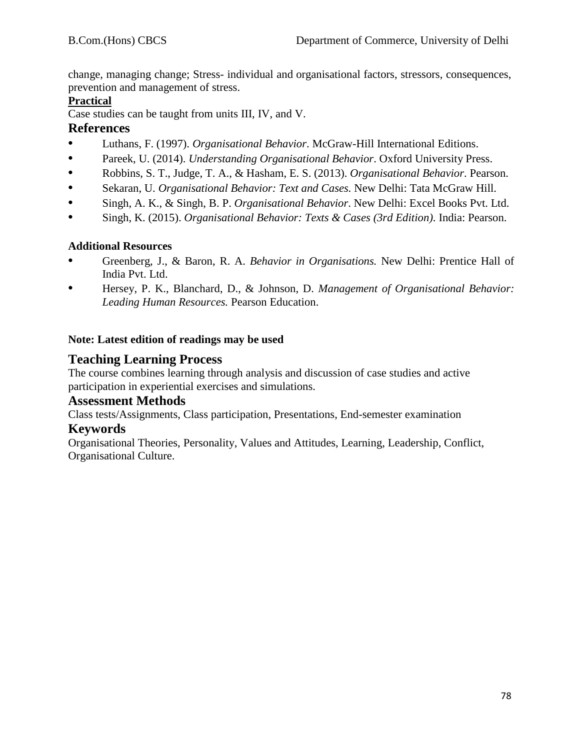change, managing change; Stress- individual and organisational factors, stressors, consequences, prevention and management of stress.

# **Practical**

Case studies can be taught from units III, IV, and V.

# **References**

- **•** Luthans, F. (1997). *Organisational Behavior*. McGraw-Hill International Editions.
- **•** Pareek, U. (2014). *Understanding Organisational Behavior*. Oxford University Press.
- **•** Robbins, S. T., Judge, T. A., & Hasham, E. S. (2013). *Organisational Behavior*. Pearson.
- **•** Sekaran, U. *Organisational Behavior: Text and Cases.* New Delhi: Tata McGraw Hill.
- **•** Singh, A. K., & Singh, B. P. *Organisational Behavior*. New Delhi: Excel Books Pvt. Ltd.
- **•** Singh, K. (2015). *Organisational Behavior: Texts & Cases (3rd Edition)*. India: Pearson.

# **Additional Resources**

- **•** Greenberg, J., & Baron, R. A. *Behavior in Organisations.* New Delhi: Prentice Hall of India Pvt. Ltd.
- **•** Hersey, P. K., Blanchard, D., & Johnson, D. *Management of Organisational Behavior: Leading Human Resources.* Pearson Education.

# **Note: Latest edition of readings may be used**

# **Teaching Learning Process**

The course combines learning through analysis and discussion of case studies and active participation in experiential exercises and simulations.

# **Assessment Methods**

Class tests/Assignments, Class participation, Presentations, End-semester examination

# **Keywords**

Organisational Theories, Personality, Values and Attitudes, Learning, Leadership, Conflict, Organisational Culture.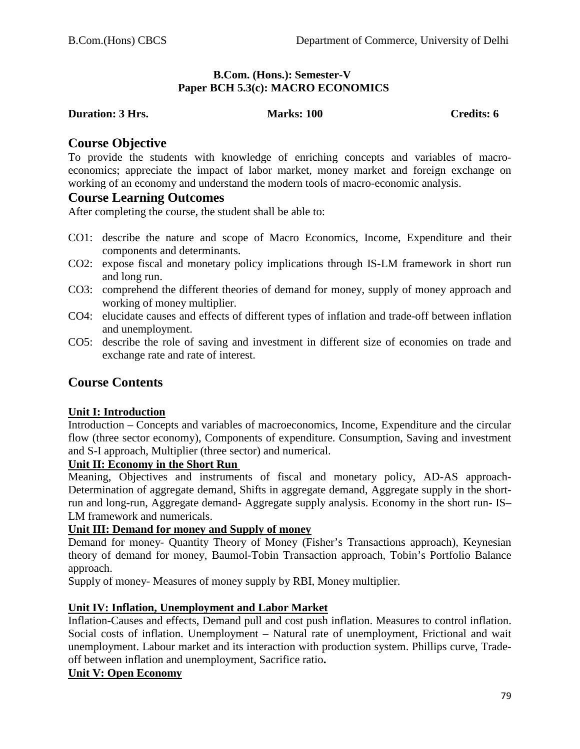#### **B.Com. (Hons.): Semester-V Paper BCH 5.3(c): MACRO ECONOMICS**

#### **Duration: 3 Hrs. Marks: 100 Credits: 6 Credits: 6 Credits: 6**

## **Course Objective**

To provide the students with knowledge of enriching concepts and variables of macroeconomics; appreciate the impact of labor market, money market and foreign exchange on working of an economy and understand the modern tools of macro-economic analysis.

## **Course Learning Outcomes**

After completing the course, the student shall be able to:

- CO1: describe the nature and scope of Macro Economics, Income, Expenditure and their components and determinants.
- CO2: expose fiscal and monetary policy implications through IS-LM framework in short run and long run.
- CO3: comprehend the different theories of demand for money, supply of money approach and working of money multiplier.
- CO4: elucidate causes and effects of different types of inflation and trade-off between inflation and unemployment.
- CO5: describe the role of saving and investment in different size of economies on trade and exchange rate and rate of interest.

# **Course Contents**

#### **Unit I: Introduction**

Introduction – Concepts and variables of macroeconomics, Income, Expenditure and the circular flow (three sector economy), Components of expenditure. Consumption, Saving and investment and S-I approach, Multiplier (three sector) and numerical.

#### **Unit II: Economy in the Short Run**

Meaning, Objectives and instruments of fiscal and monetary policy, AD-AS approach-Determination of aggregate demand, Shifts in aggregate demand, Aggregate supply in the shortrun and long-run, Aggregate demand- Aggregate supply analysis. Economy in the short run- IS– LM framework and numericals.

#### **Unit III: Demand for money and Supply of money**

Demand for money- Quantity Theory of Money (Fisher's Transactions approach), Keynesian theory of demand for money, Baumol-Tobin Transaction approach, Tobin's Portfolio Balance approach.

Supply of money- Measures of money supply by RBI, Money multiplier.

#### **Unit IV: Inflation, Unemployment and Labor Market**

Inflation-Causes and effects, Demand pull and cost push inflation. Measures to control inflation. Social costs of inflation. Unemployment – Natural rate of unemployment, Frictional and wait unemployment. Labour market and its interaction with production system. Phillips curve, Tradeoff between inflation and unemployment, Sacrifice ratio**.**

#### **Unit V: Open Economy**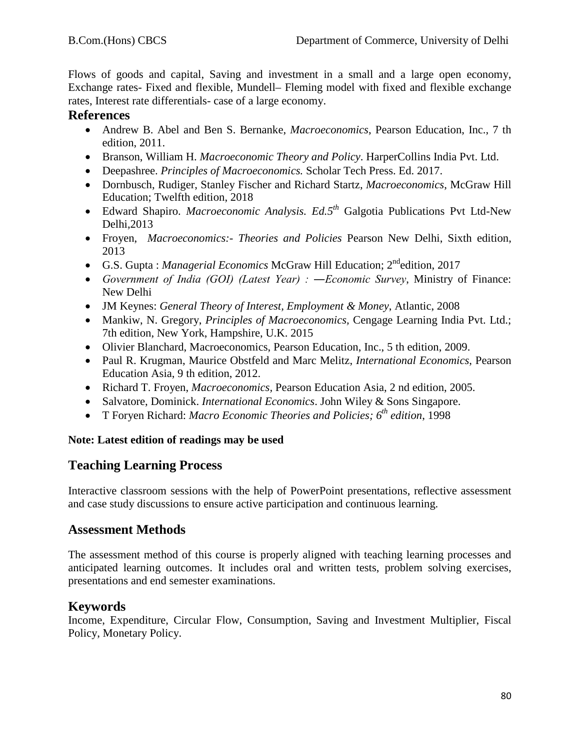Flows of goods and capital, Saving and investment in a small and a large open economy, Exchange rates- Fixed and flexible, Mundell– Fleming model with fixed and flexible exchange rates, Interest rate differentials- case of a large economy.

# **References**

- Andrew B. Abel and Ben S. Bernanke, *Macroeconomics*, Pearson Education, Inc., 7 th edition, 2011.
- Branson, William H. *Macroeconomic Theory and Policy*. HarperCollins India Pvt. Ltd.
- Deepashree. *Principles of Macroeconomics.* Scholar Tech Press. Ed. 2017.
- Dornbusch, Rudiger, Stanley Fischer and [Richard Startz,](https://www.amazon.in/s/ref=dp_byline_sr_book_3?ie=UTF8&field-author=Richard+Startz&search-alias=stripbooks) *Macroeconomics*, McGraw Hill Education; Twelfth edition, 2018
- Edward Shapiro. *Macroeconomic Analysis. Ed.5th* Galgotia Publications Pvt Ltd-New Delhi,2013
- Froyen, *Macroeconomics:- Theories and Policies* Pearson New Delhi, Sixth edition, 2013
- G.S. Gupta : *Managerial Economics* McGraw Hill Education; 2ndedition, 2017
- *Government of India (GOI) (Latest Year) : ―Economic Survey*, Ministry of Finance: New Delhi
- JM Keynes: *General Theory of Interest, Employment & Money*, Atlantic, 2008
- Mankiw, N. Gregory, *Principles of Macroeconomics,* Cengage Learning India Pvt. Ltd.; 7th edition, New York, Hampshire, U.K. 2015
- Olivier Blanchard, Macroeconomics, Pearson Education, Inc., 5 th edition, 2009.
- Paul R. Krugman, Maurice Obstfeld and Marc Melitz, *International Economics*, Pearson Education Asia, 9 th edition, 2012.
- Richard T. Froyen, *Macroeconomics,* Pearson Education Asia, 2 nd edition, 2005.
- Salvatore, Dominick. *International Economics*. John Wiley & Sons Singapore.
- T Foryen Richard: *Macro Economic Theories and Policies; 6th edition*, 1998

#### **Note: Latest edition of readings may be used**

# **Teaching Learning Process**

Interactive classroom sessions with the help of PowerPoint presentations, reflective assessment and case study discussions to ensure active participation and continuous learning.

# **Assessment Methods**

The assessment method of this course is properly aligned with teaching learning processes and anticipated learning outcomes. It includes oral and written tests, problem solving exercises, presentations and end semester examinations.

# **Keywords**

Income, Expenditure, Circular Flow, Consumption, Saving and Investment Multiplier, Fiscal Policy, Monetary Policy.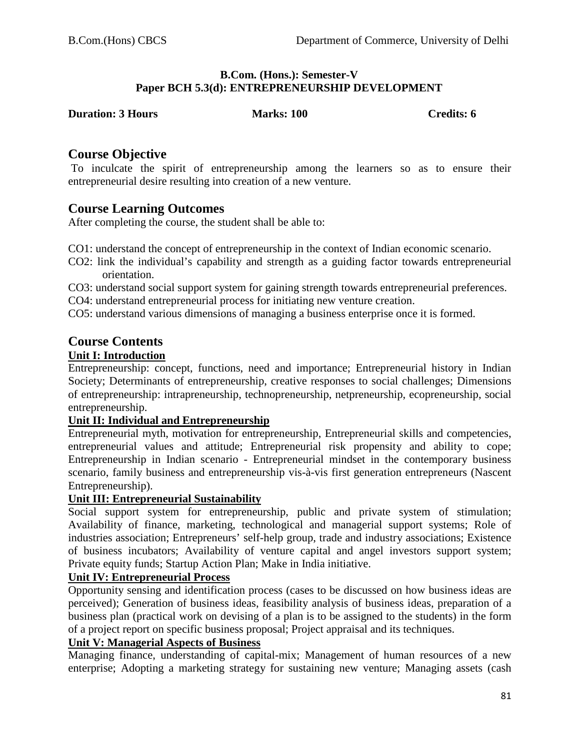#### **B.Com. (Hons.): Semester-V Paper BCH 5.3(d): ENTREPRENEURSHIP DEVELOPMENT**

**Duration: Duration: Credits: 6** 

# **Course Objective**

To inculcate the spirit of entrepreneurship among the learners so as to ensure their entrepreneurial desire resulting into creation of a new venture.

# **Course Learning Outcomes**

After completing the course, the student shall be able to:

- CO1: understand the concept of entrepreneurship in the context of Indian economic scenario.
- CO2: link the individual's capability and strength as a guiding factor towards entrepreneurial orientation.
- CO3: understand social support system for gaining strength towards entrepreneurial preferences.
- CO4: understand entrepreneurial process for initiating new venture creation.
- CO5: understand various dimensions of managing a business enterprise once it is formed.

# **Course Contents**

# **Unit I: Introduction**

Entrepreneurship: concept, functions, need and importance; Entrepreneurial history in Indian Society; Determinants of entrepreneurship, creative responses to social challenges; Dimensions of entrepreneurship: intrapreneurship, technopreneurship, netpreneurship, ecopreneurship, social entrepreneurship.

# **Unit II: Individual and Entrepreneurship**

Entrepreneurial myth, motivation for entrepreneurship, Entrepreneurial skills and competencies, entrepreneurial values and attitude; Entrepreneurial risk propensity and ability to cope; Entrepreneurship in Indian scenario - Entrepreneurial mindset in the contemporary business scenario, family business and entrepreneurship vis-à-vis first generation entrepreneurs (Nascent Entrepreneurship).

# **Unit III: Entrepreneurial Sustainability**

Social support system for entrepreneurship, public and private system of stimulation; Availability of finance, marketing, technological and managerial support systems; Role of industries association; Entrepreneurs' self-help group, trade and industry associations; Existence of business incubators; Availability of venture capital and angel investors support system; Private equity funds; Startup Action Plan; Make in India initiative.

# **Unit IV: Entrepreneurial Process**

Opportunity sensing and identification process (cases to be discussed on how business ideas are perceived); Generation of business ideas, feasibility analysis of business ideas, preparation of a business plan (practical work on devising of a plan is to be assigned to the students) in the form of a project report on specific business proposal; Project appraisal and its techniques.

#### **Unit V: Managerial Aspects of Business**

Managing finance, understanding of capital-mix; Management of human resources of a new enterprise; Adopting a marketing strategy for sustaining new venture; Managing assets (cash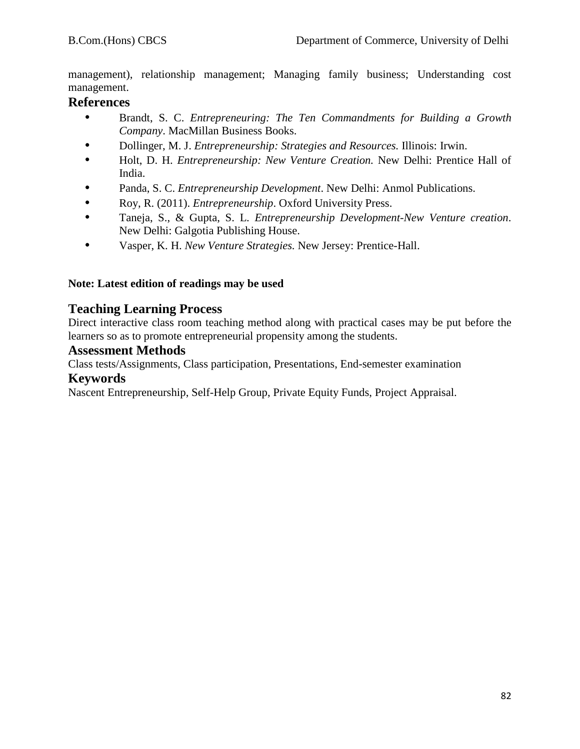management), relationship management; Managing family business; Understanding cost management.

# **References**

- **•** Brandt, S. C. *Entrepreneuring: The Ten Commandments for Building a Growth Company*. MacMillan Business Books.
- **•** Dollinger, M. J. *Entrepreneurship: Strategies and Resources.* Illinois: Irwin.
- **•** Holt, D. H. *Entrepreneurship: New Venture Creation.* New Delhi: Prentice Hall of India.
- **•** Panda, S. C. *Entrepreneurship Development*. New Delhi: Anmol Publications.
- **•** Roy, R. (2011). *Entrepreneurship*. Oxford University Press.
- **•** Taneja, S., & Gupta, S. L. *Entrepreneurship Development-New Venture creation*. New Delhi: Galgotia Publishing House.
- **•** Vasper, K. H. *New Venture Strategies.* New Jersey: Prentice-Hall.

#### **Note: Latest edition of readings may be used**

# **Teaching Learning Process**

Direct interactive class room teaching method along with practical cases may be put before the learners so as to promote entrepreneurial propensity among the students.

# **Assessment Methods**

Class tests/Assignments, Class participation, Presentations, End-semester examination

## **Keywords**

Nascent Entrepreneurship, Self-Help Group, Private Equity Funds, Project Appraisal.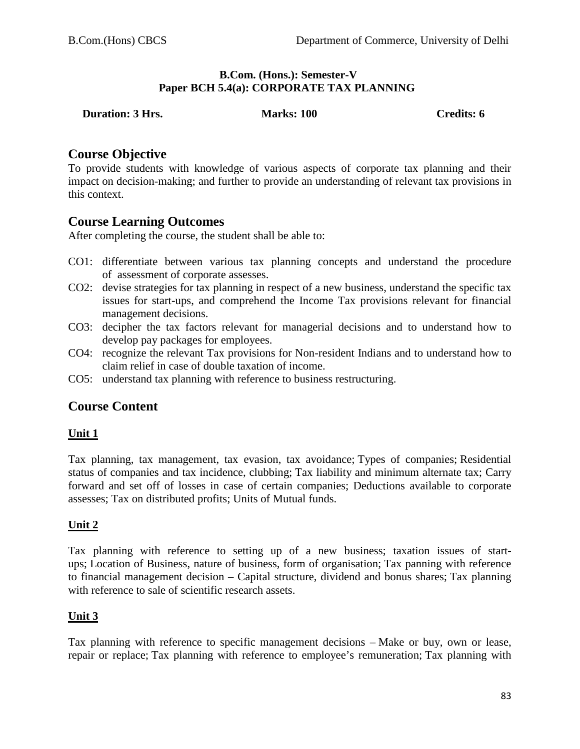#### **B.Com. (Hons.): Semester-V Paper BCH 5.4(a): CORPORATE TAX PLANNING**

| <b>Credits: 6</b><br><b>Marks: 100</b><br><b>Duration: 3 Hrs.</b> |
|-------------------------------------------------------------------|
|-------------------------------------------------------------------|

# **Course Objective**

To provide students with knowledge of various aspects of corporate tax planning and their impact on decision-making; and further to provide an understanding of relevant tax provisions in this context.

# **Course Learning Outcomes**

After completing the course, the student shall be able to:

- CO1: differentiate between various tax planning concepts and understand the procedure of assessment of corporate assesses.
- CO2: devise strategies for tax planning in respect of a new business, understand the specific tax issues for start-ups, and comprehend the Income Tax provisions relevant for financial management decisions.
- CO3: decipher the tax factors relevant for managerial decisions and to understand how to develop pay packages for employees.
- CO4: recognize the relevant Tax provisions for Non-resident Indians and to understand how to claim relief in case of double taxation of income.
- CO5: understand tax planning with reference to business restructuring.

# **Course Content**

#### **Unit 1**

Tax planning, tax management, tax evasion, tax avoidance; Types of companies; Residential status of companies and tax incidence, clubbing; Tax liability and minimum alternate tax; Carry forward and set off of losses in case of certain companies; Deductions available to corporate assesses; Tax on distributed profits; Units of Mutual funds.

#### **Unit 2**

Tax planning with reference to setting up of a new business; taxation issues of startups; Location of Business, nature of business, form of organisation; Tax panning with reference to financial management decision – Capital structure, dividend and bonus shares; Tax planning with reference to sale of scientific research assets.

#### **Unit 3**

Tax planning with reference to specific management decisions – Make or buy, own or lease, repair or replace; Tax planning with reference to employee's remuneration; Tax planning with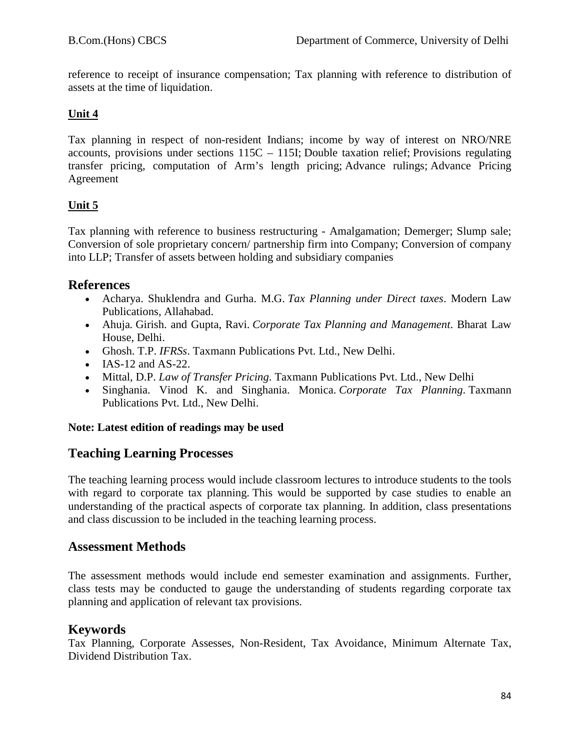reference to receipt of insurance compensation; Tax planning with reference to distribution of assets at the time of liquidation.

# **Unit 4** *Construction 3 <b>Construction Construction 3 <b>Construction Construction 3 <b>Construction Construction Construction Construction Construction Construction Construction Construction Construct*

Tax planning in respect of non-resident Indians; income by way of interest on NRO/NRE accounts, provisions under sections 115C – 115I; Double taxation relief; Provisions regulating transfer pricing, computation of Arm's length pricing; Advance rulings; Advance Pricing Agreement

# **Unit 5**

Tax planning with reference to business restructuring - Amalgamation; Demerger; Slump sale; Conversion of sole proprietary concern/ partnership firm into Company; Conversion of company into LLP; Transfer of assets between holding and subsidiary companies

# **References**

- Acharya. Shuklendra and Gurha. M.G. *Tax Planning under Direct taxes*. Modern Law Publications, Allahabad.
- Ahuja*.* Girish. and Gupta, Ravi. *Corporate Tax Planning and Management*. Bharat Law House, Delhi.
- Ghosh. T.P. *IFRSs*. Taxmann Publications Pvt. Ltd., New Delhi.
- IAS-12 and AS-22.
- Mittal, D.P. *Law of Transfer Pricing*. Taxmann Publications Pvt. Ltd., New Delhi
- Singhania. Vinod K. and Singhania. Monica. *Corporate Tax Planning*. Taxmann Publications Pvt. Ltd., New Delhi.

# **Note: Latest edition of readings may be used**

# **Teaching Learning Processes**

The teaching learning process would include classroom lectures to introduce students to the tools with regard to corporate tax planning. This would be supported by case studies to enable an understanding of the practical aspects of corporate tax planning. In addition, class presentations and class discussion to be included in the teaching learning process.

# **Assessment Methods**

The assessment methods would include end semester examination and assignments. Further, class tests may be conducted to gauge the understanding of students regarding corporate tax planning and application of relevant tax provisions.

# **Keywords**

Tax Planning, Corporate Assesses, Non-Resident, Tax Avoidance, Minimum Alternate Tax, Dividend Distribution Tax.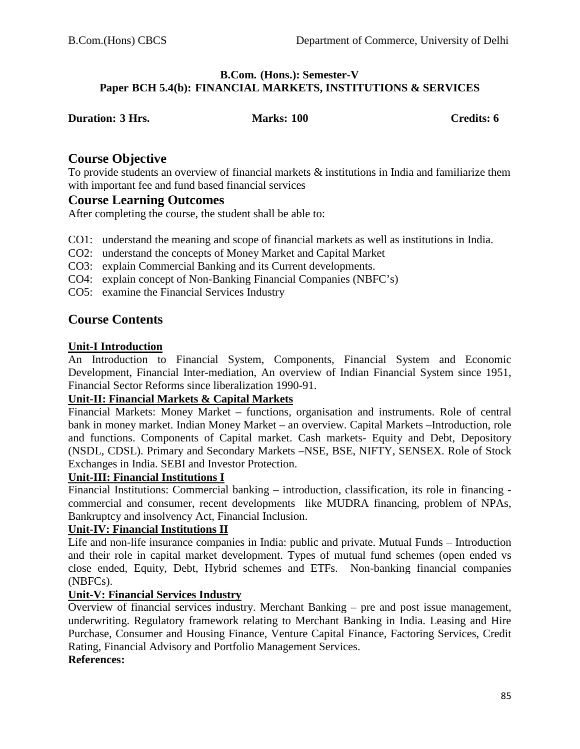#### **B.Com. (Hons.): Semester-V Paper BCH 5.4(b): FINANCIAL MARKETS, INSTITUTIONS & SERVICES**

| <b>Duration: 3 Hrs.</b> | <b>Marks: 100</b> | Credits: 6 |
|-------------------------|-------------------|------------|

## **Course Objective**

To provide students an overview of financial markets & institutions in India and familiarize them with important fee and fund based financial services

#### **Course Learning Outcomes**

After completing the course, the student shall be able to:

- CO1: understand the meaning and scope of financial markets as well as institutions in India.
- CO2: understand the concepts of Money Market and Capital Market
- CO3: explain Commercial Banking and its Current developments.
- CO4: explain concept of Non-Banking Financial Companies (NBFC's)
- CO5: examine the Financial Services Industry

# **Course Contents**

#### **Unit-I Introduction**

An Introduction to Financial System, Components, Financial System and Economic Development, Financial Inter-mediation, An overview of Indian Financial System since 1951, Financial Sector Reforms since liberalization 1990-91.

#### **Unit-II: Financial Markets & Capital Markets**

Financial Markets: Money Market – functions, organisation and instruments. Role of central bank in money market. Indian Money Market – an overview. Capital Markets –Introduction, role and functions. Components of Capital market. Cash markets- Equity and Debt, Depository (NSDL, CDSL). Primary and Secondary Markets –NSE, BSE, NIFTY, SENSEX. Role of Stock Exchanges in India. SEBI and Investor Protection.

#### **Unit-III: Financial Institutions I**

Financial Institutions: Commercial banking – introduction, classification, its role in financing commercial and consumer, recent developments like MUDRA financing, problem of NPAs, Bankruptcy and insolvency Act, Financial Inclusion.

#### **Unit-IV: Financial Institutions II**

Life and non-life insurance companies in India: public and private. Mutual Funds – Introduction and their role in capital market development. Types of mutual fund schemes (open ended vs close ended, Equity, Debt, Hybrid schemes and ETFs. Non-banking financial companies (NBFCs).

#### **Unit-V: Financial Services Industry**

Overview of financial services industry. Merchant Banking – pre and post issue management, underwriting. Regulatory framework relating to Merchant Banking in India. Leasing and Hire Purchase, Consumer and Housing Finance, Venture Capital Finance, Factoring Services, Credit Rating, Financial Advisory and Portfolio Management Services.

#### **References:**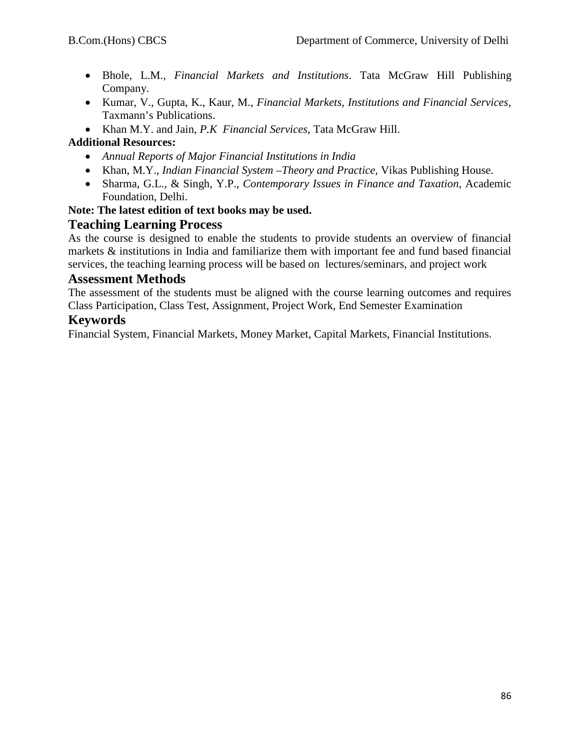- Bhole, L.M., *Financial Markets and Institutions*. Tata McGraw Hill Publishing Company.
- Kumar, V., Gupta, K., Kaur, M., *Financial Markets, Institutions and Financial Services*, Taxmann's Publications.
- Khan M.Y. and Jain, *P.K Financial Services*, Tata McGraw Hill.

# **Additional Resources:**

- *Annual Reports of Major Financial Institutions in India*
- Khan, M.Y., *Indian Financial System –Theory and Practice*, Vikas Publishing House.
- Sharma, G.L., & Singh, Y.P., *Contemporary Issues in Finance and Taxation*, Academic Foundation, Delhi.

# **Note: The latest edition of text books may be used.**

# **Teaching Learning Process**

As the course is designed to enable the students to provide students an overview of financial markets & institutions in India and familiarize them with important fee and fund based financial services, the teaching learning process will be based on lectures/seminars, and project work

## **Assessment Methods**

The assessment of the students must be aligned with the course learning outcomes and requires Class Participation, Class Test, Assignment, Project Work, End Semester Examination

# **Keywords**

Financial System, Financial Markets, Money Market, Capital Markets, Financial Institutions.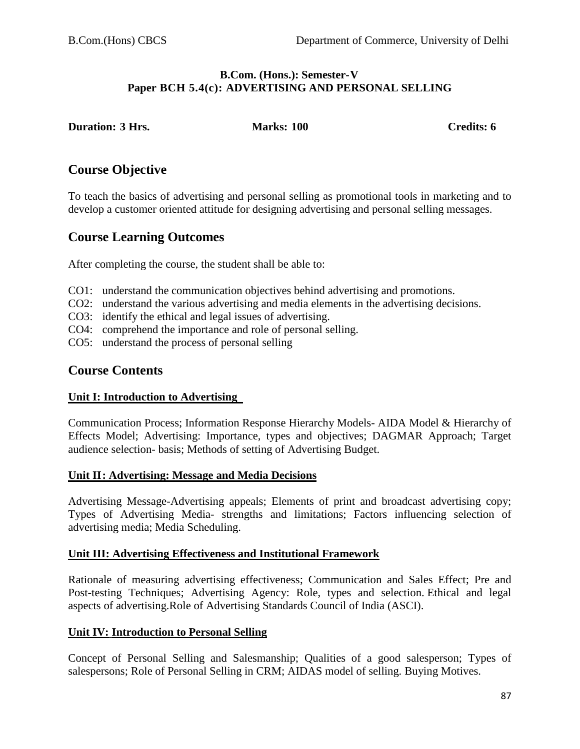#### **B.Com. (Hons.): Semester-V Paper BCH 5.4(c): ADVERTISING AND PERSONAL SELLING**

**Duration: 3 Hrs. Marks: 100 Credits: 6**

# **Course Objective**

To teach the basics of advertising and personal selling as promotional tools in marketing and to develop a customer oriented attitude for designing advertising and personal selling messages.

# **Course Learning Outcomes**

After completing the course, the student shall be able to:

- CO1: understand the communication objectives behind advertising and promotions.
- CO2: understand the various advertising and media elements in the advertising decisions.
- CO3: identify the ethical and legal issues of advertising.
- CO4: comprehend the importance and role of personal selling.
- CO5: understand the process of personal selling

# **Course Contents**

#### **Unit I: Introduction to Advertising**

Communication Process; Information Response Hierarchy Models- AIDA Model & Hierarchy of Effects Model; Advertising: Importance, types and objectives; DAGMAR Approach; Target audience selection- basis; Methods of setting of Advertising Budget.

#### **Unit II: Advertising: Message and Media Decisions**

Advertising Message-Advertising appeals; Elements of print and broadcast advertising copy; Types of Advertising Media- strengths and limitations; Factors influencing selection of advertising media; Media Scheduling.

#### **Unit III: Advertising Effectiveness and Institutional Framework**

Rationale of measuring advertising effectiveness; Communication and Sales Effect; Pre and Post-testing Techniques; Advertising Agency: Role, types and selection. Ethical and legal aspects of advertising.Role of Advertising Standards Council of India (ASCI).

#### **Unit IV: Introduction to Personal Selling**

Concept of Personal Selling and Salesmanship; Qualities of a good salesperson; Types of salespersons; Role of Personal Selling in CRM; AIDAS model of selling. Buying Motives.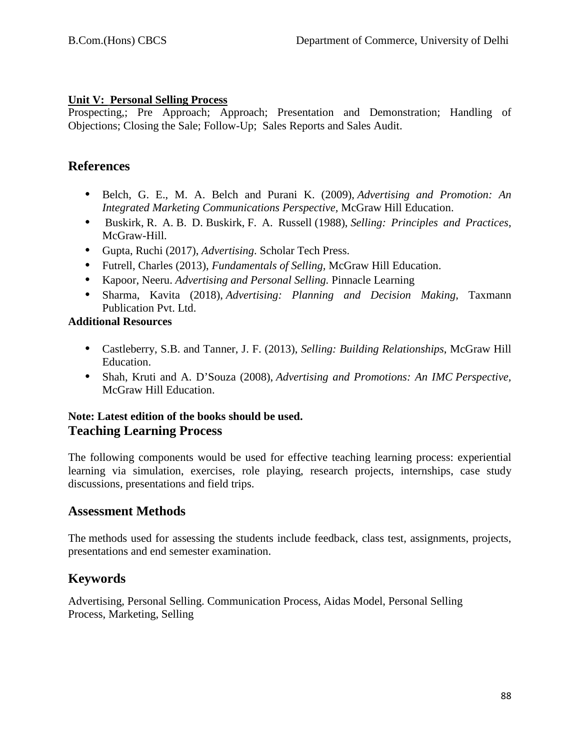### **Unit V: Personal Selling Process**

Prospecting,; Pre Approach; Approach; Presentation and Demonstration; Handling of Objections; Closing the Sale; Follow-Up; Sales Reports and Sales Audit.

# **References**

- **•** Belch, G. E., M. A. Belch and Purani K. (2009), *Advertising and Promotion: An Integrated Marketing Communications Perspective,* McGraw Hill Education.
- **•** [Buskirk,](https://www.gettextbooks.ca/author/Richard_Hobart_Buskirk) R. A. B. D. [Buskirk,](https://www.gettextbooks.ca/author/Bruce_D_Buskirk) [F. A. Russell](https://www.gettextbooks.ca/author/Frederic_A_Russell) (1988), *Selling: Principles and Practices*, McGraw-Hill.
- **•** Gupta, Ruchi (2017), *Advertising*. Scholar Tech Press.
- **•** Futrell, Charles (2013), *Fundamentals of Selling,* McGraw Hill Education.
- **•** Kapoor, Neeru. *Advertising and Personal Selling.* Pinnacle Learning
- **•** Sharma, Kavita (2018), *Advertising: Planning and Decision Making,* Taxmann Publication Pvt. Ltd.

# **Additional Resources**

- **•** Castleberry, S.B. and Tanner, J. F. (2013), *Selling: Building Relationships*, McGraw Hill Education.
- **•** Shah, Kruti and A. D'Souza (2008), *Advertising and Promotions: An IMC Perspective,*  McGraw Hill Education.

# **Note: Latest edition of the books should be used. Teaching Learning Process**

The following components would be used for effective teaching learning process: experiential learning via simulation, exercises, role playing, research projects, internships, case study discussions, presentations and field trips.

# **Assessment Methods**

The methods used for assessing the students include feedback, class test, assignments, projects, presentations and end semester examination.

# **Keywords**

Advertising, Personal Selling. Communication Process, Aidas Model, Personal Selling Process, Marketing, Selling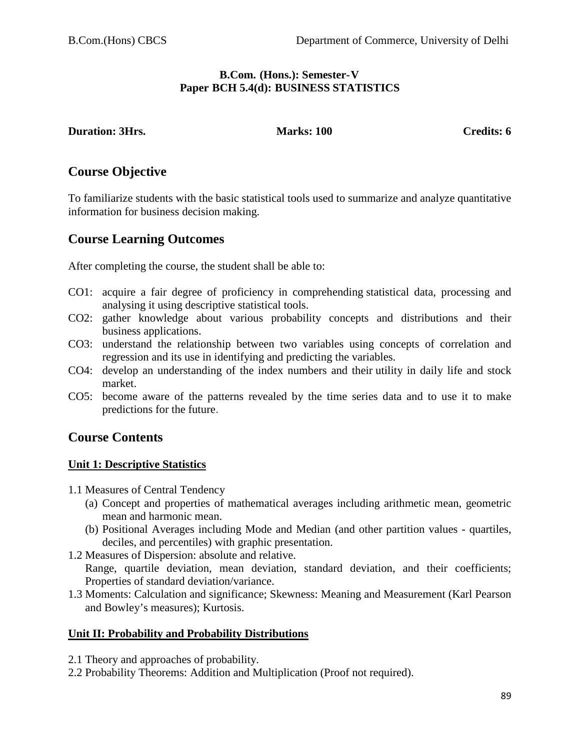#### **B.Com. (Hons.): Semester-V Paper BCH 5.4(d): BUSINESS STATISTICS**

**Duration: 3Hrs.** Marks: 100 Credits: 6

# **Course Objective**

To familiarize students with the basic statistical tools used to summarize and analyze quantitative information for business decision making.

# **Course Learning Outcomes**

After completing the course, the student shall be able to:

- CO1: acquire a fair degree of proficiency in comprehending statistical data, processing and analysing it using descriptive statistical tools.
- CO2: gather knowledge about various probability concepts and distributions and their business applications.
- CO3: understand the relationship between two variables using concepts of correlation and regression and its use in identifying and predicting the variables.
- CO4: develop an understanding of the index numbers and their utility in daily life and stock market.
- CO5: become aware of the patterns revealed by the time series data and to use it to make predictions for the future.

# **Course Contents**

# **Unit 1: Descriptive Statistics**

- 1.1 Measures of Central Tendency
	- (a) Concept and properties of mathematical averages including arithmetic mean, geometric mean and harmonic mean.
	- (b) Positional Averages including Mode and Median (and other partition values quartiles, deciles, and percentiles) with graphic presentation.
- 1.2 Measures of Dispersion: absolute and relative.

Range, quartile deviation, mean deviation, standard deviation, and their coefficients; Properties of standard deviation/variance.

1.3 Moments: Calculation and significance; Skewness: Meaning and Measurement (Karl Pearson and Bowley's measures); Kurtosis.

# **Unit II: Probability and Probability Distributions**

- 2.1 Theory and approaches of probability.
- 2.2 Probability Theorems: Addition and Multiplication (Proof not required).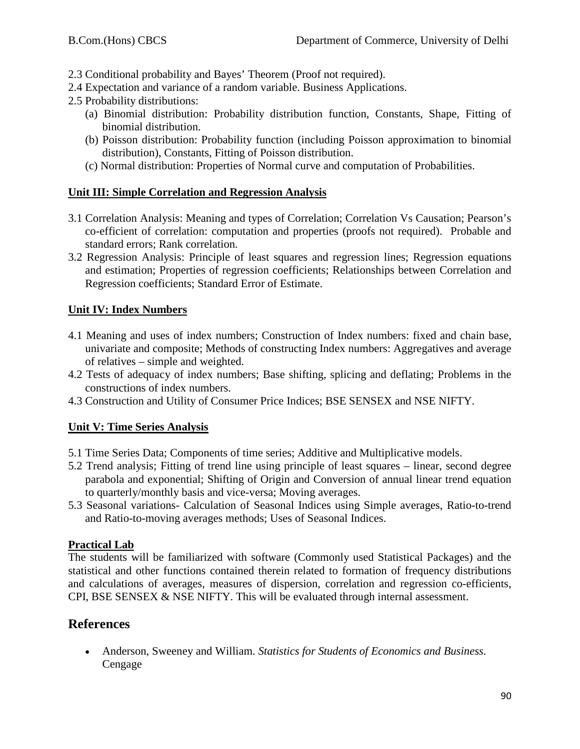- 2.3 Conditional probability and Bayes' Theorem (Proof not required).
- 2.4 Expectation and variance of a random variable. Business Applications.
- 2.5 Probability distributions:
	- (a) Binomial distribution: Probability distribution function, Constants, Shape, Fitting of binomial distribution.
	- (b) Poisson distribution: Probability function (including Poisson approximation to binomial distribution), Constants, Fitting of Poisson distribution.
	- (c) Normal distribution: Properties of Normal curve and computation of Probabilities.

#### **Unit III: Simple Correlation and Regression Analysis**

- 3.1 Correlation Analysis: Meaning and types of Correlation; Correlation Vs Causation; Pearson's co-efficient of correlation: computation and properties (proofs not required). Probable and standard errors; Rank correlation.
- 3.2 Regression Analysis: Principle of least squares and regression lines; Regression equations and estimation; Properties of regression coefficients; Relationships between Correlation and Regression coefficients; Standard Error of Estimate.

#### **Unit IV: Index Numbers**

- 4.1 Meaning and uses of index numbers; Construction of Index numbers: fixed and chain base, univariate and composite; Methods of constructing Index numbers: Aggregatives and average of relatives – simple and weighted.
- 4.2 Tests of adequacy of index numbers; Base shifting, splicing and deflating; Problems in the constructions of index numbers.
- 4.3 Construction and Utility of Consumer Price Indices; BSE SENSEX and NSE NIFTY.

#### **Unit V: Time Series Analysis**

- 5.1 Time Series Data; Components of time series; Additive and Multiplicative models.
- 5.2 Trend analysis; Fitting of trend line using principle of least squares linear, second degree parabola and exponential; Shifting of Origin and Conversion of annual linear trend equation to quarterly/monthly basis and vice-versa; Moving averages.
- 5.3 Seasonal variations- Calculation of Seasonal Indices using Simple averages, Ratio-to-trend and Ratio-to-moving averages methods; Uses of Seasonal Indices.

#### **Practical Lab**

The students will be familiarized with software (Commonly used Statistical Packages) and the statistical and other functions contained therein related to formation of frequency distributions and calculations of averages, measures of dispersion, correlation and regression co-efficients, CPI, BSE SENSEX & NSE NIFTY. This will be evaluated through internal assessment.

# **References**

• Anderson, Sweeney and William. *Statistics for Students of Economics and Business.* Cengage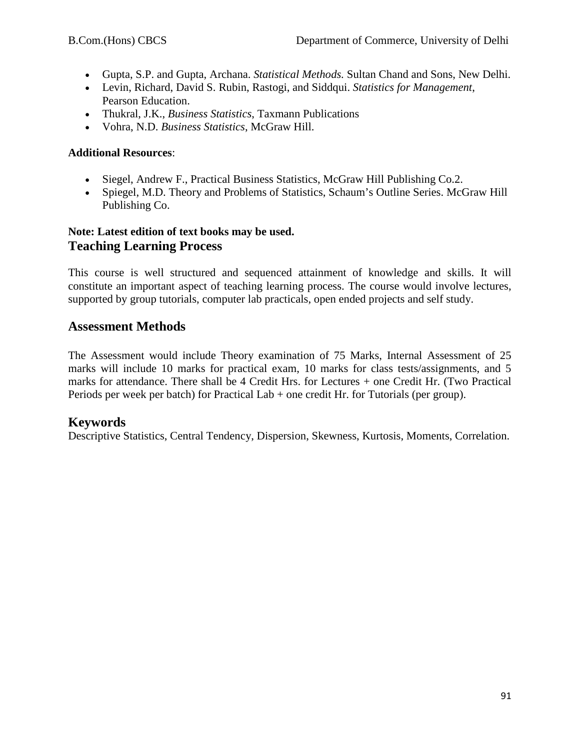- Gupta, S.P. and Gupta, Archana. *Statistical Methods.* Sultan Chand and Sons, New Delhi.
- Levin, Richard, David S. Rubin, Rastogi, and Siddqui. *Statistics for Management*, Pearson Education.
- Thukral, J.K., *Business Statistics*, Taxmann Publications
- Vohra, N.D. *Business Statistics*, McGraw Hill.

## **Additional Resources**:

- Siegel, Andrew F., Practical Business Statistics, McGraw Hill Publishing Co.2.
- Spiegel, M.D. Theory and Problems of Statistics, Schaum's Outline Series. McGraw Hill Publishing Co.

# **Note: Latest edition of text books may be used. Teaching Learning Process**

This course is well structured and sequenced attainment of knowledge and skills. It will constitute an important aspect of teaching learning process. The course would involve lectures, supported by group tutorials, computer lab practicals, open ended projects and self study.

# **Assessment Methods**

The Assessment would include Theory examination of 75 Marks, Internal Assessment of 25 marks will include 10 marks for practical exam, 10 marks for class tests/assignments, and 5 marks for attendance. There shall be 4 Credit Hrs. for Lectures + one Credit Hr. (Two Practical Periods per week per batch) for Practical Lab + one credit Hr. for Tutorials (per group).

# **Keywords**

Descriptive Statistics, Central Tendency, Dispersion, Skewness, Kurtosis, Moments, Correlation.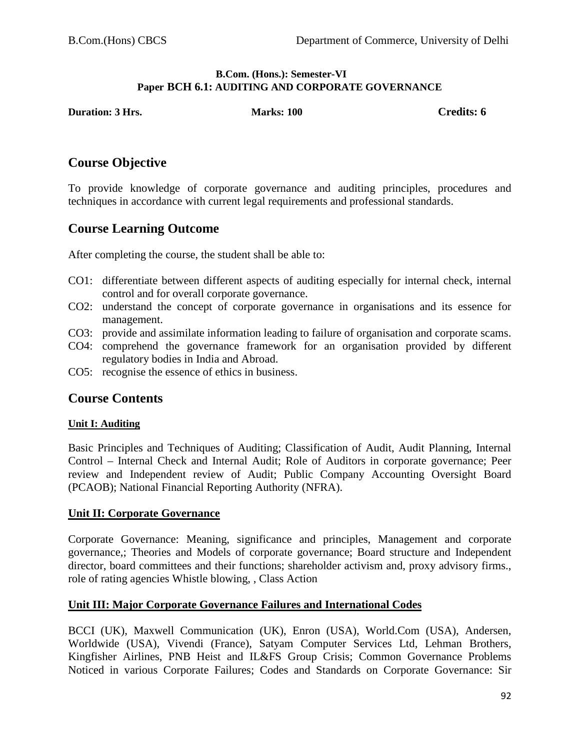#### **B.Com. (Hons.): Semester-VI Paper BCH 6.1: AUDITING AND CORPORATE GOVERNANCE**

**Duration: 3 Hrs.** Marks: 100 **Credits: 6** Credits: 6

# **Course Objective**

To provide knowledge of corporate governance and auditing principles, procedures and techniques in accordance with current legal requirements and professional standards.

# **Course Learning Outcome**

After completing the course, the student shall be able to:

- CO1: differentiate between different aspects of auditing especially for internal check, internal control and for overall corporate governance.
- CO2: understand the concept of corporate governance in organisations and its essence for management.
- CO3: provide and assimilate information leading to failure of organisation and corporate scams.
- CO4: comprehend the governance framework for an organisation provided by different regulatory bodies in India and Abroad.
- CO5: recognise the essence of ethics in business.

# **Course Contents**

#### **Unit I: Auditing**

Basic Principles and Techniques of Auditing; Classification of Audit, Audit Planning, Internal Control – Internal Check and Internal Audit; Role of Auditors in corporate governance; Peer review and Independent review of Audit; Public Company Accounting Oversight Board (PCAOB); National Financial Reporting Authority (NFRA).

#### **Unit II: Corporate Governance**

Corporate Governance: Meaning, significance and principles, Management and corporate governance,; Theories and Models of corporate governance; Board structure and Independent director, board committees and their functions; shareholder activism and, proxy advisory firms., role of rating agencies Whistle blowing, , Class Action

#### **Unit III: Major Corporate Governance Failures and International Codes**

BCCI (UK), Maxwell Communication (UK), Enron (USA), World.Com (USA), Andersen, Worldwide (USA), Vivendi (France), Satyam Computer Services Ltd, Lehman Brothers, Kingfisher Airlines, PNB Heist and IL&FS Group Crisis; Common Governance Problems Noticed in various Corporate Failures; Codes and Standards on Corporate Governance: Sir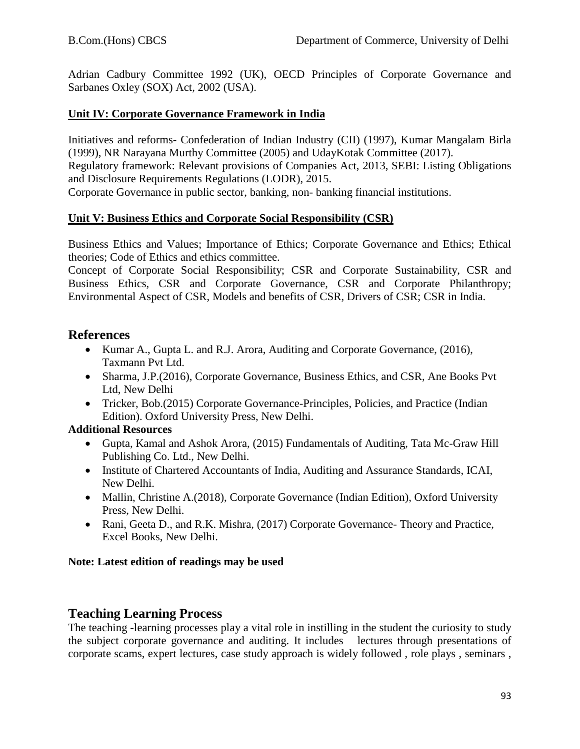Adrian Cadbury Committee 1992 (UK), OECD Principles of Corporate Governance and Sarbanes Oxley (SOX) Act, 2002 (USA).

#### **Unit IV: Corporate Governance Framework in India**

Initiatives and reforms- Confederation of Indian Industry (CII) (1997), Kumar Mangalam Birla (1999), NR Narayana Murthy Committee (2005) and UdayKotak Committee (2017).

Regulatory framework: Relevant provisions of Companies Act, 2013, SEBI: Listing Obligations and Disclosure Requirements Regulations (LODR), 2015.

Corporate Governance in public sector, banking, non- banking financial institutions.

#### **Unit V: Business Ethics and Corporate Social Responsibility (CSR)**

Business Ethics and Values; Importance of Ethics; Corporate Governance and Ethics; Ethical theories; Code of Ethics and ethics committee.

Concept of Corporate Social Responsibility; CSR and Corporate Sustainability, CSR and Business Ethics, CSR and Corporate Governance, CSR and Corporate Philanthropy; Environmental Aspect of CSR, Models and benefits of CSR, Drivers of CSR; CSR in India.

# **References**

- Kumar A., Gupta L. and R.J. Arora, Auditing and Corporate Governance, (2016), Taxmann Pvt Ltd.
- Sharma, J.P. (2016), Corporate Governance, Business Ethics, and CSR, Ane Books Pvt Ltd, New Delhi
- Tricker, Bob.(2015) Corporate Governance-Principles, Policies, and Practice (Indian Edition). Oxford University Press, New Delhi.

#### **Additional Resources**

- Gupta, Kamal and Ashok Arora, (2015) Fundamentals of Auditing, Tata Mc-Graw Hill Publishing Co. Ltd., New Delhi.
- Institute of Chartered Accountants of India, Auditing and Assurance Standards, ICAI, New Delhi.
- Mallin, Christine A. (2018), Corporate Governance (Indian Edition), Oxford University Press, New Delhi.
- Rani, Geeta D., and R.K. Mishra, (2017) Corporate Governance- Theory and Practice, Excel Books, New Delhi.

#### **Note: Latest edition of readings may be used**

# **Teaching Learning Process**

The teaching -learning processes play a vital role in instilling in the student the curiosity to study the subject corporate governance and auditing. It includes lectures through presentations of corporate scams, expert lectures, case study approach is widely followed , role plays , seminars ,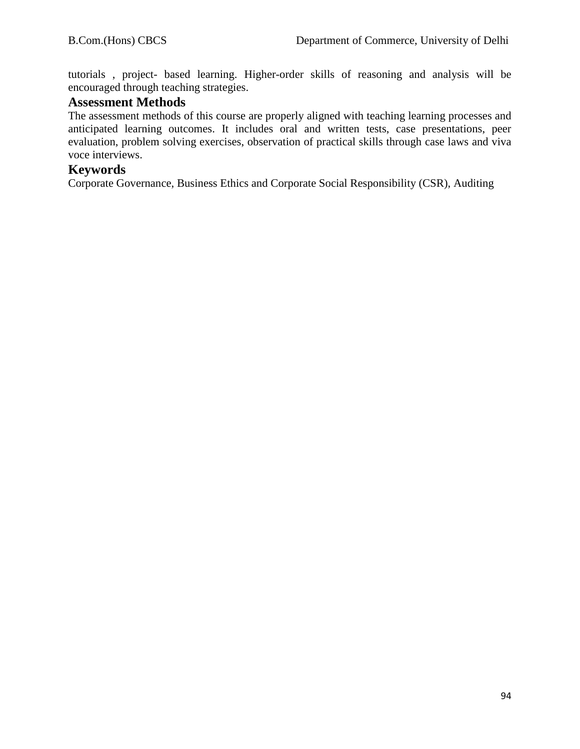tutorials , project- based learning. Higher-order skills of reasoning and analysis will be encouraged through teaching strategies.

### **Assessment Methods**

The assessment methods of this course are properly aligned with teaching learning processes and anticipated learning outcomes. It includes oral and written tests, case presentations, peer evaluation, problem solving exercises, observation of practical skills through case laws and viva voce interviews.

## **Keywords**

Corporate Governance, Business Ethics and Corporate Social Responsibility (CSR), Auditing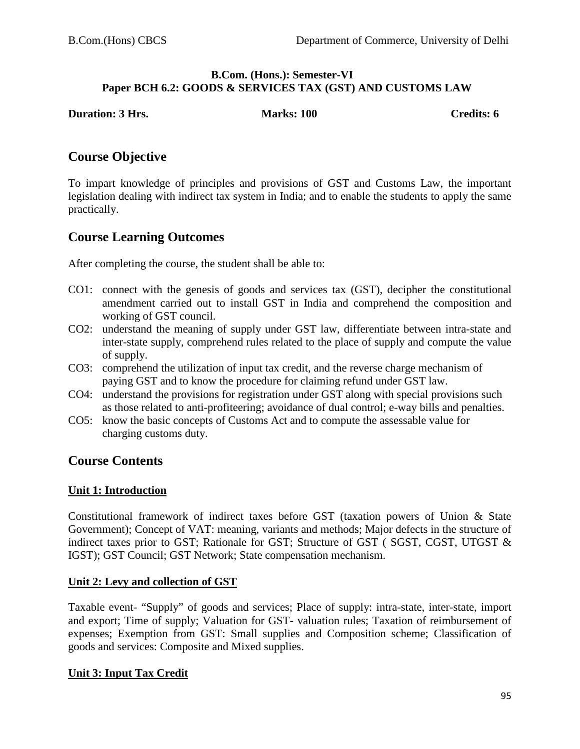#### **B.Com. (Hons.): Semester-VI Paper BCH 6.2: GOODS & SERVICES TAX (GST) AND CUSTOMS LAW**

**Duration: 3 Hrs. Marks: 100 Credits: 6** 

# **Course Objective**

To impart knowledge of principles and provisions of GST and Customs Law, the important legislation dealing with indirect tax system in India; and to enable the students to apply the same practically.

# **Course Learning Outcomes**

After completing the course, the student shall be able to:

- CO1: connect with the genesis of goods and services tax (GST), decipher the constitutional amendment carried out to install GST in India and comprehend the composition and working of GST council.
- CO2: understand the meaning of supply under GST law, differentiate between intra-state and inter-state supply, comprehend rules related to the place of supply and compute the value of supply.
- CO3: comprehend the utilization of input tax credit, and the reverse charge mechanism of paying GST and to know the procedure for claiming refund under GST law.
- CO4: understand the provisions for registration under GST along with special provisions such as those related to anti-profiteering; avoidance of dual control; e-way bills and penalties.
- CO5: know the basic concepts of Customs Act and to compute the assessable value for charging customs duty.

# **Course Contents**

#### **Unit 1: Introduction**

Constitutional framework of indirect taxes before GST (taxation powers of Union & State Government); Concept of VAT: meaning, variants and methods; Major defects in the structure of indirect taxes prior to GST; Rationale for GST; Structure of GST ( SGST, CGST, UTGST & IGST); GST Council; GST Network; State compensation mechanism.

#### **Unit 2: Levy and collection of GST**

Taxable event- "Supply" of goods and services; Place of supply: intra-state, inter-state, import and export; Time of supply; Valuation for GST- valuation rules; Taxation of reimbursement of expenses; Exemption from GST: Small supplies and Composition scheme; Classification of goods and services: Composite and Mixed supplies.

#### **Unit 3: Input Tax Credit**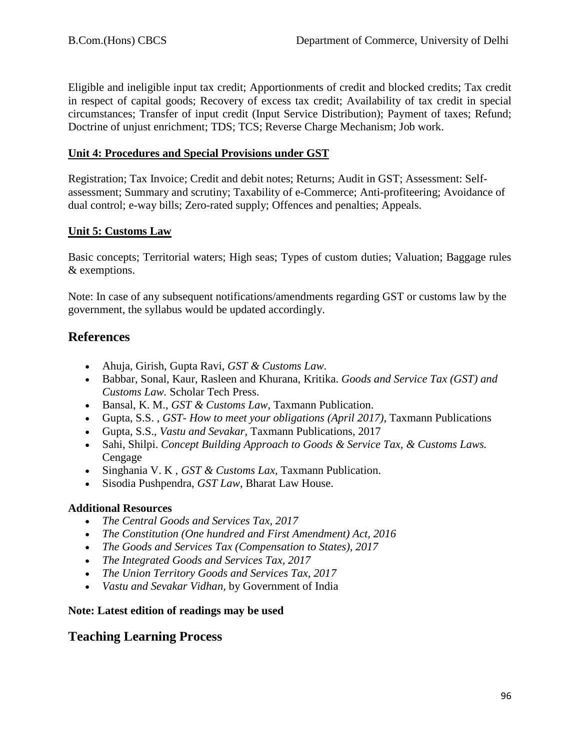Eligible and ineligible input tax credit; Apportionments of credit and blocked credits; Tax credit in respect of capital goods; Recovery of excess tax credit; Availability of tax credit in special circumstances; Transfer of input credit (Input Service Distribution); Payment of taxes; Refund; Doctrine of unjust enrichment; TDS; TCS; Reverse Charge Mechanism; Job work.

### **Unit 4: Procedures and Special Provisions under GST**

Registration; Tax Invoice; Credit and debit notes; Returns; Audit in GST; Assessment: Selfassessment; Summary and scrutiny; Taxability of e-Commerce; Anti-profiteering; Avoidance of dual control; e-way bills; Zero-rated supply; Offences and penalties; Appeals.

## **Unit 5: Customs Law**

Basic concepts; Territorial waters; High seas; Types of custom duties; Valuation; Baggage rules & exemptions.

Note: In case of any subsequent notifications/amendments regarding GST or customs law by the government, the syllabus would be updated accordingly.

# **References**

- Ahuja, Girish, Gupta Ravi, *GST & Customs Law*.
- Babbar, Sonal, Kaur, Rasleen and Khurana, Kritika. *Goods and Service Tax (GST) and Customs Law.* Scholar Tech Press.
- Bansal, K. M., *GST & Customs Law*, Taxmann Publication.
- Gupta, S.S. , *GST- How to meet your obligations (April 2017),* Taxmann Publications
- Gupta, S.S., *Vastu and Sevakar*, Taxmann Publications, 2017
- Sahi, Shilpi. *Concept Building Approach to Goods & Service Tax, & Customs Laws.*  Cengage
- Singhania V. K , *GST & Customs Lax,* Taxmann Publication.
- Sisodia Pushpendra, *GST Law*, Bharat Law House.

# **Additional Resources**

- *The Central Goods and Services Tax, 2017*
- *The Constitution (One hundred and First Amendment) Act, 2016*
- *The Goods and Services Tax (Compensation to States), 2017*
- *The Integrated Goods and Services Tax, 2017*
- *The Union Territory Goods and Services Tax, 2017*
- *Vastu and Sevakar Vidhan,* by Government of India

#### **Note: Latest edition of readings may be used**

# **Teaching Learning Process**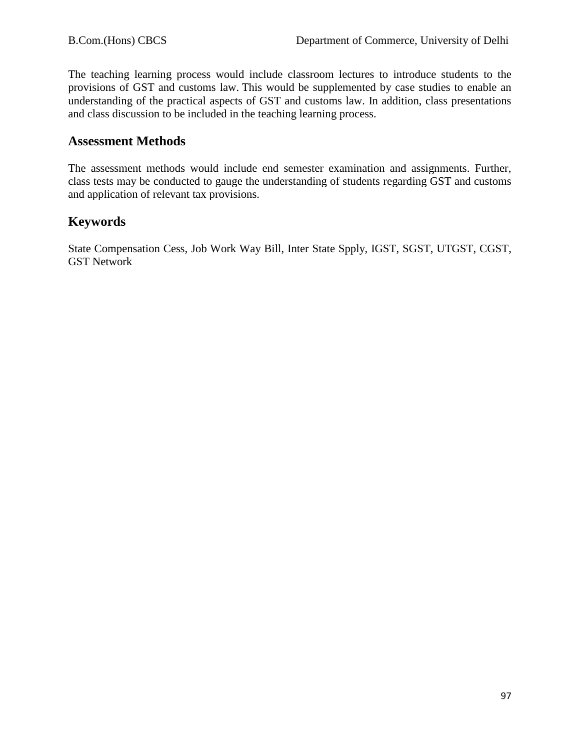The teaching learning process would include classroom lectures to introduce students to the provisions of GST and customs law. This would be supplemented by case studies to enable an understanding of the practical aspects of GST and customs law. In addition, class presentations and class discussion to be included in the teaching learning process.

# **Assessment Methods**

The assessment methods would include end semester examination and assignments. Further, class tests may be conducted to gauge the understanding of students regarding GST and customs and application of relevant tax provisions.

# **Keywords**

State Compensation Cess, Job Work Way Bill, Inter State Spply, IGST, SGST, UTGST, CGST, GST Network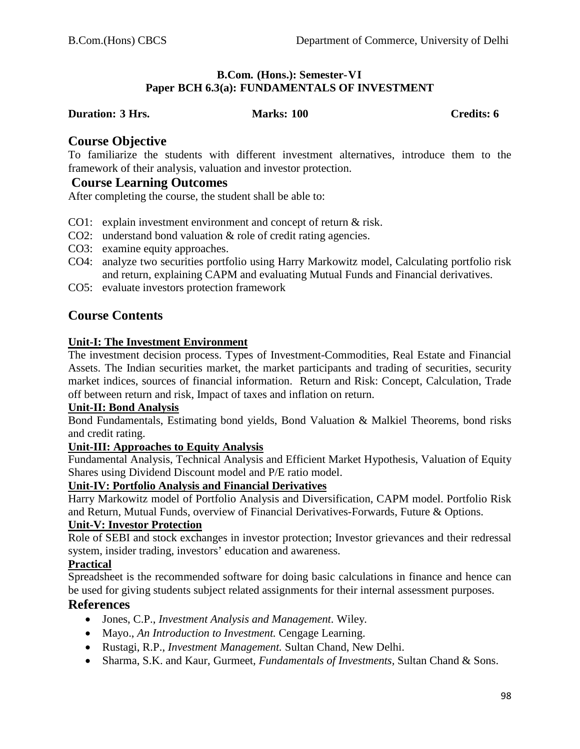#### **B.Com. (Hons.): Semester-VI Paper BCH 6.3(a): FUNDAMENTALS OF INVESTMENT**

#### **Duration: 3 Hrs. Marks: 100 Credits: 6**

#### **Course Objective**

To familiarize the students with different investment alternatives, introduce them to the framework of their analysis, valuation and investor protection.

#### **Course Learning Outcomes**

After completing the course, the student shall be able to:

- CO1: explain investment environment and concept of return & risk.
- CO2: understand bond valuation & role of credit rating agencies.
- CO3: examine equity approaches.
- CO4: analyze two securities portfolio using Harry Markowitz model, Calculating portfolio risk and return, explaining CAPM and evaluating Mutual Funds and Financial derivatives.
- CO5: evaluate investors protection framework

# **Course Contents**

#### **Unit-I: The Investment Environment**

The investment decision process. Types of Investment-Commodities, Real Estate and Financial Assets. The Indian securities market, the market participants and trading of securities, security market indices, sources of financial information. Return and Risk: Concept, Calculation, Trade off between return and risk, Impact of taxes and inflation on return.

#### **Unit-II: Bond Analysis**

Bond Fundamentals, Estimating bond yields, Bond Valuation & Malkiel Theorems, bond risks and credit rating.

#### **Unit-III: Approaches to Equity Analysis**

Fundamental Analysis, Technical Analysis and Efficient Market Hypothesis, Valuation of Equity Shares using Dividend Discount model and P/E ratio model.

#### **Unit-IV: Portfolio Analysis and Financial Derivatives**

Harry Markowitz model of Portfolio Analysis and Diversification, CAPM model. Portfolio Risk and Return, Mutual Funds, overview of Financial Derivatives-Forwards, Future & Options.

#### **Unit-V: Investor Protection**

Role of SEBI and stock exchanges in investor protection; Investor grievances and their redressal system, insider trading, investors' education and awareness.

## **Practical**

Spreadsheet is the recommended software for doing basic calculations in finance and hence can be used for giving students subject related assignments for their internal assessment purposes.

## **References**

- Jones, C.P., *Investment Analysis and Management.* Wiley*.*
- Mayo., *An Introduction to Investment*. Cengage Learning.
- Rustagi, R.P., *Investment Management.* Sultan Chand, New Delhi.
- Sharma, S.K. and Kaur, Gurmeet*, Fundamentals of Investments,* Sultan Chand & Sons.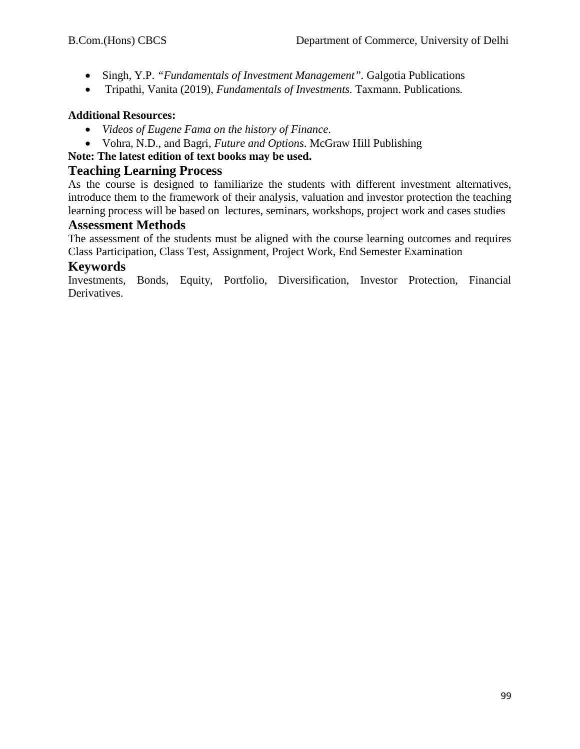- Singh, Y.P. *"Fundamentals of Investment Management".* Galgotia Publications
- Tripathi, Vanita (2019), *Fundamentals of Investments.* Taxmann. Publications*.*

## **Additional Resources:**

- *Videos of Eugene Fama on the history of Finance*.
- Vohra, N.D., and Bagri, *Future and Options*. McGraw Hill Publishing
- **Note: The latest edition of text books may be used.**

# **Teaching Learning Process**

As the course is designed to familiarize the students with different investment alternatives, introduce them to the framework of their analysis, valuation and investor protection the teaching learning process will be based on lectures, seminars, workshops, project work and cases studies

# **Assessment Methods**

The assessment of the students must be aligned with the course learning outcomes and requires Class Participation, Class Test, Assignment, Project Work, End Semester Examination

# **Keywords**

Investments, Bonds, Equity, Portfolio, Diversification, Investor Protection, Financial Derivatives.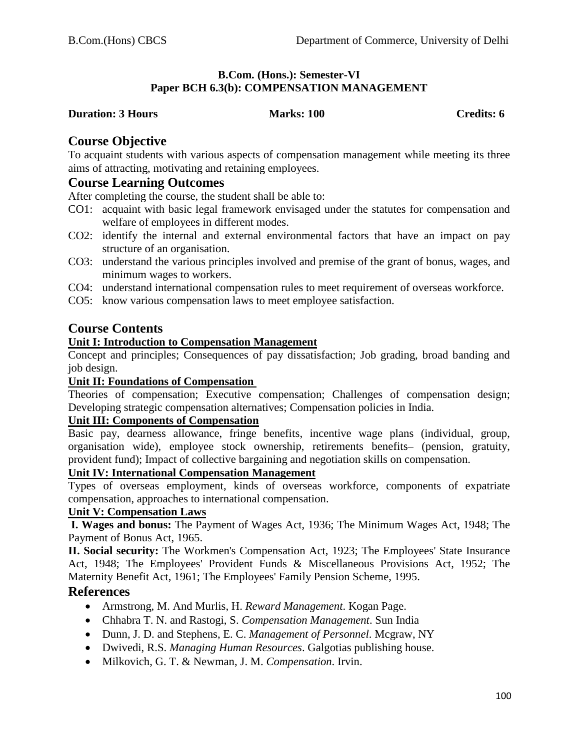#### **B.Com. (Hons.): Semester-VI Paper BCH 6.3(b): COMPENSATION MANAGEMENT**

#### **Duration: 3 Hours Marks: 100 Credits: 6** Credits: 6

## **Course Objective**

To acquaint students with various aspects of compensation management while meeting its three aims of attracting, motivating and retaining employees.

#### **Course Learning Outcomes**

After completing the course, the student shall be able to:

- CO1: acquaint with basic legal framework envisaged under the statutes for compensation and welfare of employees in different modes.
- CO2: identify the internal and external environmental factors that have an impact on pay structure of an organisation.
- CO3: understand the various principles involved and premise of the grant of bonus, wages, and minimum wages to workers.
- CO4: understand international compensation rules to meet requirement of overseas workforce.
- CO5: know various compensation laws to meet employee satisfaction.

## **Course Contents**

#### **Unit I: Introduction to Compensation Management**

Concept and principles; Consequences of pay dissatisfaction; Job grading, broad banding and job design.

#### **Unit II: Foundations of Compensation**

Theories of compensation; Executive compensation; Challenges of compensation design; Developing strategic compensation alternatives; Compensation policies in India.

#### **Unit III: Components of Compensation**

Basic pay, dearness allowance, fringe benefits, incentive wage plans (individual, group, organisation wide), employee stock ownership, retirements benefits– (pension, gratuity, provident fund); Impact of collective bargaining and negotiation skills on compensation.

#### **Unit IV: International Compensation Management**

Types of overseas employment, kinds of overseas workforce, components of expatriate compensation, approaches to international compensation.

#### **Unit V: Compensation Laws**

**I. Wages and bonus:** The Payment of Wages Act, 1936; The Minimum Wages Act, 1948; The Payment of Bonus Act, 1965.

**II. Social security:** The Workmen's Compensation Act, 1923; The Employees' State Insurance Act, 1948; The Employees' Provident Funds & Miscellaneous Provisions Act, 1952; The Maternity Benefit Act, 1961; The Employees' Family Pension Scheme, 1995.

#### **References**

- Armstrong, M. And Murlis, H. *Reward Management*. Kogan Page.
- Chhabra T. N. and Rastogi, S. *Compensation Management*. Sun India
- Dunn, J. D. and Stephens, E. C. *Management of Personnel*. Mcgraw, NY
- Dwivedi, R.S. *Managing Human Resources*. Galgotias publishing house.
- Milkovich, G. T. & Newman, J. M. *Compensation*. Irvin.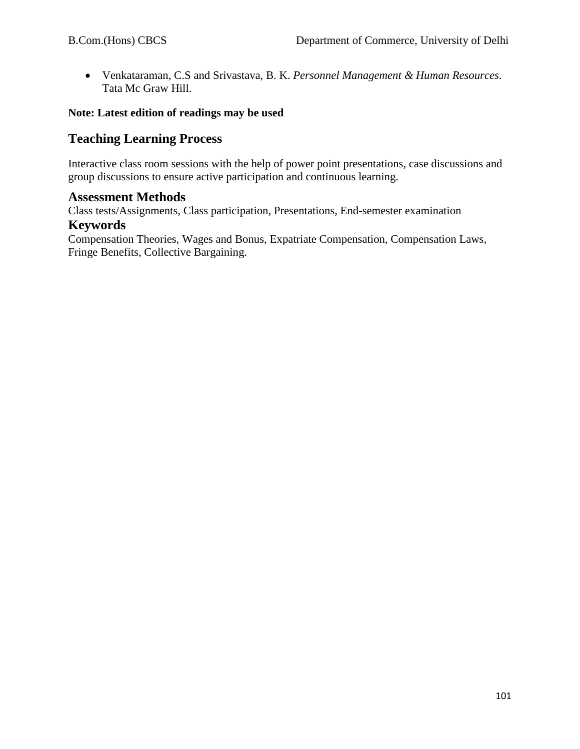• Venkataraman, C.S and Srivastava, B. K. *Personnel Management & Human Resources*. Tata Mc Graw Hill.

#### **Note: Latest edition of readings may be used**

# **Teaching Learning Process**

Interactive class room sessions with the help of power point presentations, case discussions and group discussions to ensure active participation and continuous learning.

#### **Assessment Methods**

Class tests/Assignments, Class participation, Presentations, End-semester examination

# **Keywords**

Compensation Theories, Wages and Bonus, Expatriate Compensation, Compensation Laws, Fringe Benefits, Collective Bargaining.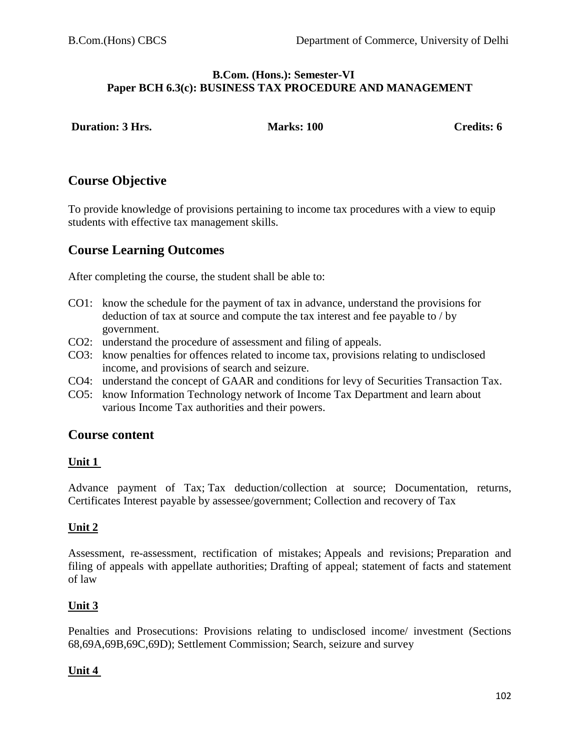#### **B.Com. (Hons.): Semester-VI Paper BCH 6.3(c): BUSINESS TAX PROCEDURE AND MANAGEMENT**

| <b>Duration: 3 Hrs.</b> | <b>Marks: 100</b> | <b>Credits: 6</b> |
|-------------------------|-------------------|-------------------|
|-------------------------|-------------------|-------------------|

# **Course Objective**

To provide knowledge of provisions pertaining to income tax procedures with a view to equip students with effective tax management skills.

# **Course Learning Outcomes**

After completing the course, the student shall be able to:

- CO1: know the schedule for the payment of tax in advance, understand the provisions for deduction of tax at source and compute the tax interest and fee payable to / by government.
- CO2: understand the procedure of assessment and filing of appeals.
- CO3: know penalties for offences related to income tax, provisions relating to undisclosed income, and provisions of search and seizure.
- CO4: understand the concept of GAAR and conditions for levy of Securities Transaction Tax.
- CO5: know Information Technology network of Income Tax Department and learn about various Income Tax authorities and their powers.

# **Course content**

#### **Unit 1**

Advance payment of Tax; Tax deduction/collection at source; Documentation, returns, Certificates Interest payable by assessee/government; Collection and recovery of Tax

# **Unit 2**

Assessment, re-assessment, rectification of mistakes; Appeals and revisions; Preparation and filing of appeals with appellate authorities; Drafting of appeal; statement of facts and statement of law

# **Unit 3**

Penalties and Prosecutions: Provisions relating to undisclosed income/ investment (Sections 68,69A,69B,69C,69D); Settlement Commission; Search, seizure and survey

# **Unit 4**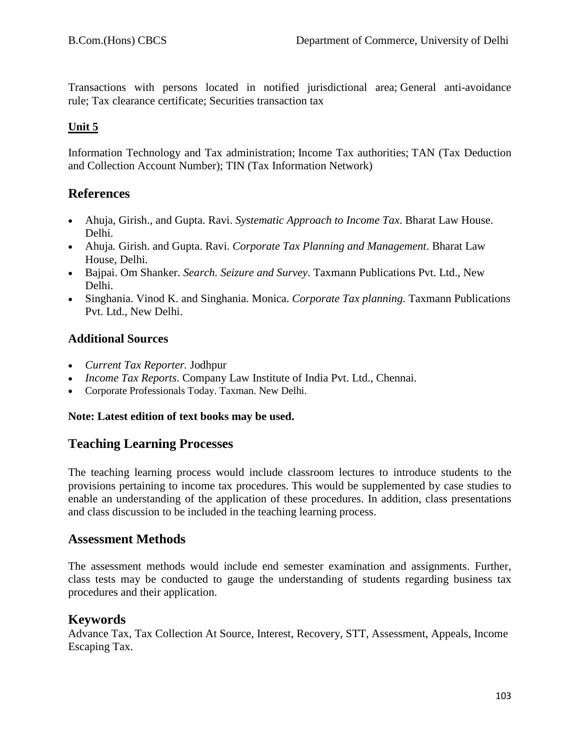Transactions with persons located in notified jurisdictional area; General anti-avoidance rule; Tax clearance certificate; Securities transaction tax

## **Unit 5**

Information Technology and Tax administration; Income Tax authorities; TAN (Tax Deduction and Collection Account Number); TIN (Tax Information Network)

# **References**

- Ahuja, Girish., and Gupta. Ravi. *Systematic Approach to Income Tax*. Bharat Law House. Delhi.
- Ahuja*.* Girish. and Gupta. Ravi. *Corporate Tax Planning and Management*. Bharat Law House, Delhi.
- Bajpai. Om Shanker. *Search. Seizure and Survey*. Taxmann Publications Pvt. Ltd., New Delhi.
- Singhania. Vinod K. and Singhania. Monica. *Corporate Tax planning.* Taxmann Publications Pvt. Ltd., New Delhi.

# **Additional Sources**

- *Current Tax Reporter.* Jodhpur
- *Income Tax Reports*. Company Law Institute of India Pvt. Ltd., Chennai.
- Corporate Professionals Today. Taxman. New Delhi.

#### **Note: Latest edition of text books may be used.**

# **Teaching Learning Processes**

The teaching learning process would include classroom lectures to introduce students to the provisions pertaining to income tax procedures. This would be supplemented by case studies to enable an understanding of the application of these procedures. In addition, class presentations and class discussion to be included in the teaching learning process.

# **Assessment Methods**

The assessment methods would include end semester examination and assignments. Further, class tests may be conducted to gauge the understanding of students regarding business tax procedures and their application.

# **Keywords**

Advance Tax, Tax Collection At Source, Interest, Recovery, STT, Assessment, Appeals, Income Escaping Tax.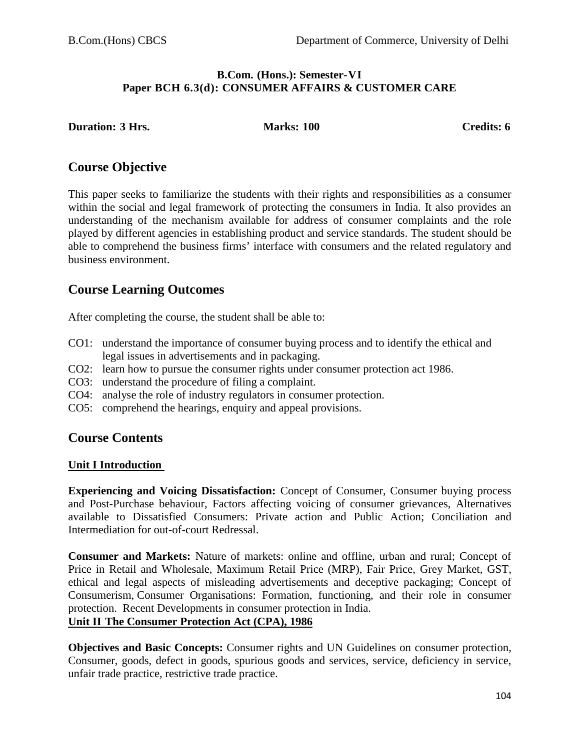#### **B.Com. (Hons.): Semester-VI Paper BCH 6.3(d): CONSUMER AFFAIRS & CUSTOMER CARE**

#### **Duration: 3 Hrs. Marks: 100 Credits: 6**

# **Course Objective**

This paper seeks to familiarize the students with their rights and responsibilities as a consumer within the social and legal framework of protecting the consumers in India. It also provides an understanding of the mechanism available for address of consumer complaints and the role played by different agencies in establishing product and service standards. The student should be able to comprehend the business firms' interface with consumers and the related regulatory and business environment.

# **Course Learning Outcomes**

After completing the course, the student shall be able to:

- CO1: understand the importance of consumer buying process and to identify the ethical and legal issues in advertisements and in packaging.
- CO2: learn how to pursue the consumer rights under consumer protection act 1986.
- CO3: understand the procedure of filing a complaint.
- CO4: analyse the role of industry regulators in consumer protection.
- CO5: comprehend the hearings, enquiry and appeal provisions.

# **Course Contents**

#### **Unit I Introduction**

**Experiencing and Voicing Dissatisfaction:** Concept of Consumer, Consumer buying process and Post-Purchase behaviour, Factors affecting voicing of consumer grievances, Alternatives available to Dissatisfied Consumers: Private action and Public Action; Conciliation and Intermediation for out-of-court Redressal.

**Consumer and Markets:** Nature of markets: online and offline, urban and rural; Concept of Price in Retail and Wholesale, Maximum Retail Price (MRP), Fair Price, Grey Market, GST, ethical and legal aspects of misleading advertisements and deceptive packaging; Concept of Consumerism, Consumer Organisations: Formation, functioning, and their role in consumer protection. Recent Developments in consumer protection in India.

# **Unit II The Consumer Protection Act (CPA), 1986**

**Objectives and Basic Concepts:** Consumer rights and UN Guidelines on consumer protection, Consumer, goods, defect in goods, spurious goods and services, service, deficiency in service, unfair trade practice, restrictive trade practice.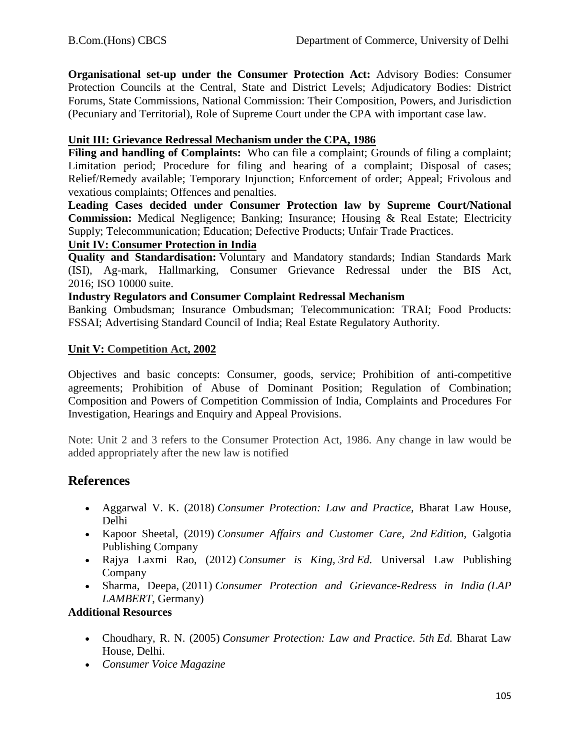**Organisational set-up under the Consumer Protection Act:** Advisory Bodies: Consumer Protection Councils at the Central, State and District Levels; Adjudicatory Bodies: District Forums, State Commissions, National Commission: Their Composition, Powers, and Jurisdiction (Pecuniary and Territorial), Role of Supreme Court under the CPA with important case law.

#### **Unit III: Grievance Redressal Mechanism under the CPA, 1986**

Filing and handling of Complaints: Who can file a complaint; Grounds of filing a complaint; Limitation period; Procedure for filing and hearing of a complaint; Disposal of cases; Relief/Remedy available; Temporary Injunction; Enforcement of order; Appeal; Frivolous and vexatious complaints; Offences and penalties.

**Leading Cases decided under Consumer Protection law by Supreme Court/National Commission:** Medical Negligence; Banking; Insurance; Housing & Real Estate; Electricity Supply; Telecommunication; Education; Defective Products; Unfair Trade Practices.

#### **Unit IV: Consumer Protection in India**

**Quality and Standardisation:** Voluntary and Mandatory standards; Indian Standards Mark (ISI), Ag-mark, Hallmarking, Consumer Grievance Redressal under the BIS Act, 2016; ISO 10000 suite.

#### **Industry Regulators and Consumer Complaint Redressal Mechanism**

Banking Ombudsman; Insurance Ombudsman; Telecommunication: TRAI; Food Products: FSSAI; Advertising Standard Council of India; Real Estate Regulatory Authority.

#### **Unit V: Competition Act, 2002**

Objectives and basic concepts: Consumer, goods, service; Prohibition of anti-competitive agreements; Prohibition of Abuse of Dominant Position; Regulation of Combination; Composition and Powers of Competition Commission of India, Complaints and Procedures For Investigation, Hearings and Enquiry and Appeal Provisions.

Note: Unit 2 and 3 refers to the Consumer Protection Act, 1986. Any change in law would be added appropriately after the new law is notified

# **References**

- Aggarwal V. K. (2018) *Consumer Protection: Law and Practice,* Bharat Law House, Delhi
- Kapoor Sheetal, (2019) *Consumer Affairs and Customer Care, 2nd Edition*, Galgotia Publishing Company
- Rajya Laxmi Rao, (2012) *Consumer is King, 3rd Ed.* Universal Law Publishing Company
- Sharma, Deepa, (2011) *Consumer Protection and Grievance-Redress in India (LAP LAMBERT*, Germany)

#### **Additional Resources**

- Choudhary, R. N. (2005) *Consumer Protection: Law and Practice. 5th Ed.* Bharat Law House, Delhi.
- *Consumer Voice Magazine*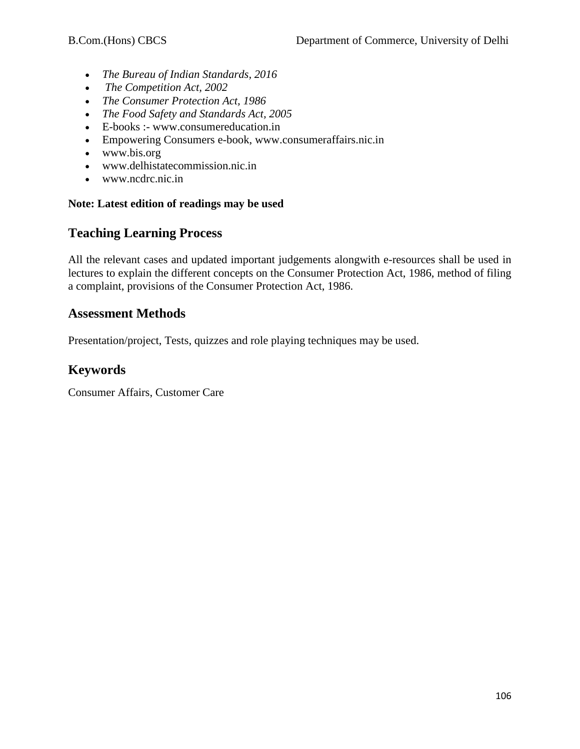- *The Bureau of Indian Standards, 2016*
- *The Competition Act, 2002*
- *The Consumer Protection Act, 1986*
- *The Food Safety and Standards Act, 2005*
- E-books :- www.consumereducation.in
- Empowering Consumers e-book, www.consumeraffairs.nic.in
- [www.bis.org](http://www.bis.org/)
- [www.delhistatecommission.nic.in](http://www.delhistatecommission.nic.in/)
- [www.ncdrc.nic.in](http://www.ncdrc.nic.in/)

#### **Note: Latest edition of readings may be used**

# **Teaching Learning Process**

All the relevant cases and updated important judgements alongwith e-resources shall be used in lectures to explain the different concepts on the Consumer Protection Act, 1986, method of filing a complaint, provisions of the Consumer Protection Act, 1986.

## **Assessment Methods**

Presentation/project, Tests, quizzes and role playing techniques may be used.

# **Keywords**

Consumer Affairs, Customer Care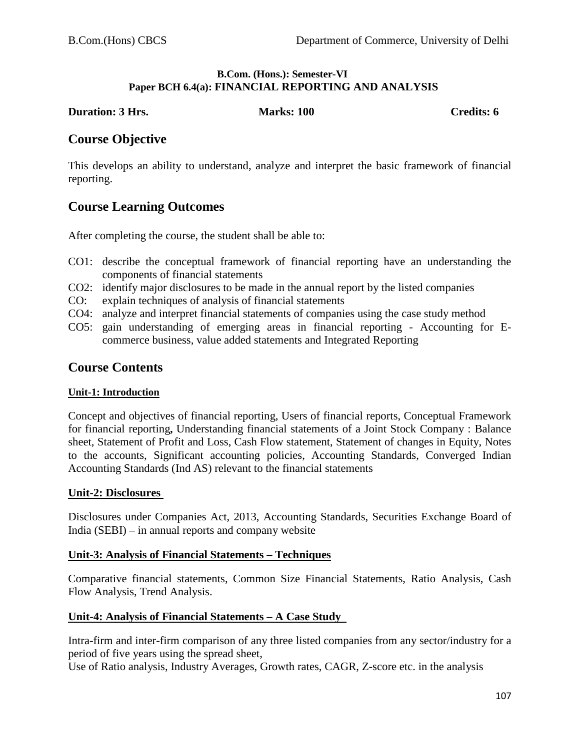#### **B.Com. (Hons.): Semester-VI Paper BCH 6.4(a): FINANCIAL REPORTING AND ANALYSIS**

#### **Duration: 3 Hrs. Marks: 100 Credits: 6 Credits: 6**

# **Course Objective**

This develops an ability to understand, analyze and interpret the basic framework of financial reporting.

# **Course Learning Outcomes**

After completing the course, the student shall be able to:

- CO1: describe the conceptual framework of financial reporting have an understanding the components of financial statements
- CO2: identify major disclosures to be made in the annual report by the listed companies
- CO: explain techniques of analysis of financial statements
- CO4: analyze and interpret financial statements of companies using the case study method
- CO5: gain understanding of emerging areas in financial reporting Accounting for Ecommerce business, value added statements and Integrated Reporting

## **Course Contents**

#### **Unit-1: Introduction**

Concept and objectives of financial reporting, Users of financial reports, Conceptual Framework for financial reporting**,** Understanding financial statements of a Joint Stock Company : Balance sheet, Statement of Profit and Loss, Cash Flow statement, Statement of changes in Equity, Notes to the accounts, Significant accounting policies, Accounting Standards, Converged Indian Accounting Standards (Ind AS) relevant to the financial statements

#### **Unit-2: Disclosures**

Disclosures under Companies Act, 2013, Accounting Standards, Securities Exchange Board of India (SEBI) – in annual reports and company website

#### **Unit-3: Analysis of Financial Statements – Techniques**

Comparative financial statements, Common Size Financial Statements, Ratio Analysis, Cash Flow Analysis, Trend Analysis.

#### **Unit-4: Analysis of Financial Statements – A Case Study**

Intra-firm and inter-firm comparison of any three listed companies from any sector/industry for a period of five years using the spread sheet,

Use of Ratio analysis, Industry Averages, Growth rates, CAGR, Z-score etc. in the analysis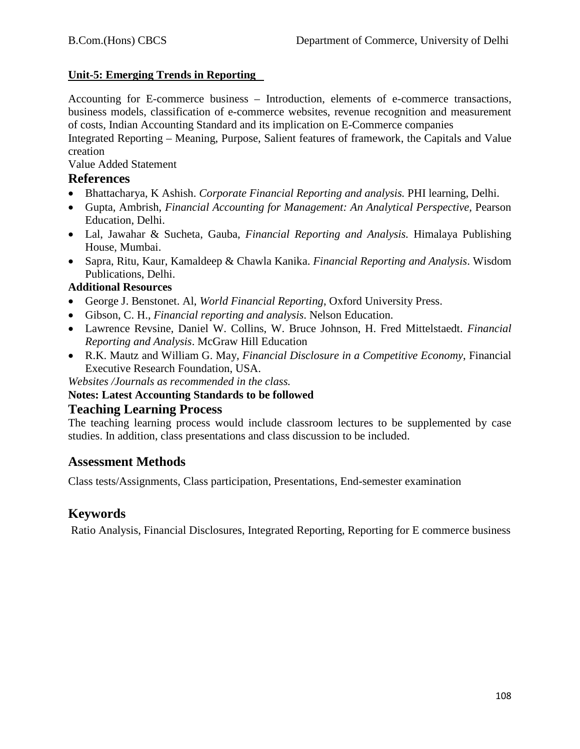## **Unit-5: Emerging Trends in Reporting**

Accounting for E-commerce business – Introduction, elements of e-commerce transactions, business models, classification of e-commerce websites, revenue recognition and measurement of costs, Indian Accounting Standard and its implication on E-Commerce companies

Integrated Reporting – Meaning, Purpose, Salient features of framework, the Capitals and Value creation

Value Added Statement

# **References**

- Bhattacharya, K Ashish. *Corporate Financial Reporting and analysis.* PHI learning, Delhi.
- Gupta, Ambrish, *Financial Accounting for Management: An Analytical Perspective,* Pearson Education, Delhi.
- Lal, Jawahar & Sucheta, Gauba, *Financial Reporting and Analysis.* Himalaya Publishing House, Mumbai.
- Sapra, Ritu, Kaur, Kamaldeep & Chawla Kanika. *Financial Reporting and Analysis*. Wisdom Publications, Delhi.

## **Additional Resources**

- George J. Benstonet. Al, *World Financial Reporting*, Oxford University Press.
- Gibson, C. H., *Financial reporting and analysis*. Nelson Education.
- Lawrence Revsine, Daniel W. Collins, W. Bruce Johnson, H. Fred Mittelstaedt. *Financial Reporting and Analysis*. McGraw Hill Education
- R.K. Mautz and William G. May, *Financial Disclosure in a Competitive Economy*, Financial Executive Research Foundation, USA.

*Websites /Journals as recommended in the class.*

#### **Notes: Latest Accounting Standards to be followed**

#### **Teaching Learning Process**

The teaching learning process would include classroom lectures to be supplemented by case studies. In addition, class presentations and class discussion to be included.

# **Assessment Methods**

Class tests/Assignments, Class participation, Presentations, End-semester examination

# **Keywords**

Ratio Analysis, Financial Disclosures, Integrated Reporting, Reporting for E commerce business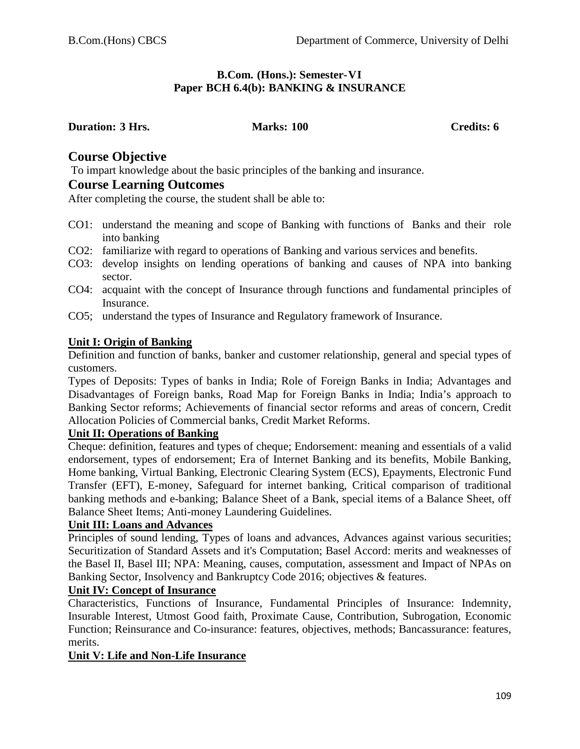#### **B.Com. (Hons.): Semester-VI Paper BCH 6.4(b): BANKING & INSURANCE**

#### **Duration: 3 Hrs. Marks: 100 Credits: 6**

# **Course Objective**

To impart knowledge about the basic principles of the banking and insurance.

# **Course Learning Outcomes**

After completing the course, the student shall be able to:

- CO1: understand the meaning and scope of Banking with functions of Banks and their role into banking
- CO2: familiarize with regard to operations of Banking and various services and benefits.
- CO3: develop insights on lending operations of banking and causes of NPA into banking sector.
- CO4: acquaint with the concept of Insurance through functions and fundamental principles of Insurance.
- CO5; understand the types of Insurance and Regulatory framework of Insurance.

## **Unit I: Origin of Banking**

Definition and function of banks, banker and customer relationship, general and special types of customers.

Types of Deposits: Types of banks in India; Role of Foreign Banks in India; Advantages and Disadvantages of Foreign banks, Road Map for Foreign Banks in India; India's approach to Banking Sector reforms; Achievements of financial sector reforms and areas of concern, Credit Allocation Policies of Commercial banks, Credit Market Reforms.

# **Unit II: Operations of Banking**

Cheque: definition, features and types of cheque; Endorsement: meaning and essentials of a valid endorsement, types of endorsement; Era of Internet Banking and its benefits, Mobile Banking, Home banking, Virtual Banking, Electronic Clearing System (ECS), Epayments, Electronic Fund Transfer (EFT), E-money, Safeguard for internet banking, Critical comparison of traditional banking methods and e-banking; Balance Sheet of a Bank, special items of a Balance Sheet, off Balance Sheet Items; Anti-money Laundering Guidelines.

## **Unit III: Loans and Advances**

Principles of sound lending, Types of loans and advances, Advances against various securities; Securitization of Standard Assets and it's Computation; Basel Accord: merits and weaknesses of the Basel II, Basel III; NPA: Meaning, causes, computation, assessment and Impact of NPAs on Banking Sector, Insolvency and Bankruptcy Code 2016; objectives & features.

## **Unit IV: Concept of Insurance**

Characteristics, Functions of Insurance, Fundamental Principles of Insurance: Indemnity, Insurable Interest, Utmost Good faith, Proximate Cause, Contribution, Subrogation, Economic Function; Reinsurance and Co-insurance: features, objectives, methods; Bancassurance: features, merits.

## **Unit V: Life and Non-Life Insurance**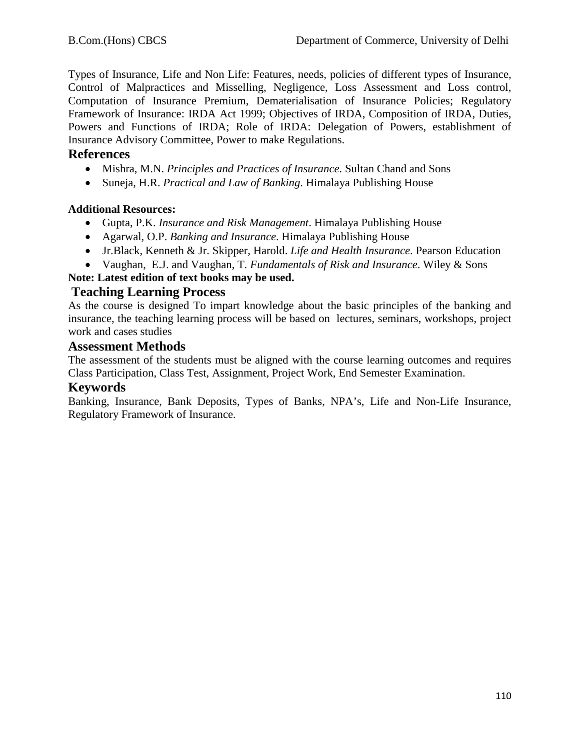Types of Insurance, Life and Non Life: Features, needs, policies of different types of Insurance, Control of Malpractices and Misselling, Negligence, Loss Assessment and Loss control, Computation of Insurance Premium, Dematerialisation of Insurance Policies; Regulatory Framework of Insurance: IRDA Act 1999; Objectives of IRDA, Composition of IRDA, Duties, Powers and Functions of IRDA; Role of IRDA: Delegation of Powers, establishment of Insurance Advisory Committee, Power to make Regulations.

## **References**

- Mishra, M.N. *Principles and Practices of Insurance*. Sultan Chand and Sons
- Suneja, H.R. *Practical and Law of Banking*. Himalaya Publishing House

# **Additional Resources:**

- Gupta, P.K. *Insurance and Risk Management*. Himalaya Publishing House
- Agarwal, O.P. *Banking and Insurance*. Himalaya Publishing House
- Jr.Black, Kenneth & Jr. Skipper, Harold. *Life and Health Insurance*. Pearson Education
- Vaughan, E.J. and Vaughan, T*. Fundamentals of Risk and Insurance*. Wiley & Sons

# **Note: Latest edition of text books may be used.**

# **Teaching Learning Process**

As the course is designed To impart knowledge about the basic principles of the banking and insurance, the teaching learning process will be based on lectures, seminars, workshops, project work and cases studies

# **Assessment Methods**

The assessment of the students must be aligned with the course learning outcomes and requires Class Participation, Class Test, Assignment, Project Work, End Semester Examination.

# **Keywords**

Banking, Insurance, Bank Deposits, Types of Banks, NPA's, Life and Non-Life Insurance, Regulatory Framework of Insurance.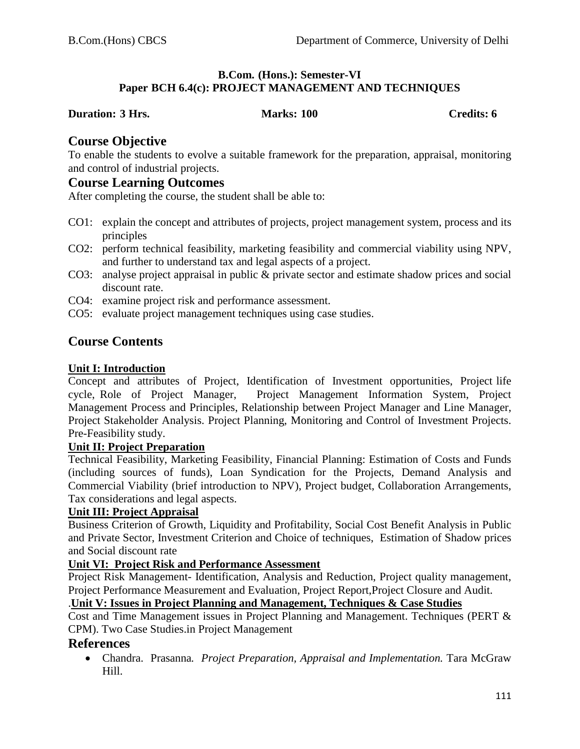## **B.Com. (Hons.): Semester-VI Paper BCH 6.4(c): PROJECT MANAGEMENT AND TECHNIQUES**

#### **Duration: 3 Hrs. Marks: 100 Credits: 6**

## **Course Objective**

To enable the students to evolve a suitable framework for the preparation, appraisal, monitoring and control of industrial projects.

## **Course Learning Outcomes**

After completing the course, the student shall be able to:

- CO1: explain the concept and attributes of projects, project management system, process and its principles
- CO2: perform technical feasibility, marketing feasibility and commercial viability using NPV, and further to understand tax and legal aspects of a project.
- CO3: analyse project appraisal in public & private sector and estimate shadow prices and social discount rate.
- CO4: examine project risk and performance assessment.
- CO5: evaluate project management techniques using case studies.

# **Course Contents**

#### **Unit I: Introduction**

Concept and attributes of Project, Identification of Investment opportunities, Project life cycle, Role of Project Manager, Project Management Information System, Project Management Process and Principles, Relationship between Project Manager and Line Manager, Project Stakeholder Analysis. Project Planning, Monitoring and Control of Investment Projects. Pre-Feasibility study.

# **Unit II: Project Preparation**

Technical Feasibility, Marketing Feasibility, Financial Planning: Estimation of Costs and Funds (including sources of funds), Loan Syndication for the Projects, Demand Analysis and Commercial Viability (brief introduction to NPV), Project budget, Collaboration Arrangements, Tax considerations and legal aspects.

#### **Unit III: Project Appraisal**

Business Criterion of Growth, Liquidity and Profitability, Social Cost Benefit Analysis in Public and Private Sector, Investment Criterion and Choice of techniques, Estimation of Shadow prices and Social discount rate

# **Unit VI: Project Risk and Performance Assessment**

Project Risk Management- Identification, Analysis and Reduction, Project quality management, Project Performance Measurement and Evaluation, Project Report,Project Closure and Audit.

#### .**Unit V: Issues in Project Planning and Management, Techniques & Case Studies**

Cost and Time Management issues in Project Planning and Management. Techniques (PERT & CPM). Two Case Studies.in Project Management

#### **References**

• Chandra. Prasanna*. Project Preparation, Appraisal and Implementation.* Tara McGraw Hill.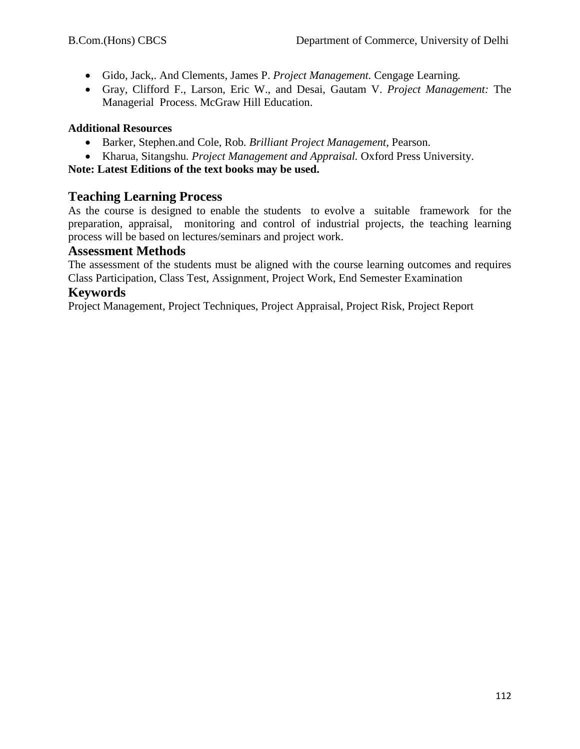- Gido, Jack,. And Clements, James P. *Project Management.* Cengage Learning*.*
- Gray, Clifford F., Larson, Eric W., and Desai, Gautam V. *Project Management:* The Managerial Process. McGraw Hill Education.

## **Additional Resources**

- Barker, Stephen.and Cole, Rob*. Brilliant Project Management,* Pearson.
- Kharua, Sitangshu*. Project Management and Appraisal.* Oxford Press University.

**Note: Latest Editions of the text books may be used.**

# **Teaching Learning Process**

As the course is designed to enable the students to evolve a suitable framework for the preparation, appraisal, monitoring and control of industrial projects, the teaching learning process will be based on lectures/seminars and project work.

## **Assessment Methods**

The assessment of the students must be aligned with the course learning outcomes and requires Class Participation, Class Test, Assignment, Project Work, End Semester Examination

## **Keywords**

Project Management, Project Techniques, Project Appraisal, Project Risk, Project Report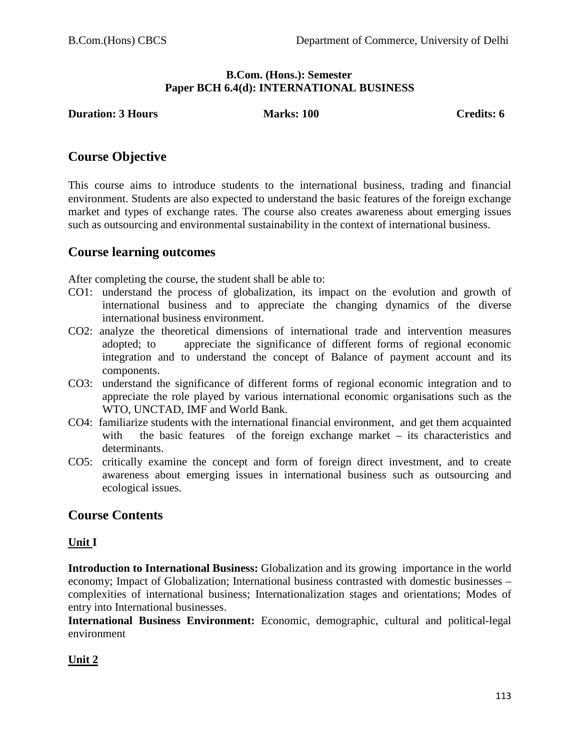## **B.Com. (Hons.): Semester Paper BCH 6.4(d): INTERNATIONAL BUSINESS**

**Duration: 3 Hours Marks: 100 Credits: 6** 

# **Course Objective**

This course aims to introduce students to the international business, trading and financial environment. Students are also expected to understand the basic features of the foreign exchange market and types of exchange rates. The course also creates awareness about emerging issues such as outsourcing and environmental sustainability in the context of international business.

# **Course learning outcomes**

After completing the course, the student shall be able to:

- CO1: understand the process of globalization, its impact on the evolution and growth of international business and to appreciate the changing dynamics of the diverse international business environment.
- CO2: analyze the theoretical dimensions of international trade and intervention measures adopted; to appreciate the significance of different forms of regional economic integration and to understand the concept of Balance of payment account and its components.
- CO3: understand the significance of different forms of regional economic integration and to appreciate the role played by various international economic organisations such as the WTO, UNCTAD, IMF and World Bank.
- CO4: familiarize students with the international financial environment, and get them acquainted with the basic features of the foreign exchange market – its characteristics and determinants.
- CO5: critically examine the concept and form of foreign direct investment, and to create awareness about emerging issues in international business such as outsourcing and ecological issues.

# **Course Contents**

## **Unit I**

**Introduction to International Business:** Globalization and its growing importance in the world economy; Impact of Globalization; International business contrasted with domestic businesses – complexities of international business; Internationalization stages and orientations; Modes of entry into International businesses.

**International Business Environment:** Economic, demographic, cultural and political-legal environment

# **Unit 2**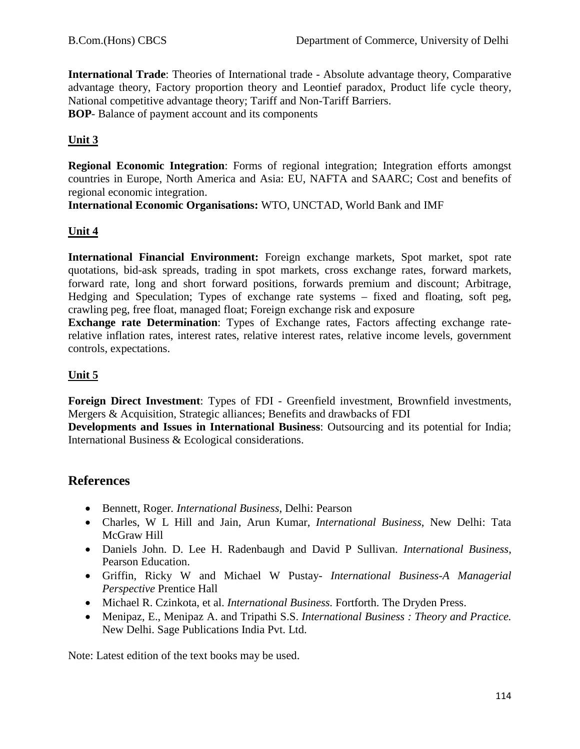**International Trade**: Theories of International trade - Absolute advantage theory, Comparative advantage theory, Factory proportion theory and Leontief paradox, Product life cycle theory, National competitive advantage theory; Tariff and Non-Tariff Barriers. **BOP**- Balance of payment account and its components

# **Unit 3**

**Regional Economic Integration**: Forms of regional integration; Integration efforts amongst countries in Europe, North America and Asia: EU, NAFTA and SAARC; Cost and benefits of regional economic integration.

**International Economic Organisations:** WTO, UNCTAD, World Bank and IMF

# **Unit 4**

**International Financial Environment:** Foreign exchange markets, Spot market, spot rate quotations, bid-ask spreads, trading in spot markets, cross exchange rates, forward markets, forward rate, long and short forward positions, forwards premium and discount; Arbitrage, Hedging and Speculation; Types of exchange rate systems – fixed and floating, soft peg, crawling peg, free float, managed float; Foreign exchange risk and exposure

**Exchange rate Determination**: Types of Exchange rates, Factors affecting exchange raterelative inflation rates, interest rates, relative interest rates, relative income levels, government controls, expectations.

# **Unit 5**

**Foreign Direct Investment**: Types of FDI - Greenfield investment, Brownfield investments, Mergers & Acquisition, Strategic alliances; Benefits and drawbacks of FDI

**Developments and Issues in International Business**: Outsourcing and its potential for India; International Business & Ecological considerations.

# **References**

- Bennett, Roger*. International Business*, Delhi: Pearson
- Charles, W L Hill and Jain, Arun Kumar, *International Business*, New Delhi: Tata McGraw Hill
- Daniels John. D. Lee H. Radenbaugh and David P Sullivan. *International Business*, Pearson Education.
- Griffin, Ricky W and Michael W Pustay- *International Business-A Managerial Perspective* Prentice Hall
- Michael R. Czinkota, et al. *International Business.* Fortforth. The Dryden Press.
- Menipaz, E., Menipaz A. and Tripathi S.S. *International Business : Theory and Practice.*  New Delhi. Sage Publications India Pvt. Ltd.

Note: Latest edition of the text books may be used.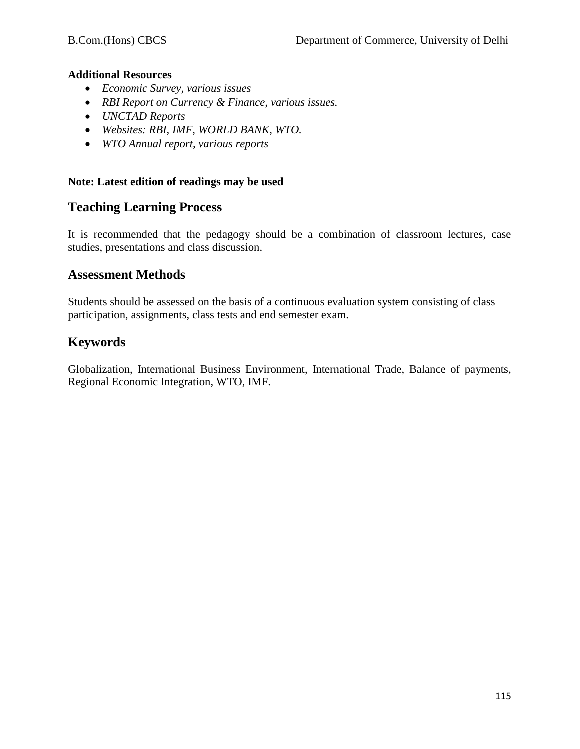## **Additional Resources**

- *Economic Survey, various issues*
- *RBI Report on Currency & Finance, various issues.*
- *UNCTAD Reports*
- *Websites: RBI, IMF, WORLD BANK, WTO.*
- *WTO Annual report, various reports*

## **Note: Latest edition of readings may be used**

# **Teaching Learning Process**

It is recommended that the pedagogy should be a combination of classroom lectures, case studies, presentations and class discussion.

# **Assessment Methods**

Students should be assessed on the basis of a continuous evaluation system consisting of class participation, assignments, class tests and end semester exam.

# **Keywords**

Globalization, International Business Environment, International Trade, Balance of payments, Regional Economic Integration, WTO, IMF.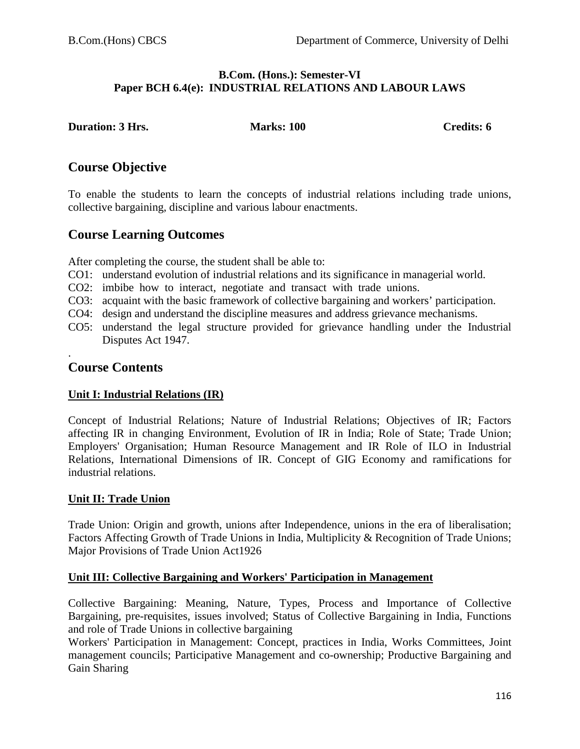#### **B.Com. (Hons.): Semester-VI Paper BCH 6.4(e): INDUSTRIAL RELATIONS AND LABOUR LAWS**

**Duration: 3 Hrs.** Marks: 100 Credits: 6

# **Course Objective**

To enable the students to learn the concepts of industrial relations including trade unions, collective bargaining, discipline and various labour enactments.

# **Course Learning Outcomes**

After completing the course, the student shall be able to:

- CO1: understand evolution of industrial relations and its significance in managerial world.
- CO2: imbibe how to interact, negotiate and transact with trade unions.
- CO3: acquaint with the basic framework of collective bargaining and workers' participation.
- CO4: design and understand the discipline measures and address grievance mechanisms.
- CO5: understand the legal structure provided for grievance handling under the Industrial Disputes Act 1947.

## . **Course Contents**

# **Unit I: Industrial Relations (IR)**

Concept of Industrial Relations; Nature of Industrial Relations; Objectives of IR; Factors affecting IR in changing Environment, Evolution of IR in India; Role of State; Trade Union; Employers' Organisation; Human Resource Management and IR Role of ILO in Industrial Relations, International Dimensions of IR. Concept of GIG Economy and ramifications for industrial relations.

## **Unit II: Trade Union**

Trade Union: Origin and growth, unions after Independence, unions in the era of liberalisation; Factors Affecting Growth of Trade Unions in India, Multiplicity & Recognition of Trade Unions; Major Provisions of Trade Union Act1926

## **Unit III: Collective Bargaining and Workers' Participation in Management**

Collective Bargaining: Meaning, Nature, Types, Process and Importance of Collective Bargaining, pre-requisites, issues involved; Status of Collective Bargaining in India, Functions and role of Trade Unions in collective bargaining

Workers' Participation in Management: Concept, practices in India, Works Committees, Joint management councils; Participative Management and co-ownership; Productive Bargaining and Gain Sharing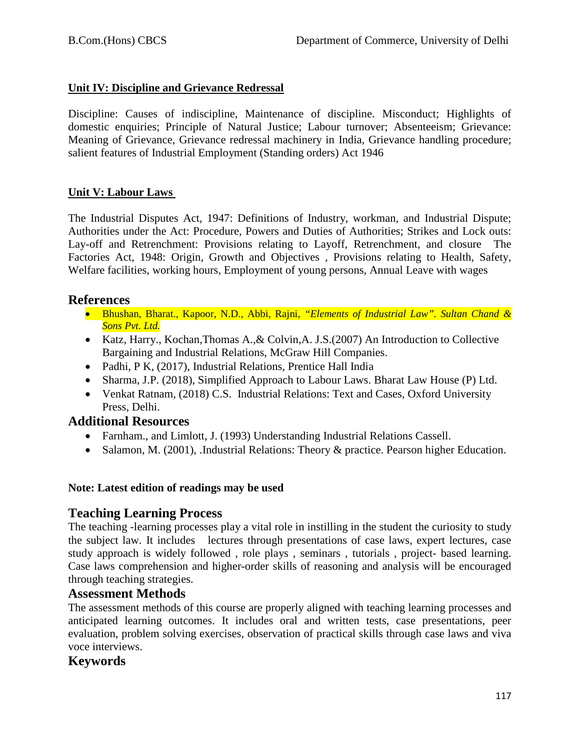# **Unit IV: Discipline and Grievance Redressal**

Discipline: Causes of indiscipline, Maintenance of discipline. Misconduct; Highlights of domestic enquiries; Principle of Natural Justice; Labour turnover; Absenteeism; Grievance: Meaning of Grievance, Grievance redressal machinery in India, Grievance handling procedure; salient features of Industrial Employment (Standing orders) Act 1946

# **Unit V: Labour Laws**

The Industrial Disputes Act, 1947: Definitions of Industry, workman, and Industrial Dispute; Authorities under the Act: Procedure, Powers and Duties of Authorities; Strikes and Lock outs: Lay-off and Retrenchment: Provisions relating to Layoff, Retrenchment, and closure The Factories Act, 1948: Origin, Growth and Objectives , Provisions relating to Health, Safety, Welfare facilities, working hours, Employment of young persons, Annual Leave with wages

# **References**

- Bhushan, Bharat., Kapoor, N.D., Abbi, Rajni, *"Elements of Industrial Law". Sultan Chand & Sons Pvt. Ltd.*
- Katz, Harry., Kochan,Thomas A.,& Colvin,A. J.S.(2007) An Introduction to Collective Bargaining and Industrial Relations, McGraw Hill Companies.
- Padhi, P K, (2017), Industrial Relations, Prentice Hall India
- Sharma, J.P. (2018), Simplified Approach to Labour Laws. Bharat Law House (P) Ltd.
- Venkat Ratnam, (2018) C.S. Industrial Relations: Text and Cases, Oxford University Press, Delhi.

# **Additional Resources**

- Farnham., and Limlott, J. (1993) Understanding Industrial Relations Cassell.
- Salamon, M. (2001), .Industrial Relations: Theory & practice. Pearson higher Education.

## **Note: Latest edition of readings may be used**

# **Teaching Learning Process**

The teaching -learning processes play a vital role in instilling in the student the curiosity to study the subject law. It includes lectures through presentations of case laws, expert lectures, case study approach is widely followed , role plays , seminars , tutorials , project- based learning. Case laws comprehension and higher-order skills of reasoning and analysis will be encouraged through teaching strategies.

# **Assessment Methods**

The assessment methods of this course are properly aligned with teaching learning processes and anticipated learning outcomes. It includes oral and written tests, case presentations, peer evaluation, problem solving exercises, observation of practical skills through case laws and viva voce interviews.

# **Keywords**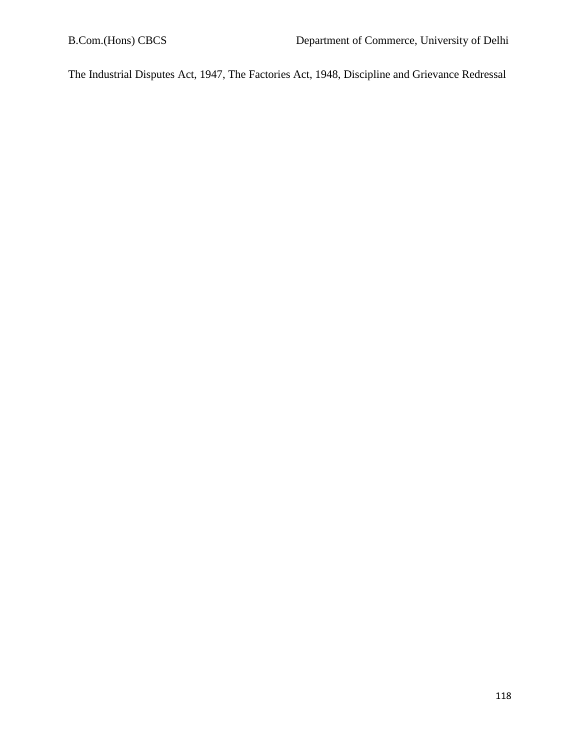The Industrial Disputes Act, 1947, The Factories Act, 1948, Discipline and Grievance Redressal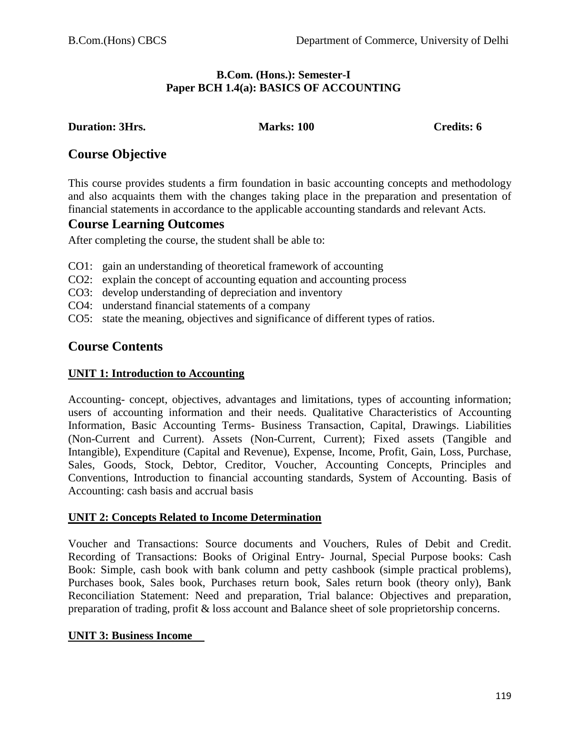## **B.Com. (Hons.): Semester-I Paper BCH 1.4(a): BASICS OF ACCOUNTING**

**Duration: 3Hrs. Marks: 100 Credits: 6**

# **Course Objective**

This course provides students a firm foundation in basic accounting concepts and methodology and also acquaints them with the changes taking place in the preparation and presentation of financial statements in accordance to the applicable accounting standards and relevant Acts.

# **Course Learning Outcomes**

After completing the course, the student shall be able to:

- CO1: gain an understanding of theoretical framework of accounting
- CO2: explain the concept of accounting equation and accounting process
- CO3: develop understanding of depreciation and inventory
- CO4: understand financial statements of a company
- CO5: state the meaning, objectives and significance of different types of ratios.

# **Course Contents**

## **UNIT 1: Introduction to Accounting**

Accounting- concept, objectives, advantages and limitations, types of accounting information; users of accounting information and their needs. Qualitative Characteristics of Accounting Information, Basic Accounting Terms- Business Transaction, Capital, Drawings. Liabilities (Non-Current and Current). Assets (Non-Current, Current); Fixed assets (Tangible and Intangible), Expenditure (Capital and Revenue), Expense, Income, Profit, Gain, Loss, Purchase, Sales, Goods, Stock, Debtor, Creditor, Voucher, Accounting Concepts, Principles and Conventions, Introduction to financial accounting standards, System of Accounting. Basis of Accounting: cash basis and accrual basis

## **UNIT 2: Concepts Related to Income Determination**

Voucher and Transactions: Source documents and Vouchers, Rules of Debit and Credit. Recording of Transactions: Books of Original Entry- Journal, Special Purpose books: Cash Book: Simple, cash book with bank column and petty cashbook (simple practical problems), Purchases book, Sales book, Purchases return book, Sales return book (theory only), Bank Reconciliation Statement: Need and preparation, Trial balance: Objectives and preparation, preparation of trading, profit & loss account and Balance sheet of sole proprietorship concerns.

## **UNIT 3: Business Income**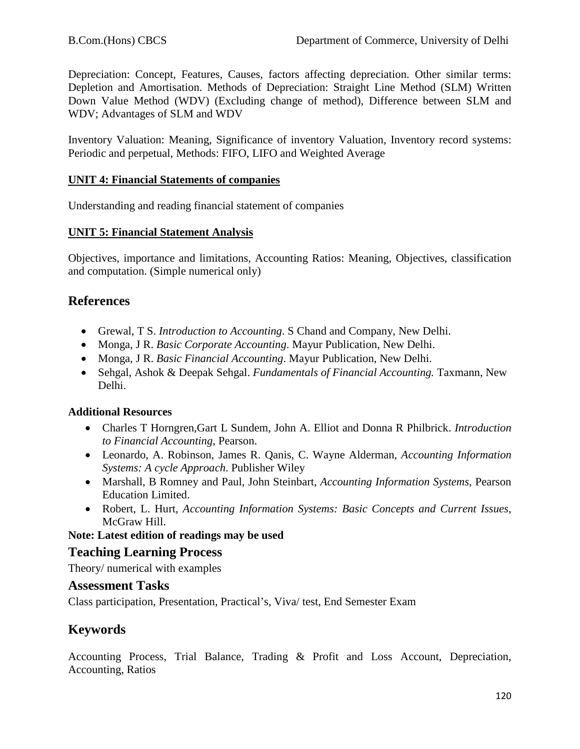Depreciation: Concept, Features, Causes, factors affecting depreciation. Other similar terms: Depletion and Amortisation. Methods of Depreciation: Straight Line Method (SLM) Written Down Value Method (WDV) (Excluding change of method), Difference between SLM and WDV; Advantages of SLM and WDV

Inventory Valuation: Meaning, Significance of inventory Valuation, Inventory record systems: Periodic and perpetual, Methods: FIFO, LIFO and Weighted Average

## **UNIT 4: Financial Statements of companies**

Understanding and reading financial statement of companies

## **UNIT 5: Financial Statement Analysis**

Objectives, importance and limitations, Accounting Ratios: Meaning, Objectives, classification and computation. (Simple numerical only)

# **References**

- Grewal, T S. *Introduction to Accounting*. S Chand and Company, New Delhi.
- Monga, J R. *Basic Corporate Accounting*. Mayur Publication, New Delhi.
- Monga, J R. *Basic Financial Accounting*. Mayur Publication, New Delhi.
- Sehgal, Ashok & Deepak Sehgal. *Fundamentals of Financial Accounting.* Taxmann, New Delhi.

#### **Additional Resources**

- Charles T Horngren,Gart L Sundem, John A. Elliot and Donna R Philbrick. *Introduction to Financial Accounting*, Pearson.
- Leonardo, A. Robinson, James R. Qanis, C. Wayne Alderman, *Accounting Information Systems: A cycle Approach*. Publisher Wiley
- Marshall, B Romney and Paul, John Steinbart, *Accounting Information Systems*, Pearson Education Limited.
- Robert, L. Hurt, *Accounting Information Systems: Basic Concepts and Current Issues*, McGraw Hill.

## **Note: Latest edition of readings may be used**

## **Teaching Learning Process**

Theory/ numerical with examples

## **Assessment Tasks**

Class participation, Presentation, Practical's, Viva/ test, End Semester Exam

# **Keywords**

Accounting Process, Trial Balance, Trading & Profit and Loss Account, Depreciation, Accounting, Ratios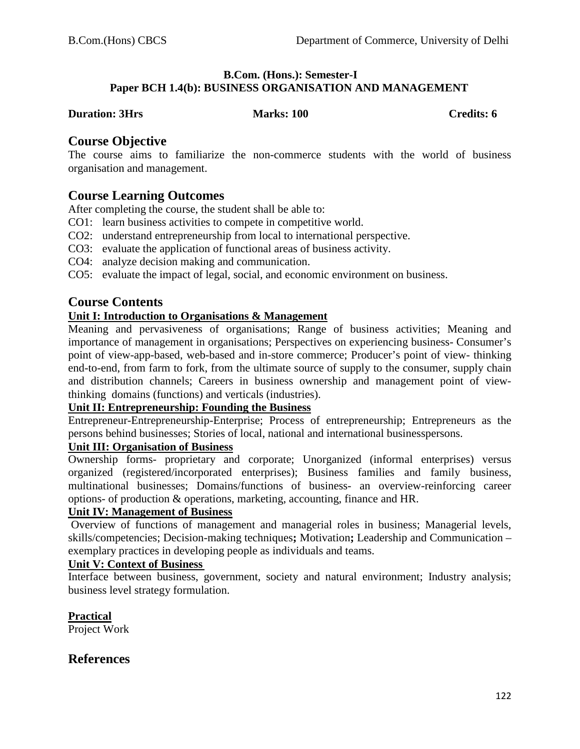#### **B.Com. (Hons.): Semester-I Paper BCH 1.4(b): BUSINESS ORGANISATION AND MANAGEMENT**

#### **Duration: 3Hrs Marks: 100 Credits: 6** Credits: 6

# **Course Objective**

The course aims to familiarize the non-commerce students with the world of business organisation and management.

# **Course Learning Outcomes**

After completing the course, the student shall be able to:

- CO1: learn business activities to compete in competitive world.
- CO2: understand entrepreneurship from local to international perspective.
- CO3: evaluate the application of functional areas of business activity.
- CO4: analyze decision making and communication.
- CO5: evaluate the impact of legal, social, and economic environment on business.

# **Course Contents**

## **Unit I: Introduction to Organisations & Management**

Meaning and pervasiveness of organisations; Range of business activities; Meaning and importance of management in organisations; Perspectives on experiencing business- Consumer's point of view-app-based, web-based and in-store commerce; Producer's point of view- thinking end-to-end, from farm to fork, from the ultimate source of supply to the consumer, supply chain and distribution channels; Careers in business ownership and management point of viewthinking domains (functions) and verticals (industries).

# **Unit II: Entrepreneurship: Founding the Business**

Entrepreneur-Entrepreneurship-Enterprise; Process of entrepreneurship; Entrepreneurs as the persons behind businesses; Stories of local, national and international businesspersons.

## **Unit III: Organisation of Business**

Ownership forms- proprietary and corporate; Unorganized (informal enterprises) versus organized (registered/incorporated enterprises); Business families and family business, multinational businesses; Domains/functions of business- an overview-reinforcing career options- of production & operations, marketing, accounting, finance and HR.

## **Unit IV: Management of Business**

Overview of functions of management and managerial roles in business; Managerial levels, skills/competencies; Decision-making techniques**;** Motivation**;** Leadership and Communication – exemplary practices in developing people as individuals and teams.

## **Unit V: Context of Business**

Interface between business, government, society and natural environment; Industry analysis; business level strategy formulation.

**Practical**

Project Work

# **References**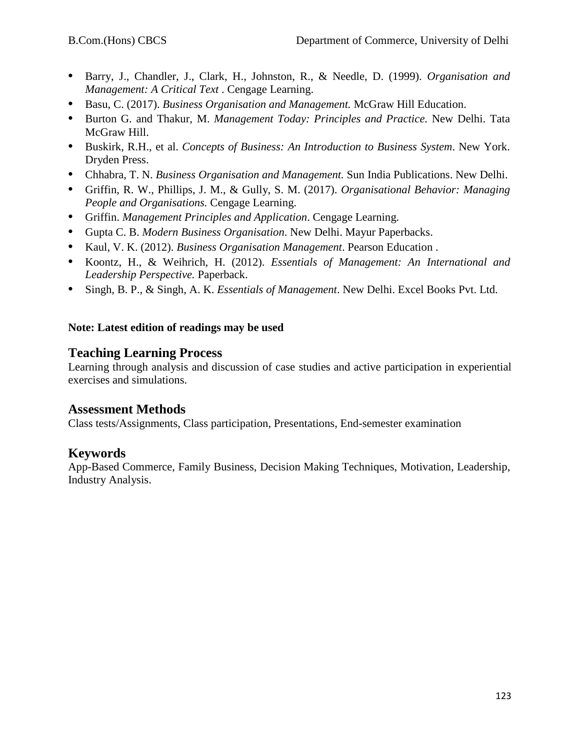- **•** Barry, J., Chandler, J., Clark, H., Johnston, R., & Needle, D. (1999). *Organisation and Management: A Critical Text* . Cengage Learning.
- **•** Basu, C. (2017). *Business Organisation and Management.* McGraw Hill Education.
- **•** Burton G. and Thakur, M. *Management Today: Principles and Practice.* New Delhi. Tata McGraw Hill.
- **•** Buskirk, R.H., et al. *Concepts of Business: An Introduction to Business System*. New York. Dryden Press.
- **•** Chhabra, T. N. *Business Organisation and Management.* Sun India Publications. New Delhi.
- **•** Griffin, R. W., Phillips, J. M., & Gully, S. M. (2017). *Organisational Behavior: Managing People and Organisations.* Cengage Learning.
- **•** Griffin. *Management Principles and Application*. Cengage Learning.
- **•** Gupta C. B. *Modern Business Organisation*. New Delhi. Mayur Paperbacks.
- **•** Kaul, V. K. (2012). *Business Organisation Management*. Pearson Education .
- **•** Koontz, H., & Weihrich, H. (2012). *Essentials of Management: An International and Leadership Perspective.* Paperback.
- **•** Singh, B. P., & Singh, A. K. *Essentials of Management*. New Delhi. Excel Books Pvt. Ltd.

# **Note: Latest edition of readings may be used**

# **Teaching Learning Process**

Learning through analysis and discussion of case studies and active participation in experiential exercises and simulations.

# **Assessment Methods**

Class tests/Assignments, Class participation, Presentations, End-semester examination

# **Keywords**

App-Based Commerce, Family Business, Decision Making Techniques, Motivation, Leadership, Industry Analysis.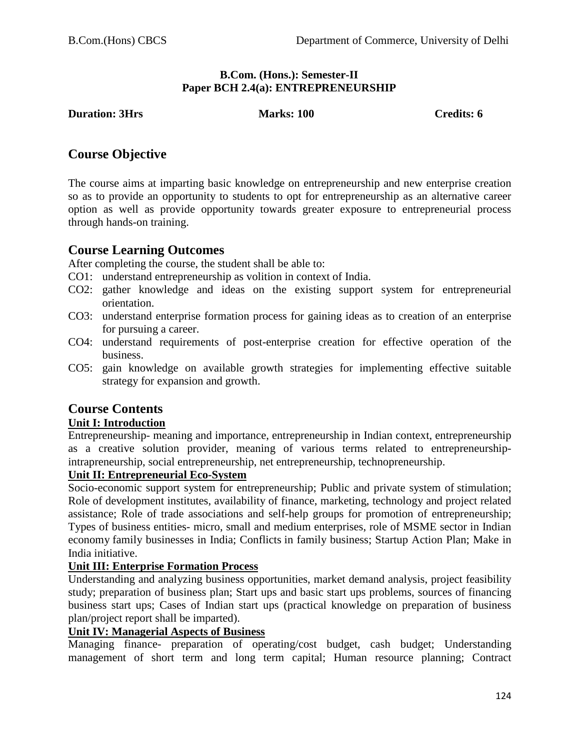## **B.Com. (Hons.): Semester-II Paper BCH 2.4(a): ENTREPRENEURSHIP**

## **Duration: 3Hrs Marks: 100 Credits: 6** Credits: 6

# **Course Objective**

The course aims at imparting basic knowledge on entrepreneurship and new enterprise creation so as to provide an opportunity to students to opt for entrepreneurship as an alternative career option as well as provide opportunity towards greater exposure to entrepreneurial process through hands-on training.

# **Course Learning Outcomes**

After completing the course, the student shall be able to:

- CO1: understand entrepreneurship as volition in context of India.
- CO2: gather knowledge and ideas on the existing support system for entrepreneurial orientation.
- CO3: understand enterprise formation process for gaining ideas as to creation of an enterprise for pursuing a career.
- CO4: understand requirements of post-enterprise creation for effective operation of the business.
- CO5: gain knowledge on available growth strategies for implementing effective suitable strategy for expansion and growth.

# **Course Contents**

## **Unit I: Introduction**

Entrepreneurship- meaning and importance, entrepreneurship in Indian context, entrepreneurship as a creative solution provider, meaning of various terms related to entrepreneurshipintrapreneurship, social entrepreneurship, net entrepreneurship, technopreneurship.

#### **Unit II: Entrepreneurial Eco-System**

Socio-economic support system for entrepreneurship; Public and private system of stimulation; Role of development institutes, availability of finance, marketing, technology and project related assistance; Role of trade associations and self-help groups for promotion of entrepreneurship; Types of business entities- micro, small and medium enterprises, role of MSME sector in Indian economy family businesses in India; Conflicts in family business; Startup Action Plan; Make in India initiative.

## **Unit III: Enterprise Formation Process**

Understanding and analyzing business opportunities, market demand analysis, project feasibility study; preparation of business plan; Start ups and basic start ups problems, sources of financing business start ups; Cases of Indian start ups (practical knowledge on preparation of business plan/project report shall be imparted).

## **Unit IV: Managerial Aspects of Business**

Managing finance- preparation of operating/cost budget, cash budget; Understanding management of short term and long term capital; Human resource planning; Contract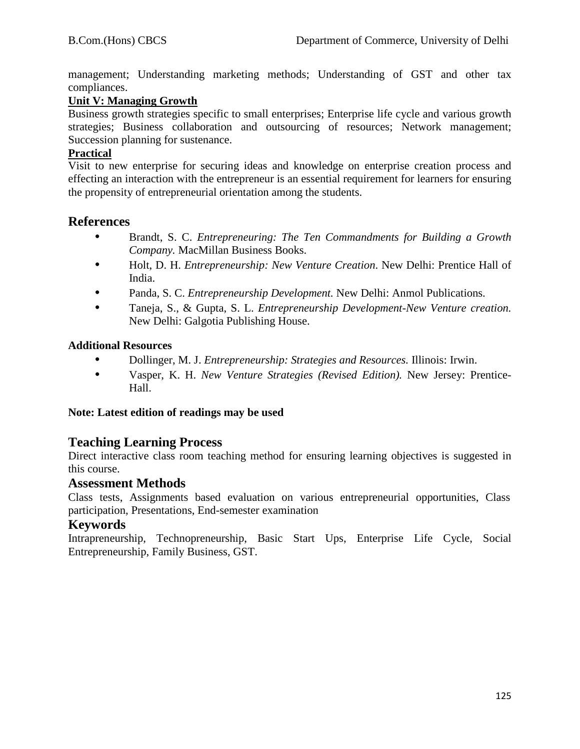management; Understanding marketing methods; Understanding of GST and other tax compliances.

# **Unit V: Managing Growth**

Business growth strategies specific to small enterprises; Enterprise life cycle and various growth strategies; Business collaboration and outsourcing of resources; Network management; Succession planning for sustenance.

## **Practical**

Visit to new enterprise for securing ideas and knowledge on enterprise creation process and effecting an interaction with the entrepreneur is an essential requirement for learners for ensuring the propensity of entrepreneurial orientation among the students.

# **References**

- **•** Brandt, S. C. *Entrepreneuring: The Ten Commandments for Building a Growth Company.* MacMillan Business Books.
- **•** Holt, D. H. *Entrepreneurship: New Venture Creation*. New Delhi: Prentice Hall of India.
- **•** Panda, S. C. *Entrepreneurship Development.* New Delhi: Anmol Publications.
- **•** Taneja, S., & Gupta, S. L. *Entrepreneurship Development-New Venture creation.* New Delhi: Galgotia Publishing House.

## **Additional Resources**

- **•** Dollinger, M. J. *Entrepreneurship: Strategies and Resources.* Illinois: Irwin.
- **•** Vasper, K. H. *New Venture Strategies (Revised Edition).* New Jersey: Prentice-Hall.

## **Note: Latest edition of readings may be used**

# **Teaching Learning Process**

Direct interactive class room teaching method for ensuring learning objectives is suggested in this course.

## **Assessment Methods**

Class tests, Assignments based evaluation on various entrepreneurial opportunities, Class participation, Presentations, End-semester examination

# **Keywords**

Intrapreneurship, Technopreneurship, Basic Start Ups, Enterprise Life Cycle, Social Entrepreneurship, Family Business, GST.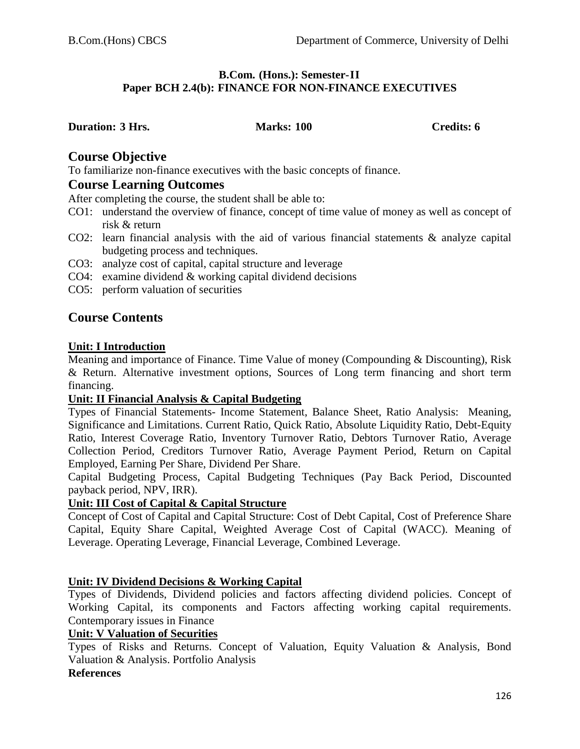#### **B.Com. (Hons.): Semester-II Paper BCH 2.4(b): FINANCE FOR NON-FINANCE EXECUTIVES**

#### **Duration: 3 Hrs. Marks: 100 Credits: 6**

# **Course Objective**

To familiarize non-finance executives with the basic concepts of finance.

# **Course Learning Outcomes**

After completing the course, the student shall be able to:

- CO1: understand the overview of finance, concept of time value of money as well as concept of risk & return
- CO2: learn financial analysis with the aid of various financial statements & analyze capital budgeting process and techniques.
- CO3: analyze cost of capital, capital structure and leverage
- CO4: examine dividend & working capital dividend decisions
- CO5: perform valuation of securities

# **Course Contents**

## **Unit: I Introduction**

Meaning and importance of Finance. Time Value of money (Compounding & Discounting), Risk & Return. Alternative investment options, Sources of Long term financing and short term financing.

## **Unit: II Financial Analysis & Capital Budgeting**

Types of Financial Statements- Income Statement, Balance Sheet, Ratio Analysis: Meaning, Significance and Limitations. Current Ratio, Quick Ratio, Absolute Liquidity Ratio, Debt-Equity Ratio, Interest Coverage Ratio, Inventory Turnover Ratio, Debtors Turnover Ratio, Average Collection Period, Creditors Turnover Ratio, Average Payment Period, Return on Capital Employed, Earning Per Share, Dividend Per Share.

Capital Budgeting Process, Capital Budgeting Techniques (Pay Back Period, Discounted payback period, NPV, IRR).

## **Unit: III Cost of Capital & Capital Structure**

Concept of Cost of Capital and Capital Structure: Cost of Debt Capital, Cost of Preference Share Capital, Equity Share Capital, Weighted Average Cost of Capital (WACC). Meaning of Leverage. Operating Leverage, Financial Leverage, Combined Leverage.

## **Unit: IV Dividend Decisions & Working Capital**

Types of Dividends, Dividend policies and factors affecting dividend policies. Concept of Working Capital, its components and Factors affecting working capital requirements. Contemporary issues in Finance

#### **Unit: V Valuation of Securities**

Types of Risks and Returns. Concept of Valuation, Equity Valuation & Analysis, Bond Valuation & Analysis. Portfolio Analysis

## **References**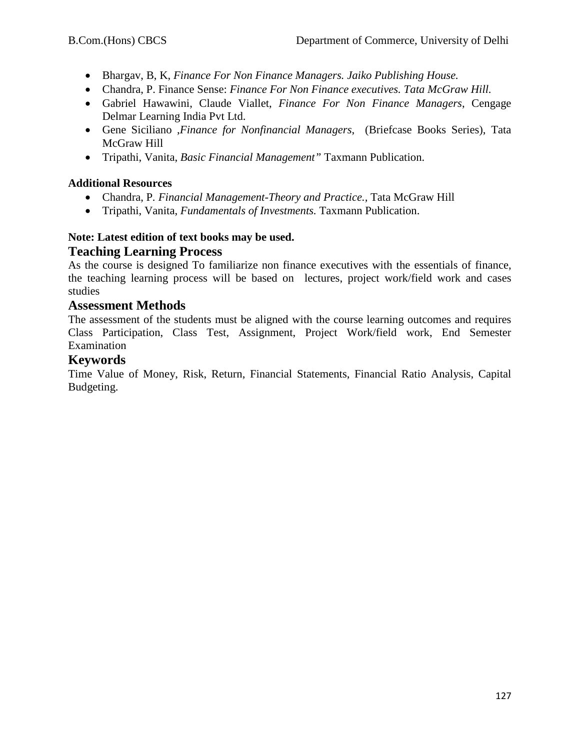- Bhargav, B, K, *Finance For Non Finance Managers. Jaiko Publishing House.*
- Chandra, P. Finance Sense: *Finance For Non Finance executives. Tata McGraw Hill.*
- Gabriel Hawawini, Claude Viallet, *Finance For Non Finance Managers*, Cengage Delmar Learning India Pvt Ltd.
- Gene Siciliano ,*Finance for Nonfinancial Managers*, (Briefcase Books Series), Tata McGraw Hill
- Tripathi, Vanita, *Basic Financial Management"* Taxmann Publication.

## **Additional Resources**

- Chandra, P*. Financial Management-Theory and Practice.,* Tata McGraw Hill
- Tripathi, Vanita, *Fundamentals of Investments.* Taxmann Publication.

## **Note: Latest edition of text books may be used. Teaching Learning Process**

As the course is designed To familiarize non finance executives with the essentials of finance, the teaching learning process will be based on lectures, project work/field work and cases studies

# **Assessment Methods**

The assessment of the students must be aligned with the course learning outcomes and requires Class Participation, Class Test, Assignment, Project Work/field work, End Semester Examination

# **Keywords**

Time Value of Money, Risk, Return, Financial Statements, Financial Ratio Analysis, Capital Budgeting.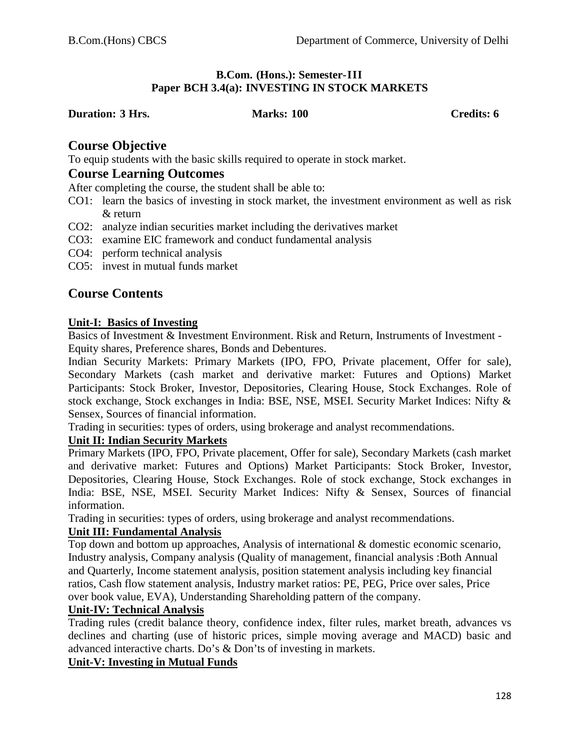#### **B.Com. (Hons.): Semester-III Paper BCH 3.4(a): INVESTING IN STOCK MARKETS**

**Duration: 3 Hrs. Marks: 100 Credits: 6**

# **Course Objective**

To equip students with the basic skills required to operate in stock market.

# **Course Learning Outcomes**

After completing the course, the student shall be able to:

- CO1: learn the basics of investing in stock market, the investment environment as well as risk & return
- CO2: analyze indian securities market including the derivatives market
- CO3: examine EIC framework and conduct fundamental analysis
- CO4: perform technical analysis
- CO5: invest in mutual funds market

# **Course Contents**

## **Unit-I: Basics of Investing**

Basics of Investment & Investment Environment. Risk and Return, Instruments of Investment - Equity shares, Preference shares, Bonds and Debentures.

Indian Security Markets: Primary Markets (IPO, FPO, Private placement, Offer for sale), Secondary Markets (cash market and derivative market: Futures and Options) Market Participants: Stock Broker, Investor, Depositories, Clearing House, Stock Exchanges. Role of stock exchange, Stock exchanges in India: BSE, NSE, MSEI. Security Market Indices: Nifty & Sensex, Sources of financial information.

Trading in securities: types of orders, using brokerage and analyst recommendations.

## **Unit II: Indian Security Markets**

Primary Markets (IPO, FPO, Private placement, Offer for sale), Secondary Markets (cash market and derivative market: Futures and Options) Market Participants: Stock Broker, Investor, Depositories, Clearing House, Stock Exchanges. Role of stock exchange, Stock exchanges in India: BSE, NSE, MSEI. Security Market Indices: Nifty & Sensex, Sources of financial information.

Trading in securities: types of orders, using brokerage and analyst recommendations.

## **Unit III: Fundamental Analysis**

Top down and bottom up approaches, Analysis of international & domestic economic scenario, Industry analysis, Company analysis (Quality of management, financial analysis :Both Annual and Quarterly, Income statement analysis, position statement analysis including key financial ratios, Cash flow statement analysis, Industry market ratios: PE, PEG, Price over sales, Price over book value, EVA), Understanding Shareholding pattern of the company.

## **Unit-IV: Technical Analysis**

Trading rules (credit balance theory, confidence index, filter rules, market breath, advances vs declines and charting (use of historic prices, simple moving average and MACD) basic and advanced interactive charts. Do's & Don'ts of investing in markets.

## **Unit-V: Investing in Mutual Funds**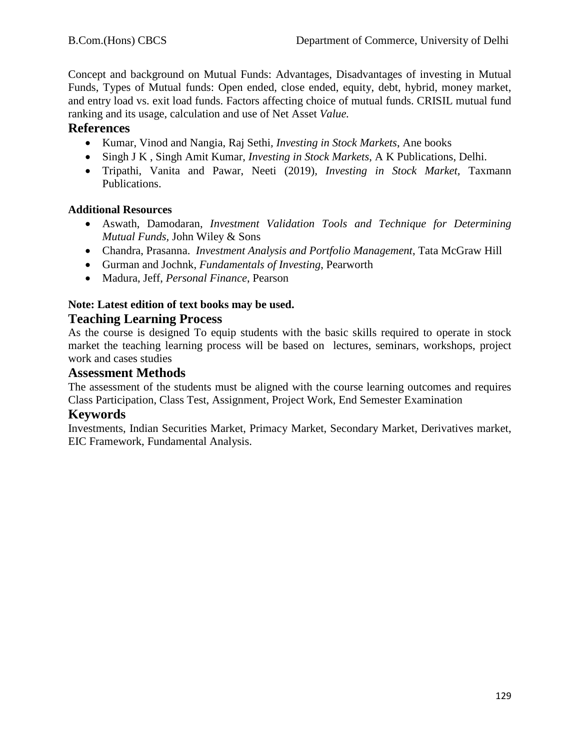Concept and background on Mutual Funds: Advantages, Disadvantages of investing in Mutual Funds, Types of Mutual funds: Open ended, close ended, equity, debt, hybrid, money market, and entry load vs. exit load funds. Factors affecting choice of mutual funds. CRISIL mutual fund ranking and its usage, calculation and use of Net Asset *Value.*

# **References**

- Kumar, Vinod and Nangia, Raj Sethi*, Investing in Stock Markets*, Ane books
- Singh J K , Singh Amit Kumar, *Investing in Stock Markets*, A K Publications, Delhi.
- Tripathi, Vanita and Pawar, Neeti (2019)*, Investing in Stock Market,* Taxmann Publications.

## **Additional Resources**

- Aswath, Damodaran, *Investment Validation Tools and Technique for Determining Mutual Funds,* John Wiley & Sons
- Chandra, Prasanna. *Investment Analysis and Portfolio Management*, Tata McGraw Hill
- Gurman and Jochnk, *Fundamentals of Investing*, Pearworth
- Madura, Jeff, *Personal Finance*, Pearson

# **Note: Latest edition of text books may be used.**

# **Teaching Learning Process**

As the course is designed To equip students with the basic skills required to operate in stock market the teaching learning process will be based on lectures, seminars, workshops, project work and cases studies

## **Assessment Methods**

The assessment of the students must be aligned with the course learning outcomes and requires Class Participation, Class Test, Assignment, Project Work, End Semester Examination

# **Keywords**

Investments, Indian Securities Market, Primacy Market, Secondary Market, Derivatives market, EIC Framework, Fundamental Analysis.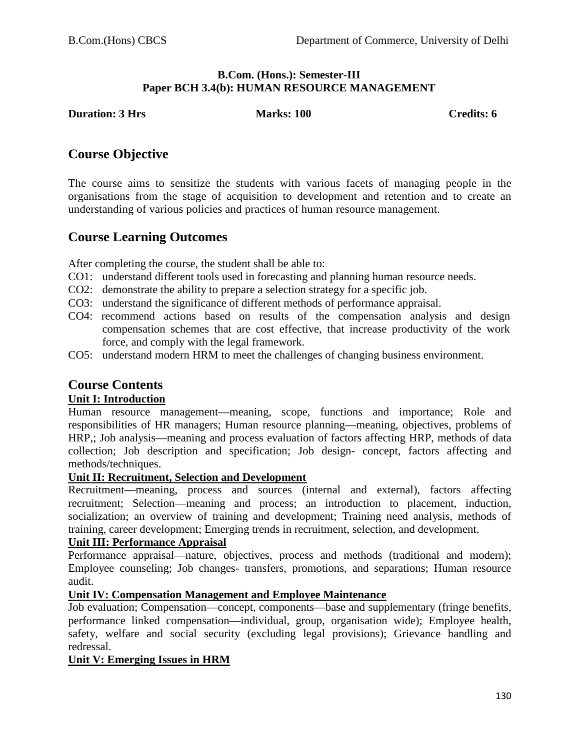## **B.Com. (Hons.): Semester-III Paper BCH 3.4(b): HUMAN RESOURCE MANAGEMENT**

**Duration: 3 Hrs Marks: 100 Credits: 6** Credits: 6

# **Course Objective**

The course aims to sensitize the students with various facets of managing people in the organisations from the stage of acquisition to development and retention and to create an understanding of various policies and practices of human resource management.

# **Course Learning Outcomes**

After completing the course, the student shall be able to:

- CO1: understand different tools used in forecasting and planning human resource needs.
- CO2: demonstrate the ability to prepare a selection strategy for a specific job.
- CO3: understand the significance of different methods of performance appraisal.
- CO4: recommend actions based on results of the compensation analysis and design compensation schemes that are cost effective, that increase productivity of the work force, and comply with the legal framework.
- CO5: understand modern HRM to meet the challenges of changing business environment.

# **Course Contents**

## **Unit I: Introduction**

Human resource management—meaning, scope, functions and importance; Role and responsibilities of HR managers; Human resource planning—meaning, objectives, problems of HRP,; Job analysis—meaning and process evaluation of factors affecting HRP, methods of data collection; Job description and specification; Job design- concept, factors affecting and methods/techniques.

#### **Unit II: Recruitment, Selection and Development**

Recruitment—meaning, process and sources (internal and external), factors affecting recruitment; Selection—meaning and process; an introduction to placement, induction, socialization; an overview of training and development; Training need analysis, methods of training, career development; Emerging trends in recruitment, selection, and development.

#### **Unit III: Performance Appraisal**

Performance appraisal—nature, objectives, process and methods (traditional and modern); Employee counseling; Job changes- transfers, promotions, and separations; Human resource audit.

## **Unit IV: Compensation Management and Employee Maintenance**

Job evaluation; Compensation—concept, components—base and supplementary (fringe benefits, performance linked compensation—individual, group, organisation wide); Employee health, safety, welfare and social security (excluding legal provisions); Grievance handling and redressal.

## **Unit V: Emerging Issues in HRM**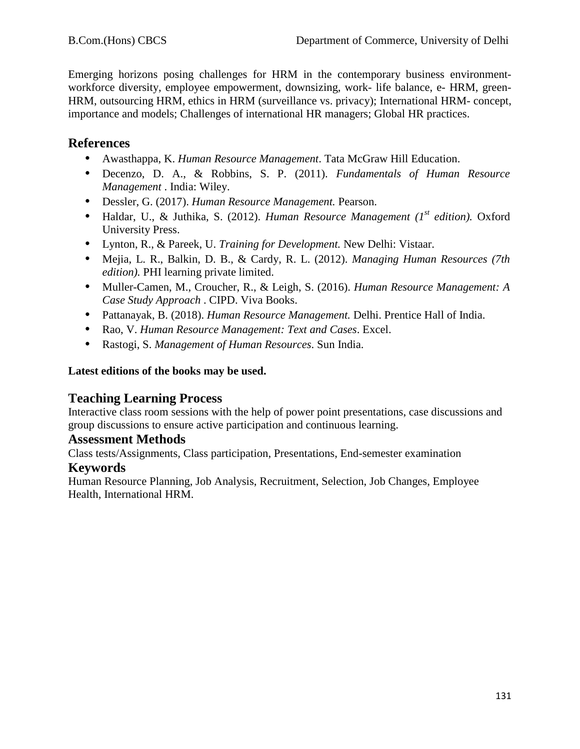Emerging horizons posing challenges for HRM in the contemporary business environmentworkforce diversity, employee empowerment, downsizing, work- life balance, e- HRM, green-HRM, outsourcing HRM, ethics in HRM (surveillance vs. privacy); International HRM- concept, importance and models; Challenges of international HR managers; Global HR practices.

# **References**

- **•** Awasthappa, K. *Human Resource Management*. Tata McGraw Hill Education.
- **•** Decenzo, D. A., & Robbins, S. P. (2011). *Fundamentals of Human Resource Management* . India: Wiley.
- **•** Dessler, G. (2017). *Human Resource Management.* Pearson.
- Haldar, U., & Juthika, S. (2012). *Human Resource Management (1<sup>st</sup> edition)*. Oxford University Press.
- **•** Lynton, R., & Pareek, U. *Training for Development.* New Delhi: Vistaar.
- **•** Mejia, L. R., Balkin, D. B., & Cardy, R. L. (2012). *Managing Human Resources (7th edition).* PHI learning private limited.
- **•** Muller-Camen, M., Croucher, R., & Leigh, S. (2016). *Human Resource Management: A Case Study Approach* . CIPD. Viva Books.
- **•** Pattanayak, B. (2018). *Human Resource Management.* Delhi. Prentice Hall of India.
- **•** Rao, V. *Human Resource Management: Text and Cases*. Excel.
- **•** Rastogi, S. *Management of Human Resources*. Sun India.

# **Latest editions of the books may be used.**

# **Teaching Learning Process**

Interactive class room sessions with the help of power point presentations, case discussions and group discussions to ensure active participation and continuous learning.

# **Assessment Methods**

Class tests/Assignments, Class participation, Presentations, End-semester examination

# **Keywords**

Human Resource Planning, Job Analysis, Recruitment, Selection, Job Changes, Employee Health, International HRM.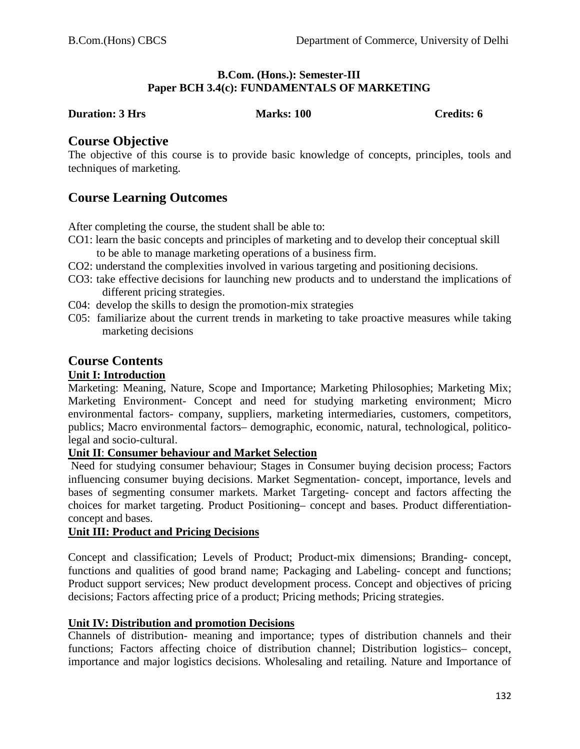#### **B.Com. (Hons.): Semester-III Paper BCH 3.4(c): FUNDAMENTALS OF MARKETING**

#### **Duration: 3 Hrs Marks: 100 Credits: 6**

# **Course Objective**

The objective of this course is to provide basic knowledge of concepts, principles, tools and techniques of marketing.

# **Course Learning Outcomes**

After completing the course, the student shall be able to:

- CO1: learn the basic concepts and principles of marketing and to develop their conceptual skill to be able to manage marketing operations of a business firm.
- CO2: understand the complexities involved in various targeting and positioning decisions.
- CO3: take effective decisions for launching new products and to understand the implications of different pricing strategies.
- C04: develop the skills to design the promotion-mix strategies
- C05: familiarize about the current trends in marketing to take proactive measures while taking marketing decisions

# **Course Contents**

# **Unit I: Introduction**

Marketing: Meaning, Nature, Scope and Importance; Marketing Philosophies; Marketing Mix; Marketing Environment- Concept and need for studying marketing environment; Micro environmental factors- company, suppliers, marketing intermediaries, customers, competitors, publics; Macro environmental factors– demographic, economic, natural, technological, politicolegal and socio-cultural.

#### **Unit II**: **Consumer behaviour and Market Selection**

Need for studying consumer behaviour; Stages in Consumer buying decision process; Factors influencing consumer buying decisions. Market Segmentation- concept, importance, levels and bases of segmenting consumer markets. Market Targeting- concept and factors affecting the choices for market targeting. Product Positioning– concept and bases. Product differentiationconcept and bases.

### **Unit III: Product and Pricing Decisions**

Concept and classification; Levels of Product; Product-mix dimensions; Branding- concept, functions and qualities of good brand name; Packaging and Labeling- concept and functions; Product support services; New product development process. Concept and objectives of pricing decisions; Factors affecting price of a product; Pricing methods; Pricing strategies.

## **Unit IV: Distribution and promotion Decisions**

Channels of distribution- meaning and importance; types of distribution channels and their functions; Factors affecting choice of distribution channel; Distribution logistics– concept, importance and major logistics decisions. Wholesaling and retailing. Nature and Importance of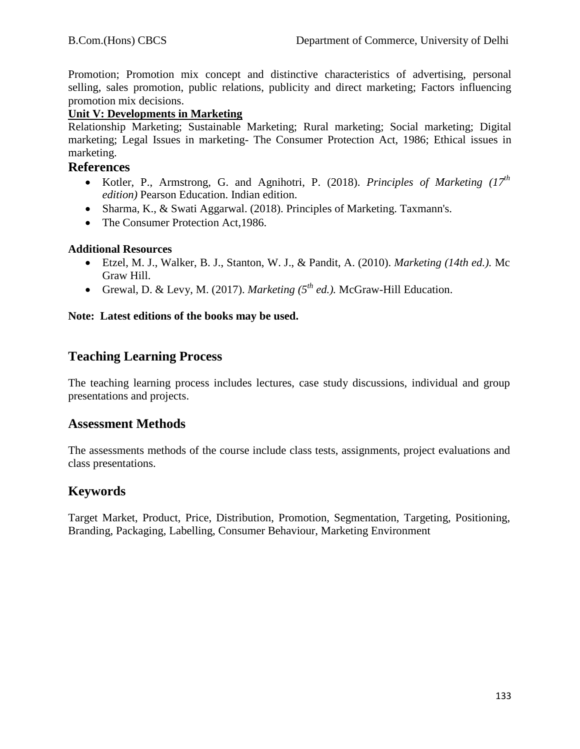Promotion; Promotion mix concept and distinctive characteristics of advertising, personal selling, sales promotion, public relations, publicity and direct marketing; Factors influencing promotion mix decisions.

## **Unit V: Developments in Marketing**

Relationship Marketing; Sustainable Marketing; Rural marketing; Social marketing; Digital marketing; Legal Issues in marketing- The Consumer Protection Act, 1986; Ethical issues in marketing.

## **References**

- Kotler, P., Armstrong, G. and Agnihotri, P. (2018). *Principles of Marketing (17th edition)* Pearson Education. Indian edition.
- Sharma, K., & Swati Aggarwal. (2018). Principles of Marketing. Taxmann's.
- The Consumer Protection Act, 1986.

## **Additional Resources**

- Etzel, M. J., Walker, B. J., Stanton, W. J., & Pandit, A. (2010). *Marketing (14th ed.).* Mc Graw Hill.
- Grewal, D. & Levy, M. (2017). *Marketing*  $(5^{th} ed.)$ . McGraw-Hill Education.

## **Note: Latest editions of the books may be used.**

# **Teaching Learning Process**

The teaching learning process includes lectures, case study discussions, individual and group presentations and projects.

## **Assessment Methods**

The assessments methods of the course include class tests, assignments, project evaluations and class presentations.

# **Keywords**

Target Market, Product, Price, Distribution, Promotion, Segmentation, Targeting, Positioning, Branding, Packaging, Labelling, Consumer Behaviour, Marketing Environment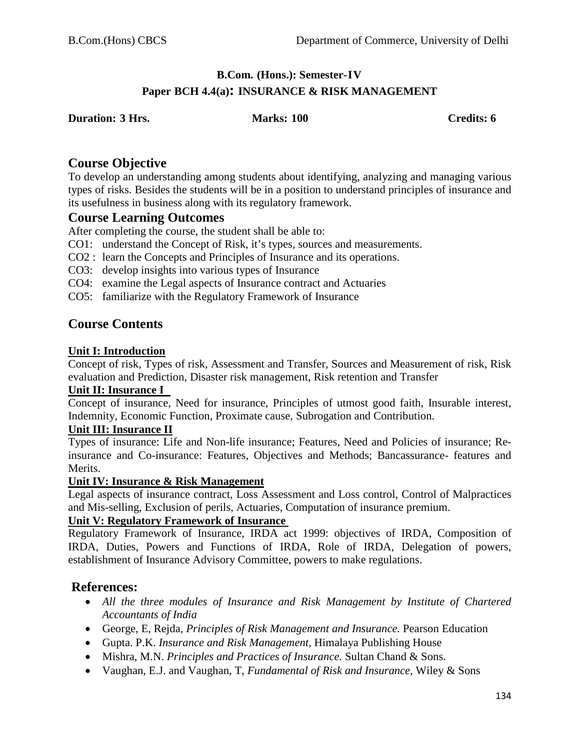# **B.Com. (Hons.): Semester-IV Paper BCH 4.4(a): INSURANCE & RISK MANAGEMENT**

**Duration: 3 Hrs. Marks: 100 Credits: 6**

# **Course Objective**

To develop an understanding among students about identifying, analyzing and managing various types of risks. Besides the students will be in a position to understand principles of insurance and its usefulness in business along with its regulatory framework.

# **Course Learning Outcomes**

After completing the course, the student shall be able to:

- CO1: understand the Concept of Risk, it's types, sources and measurements.
- CO2 : learn the Concepts and Principles of Insurance and its operations.
- CO3: develop insights into various types of Insurance
- CO4: examine the Legal aspects of Insurance contract and Actuaries
- CO5: familiarize with the Regulatory Framework of Insurance

# **Course Contents**

## **Unit I: Introduction**

Concept of risk, Types of risk, Assessment and Transfer, Sources and Measurement of risk, Risk evaluation and Prediction, Disaster risk management, Risk retention and Transfer

#### **Unit II: Insurance I**

Concept of insurance, Need for insurance, Principles of utmost good faith, Insurable interest, Indemnity, Economic Function, Proximate cause, Subrogation and Contribution.

#### **Unit III: Insurance II**

Types of insurance: Life and Non-life insurance; Features, Need and Policies of insurance; Reinsurance and Co-insurance: Features, Objectives and Methods; Bancassurance- features and Merits.

#### **Unit IV: Insurance & Risk Management**

Legal aspects of insurance contract, Loss Assessment and Loss control, Control of Malpractices and Mis-selling, Exclusion of perils, Actuaries, Computation of insurance premium.

#### **Unit V: Regulatory Framework of Insurance**

Regulatory Framework of Insurance, IRDA act 1999: objectives of IRDA, Composition of IRDA, Duties, Powers and Functions of IRDA, Role of IRDA, Delegation of powers, establishment of Insurance Advisory Committee, powers to make regulations.

# **References:**

- All the three modules of Insurance and Risk Management by Institute of Chartered *Accountants of India*
- George, E, Rejda*, Principles of Risk Management and Insurance.* Pearson Education
- Gupta. P.K. *Insurance and Risk Management,* Himalaya Publishing House
- Mishra, M.N. *Principles and Practices of Insurance.* Sultan Chand & Sons*.*
- Vaughan, E.J. and Vaughan, T, *Fundamental of Risk and Insurance,* Wiley & Sons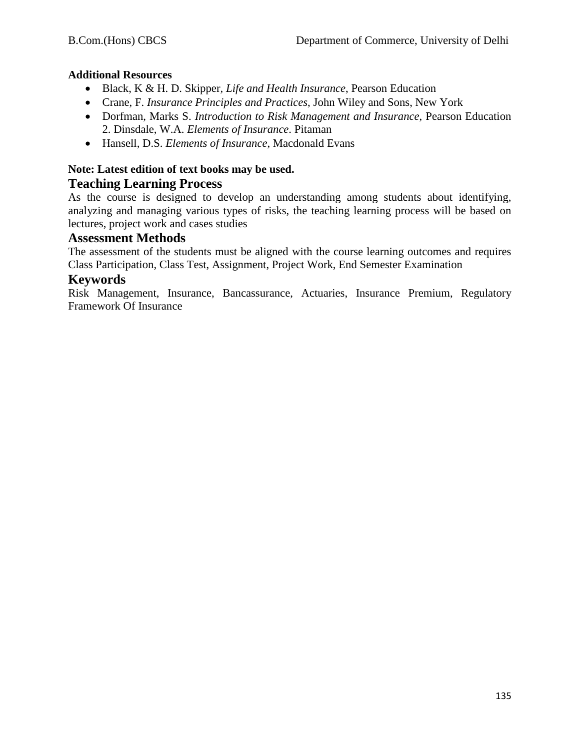# **Additional Resources**

- Black, K & H. D. Skipper*, Life and Health Insurance*, Pearson Education
- Crane, F. *Insurance Principles and Practices*, John Wiley and Sons, New York
- Dorfman, Marks S. *Introduction to Risk Management and Insurance*, Pearson Education 2. Dinsdale, W.A. *Elements of Insurance*. Pitaman
- Hansell, D.S. *Elements of Insurance*, Macdonald Evans

# **Note: Latest edition of text books may be used.**

# **Teaching Learning Process**

As the course is designed to develop an understanding among students about identifying, analyzing and managing various types of risks, the teaching learning process will be based on lectures, project work and cases studies

# **Assessment Methods**

The assessment of the students must be aligned with the course learning outcomes and requires Class Participation, Class Test, Assignment, Project Work, End Semester Examination

# **Keywords**

Risk Management, Insurance, Bancassurance, Actuaries, Insurance Premium, Regulatory Framework Of Insurance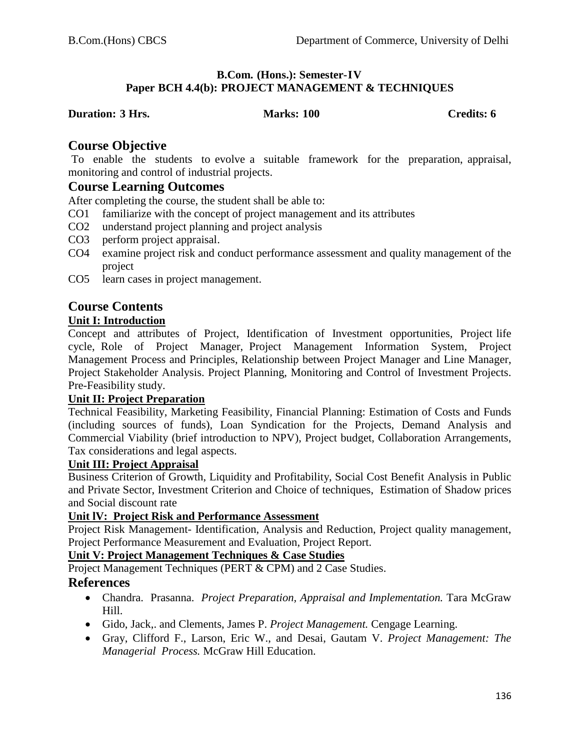## **B.Com. (Hons.): Semester-IV Paper BCH 4.4(b): PROJECT MANAGEMENT & TECHNIQUES**

#### **Duration: 3 Hrs. Marks: 100 Credits: 6**

# **Course Objective**

To enable the students to evolve a suitable framework for the preparation, appraisal, monitoring and control of industrial projects.

# **Course Learning Outcomes**

After completing the course, the student shall be able to:

- CO1 familiarize with the concept of project management and its attributes
- CO2 understand project planning and project analysis
- CO3 perform project appraisal.
- CO4 examine project risk and conduct performance assessment and quality management of the project
- CO5 learn cases in project management.

# **Course Contents**

# **Unit I: Introduction**

Concept and attributes of Project, Identification of Investment opportunities, Project life cycle, Role of Project Manager, Project Management Information System, Project Management Process and Principles, Relationship between Project Manager and Line Manager, Project Stakeholder Analysis. Project Planning, Monitoring and Control of Investment Projects. Pre-Feasibility study.

## **Unit II: Project Preparation**

Technical Feasibility, Marketing Feasibility, Financial Planning: Estimation of Costs and Funds (including sources of funds), Loan Syndication for the Projects, Demand Analysis and Commercial Viability (brief introduction to NPV), Project budget, Collaboration Arrangements, Tax considerations and legal aspects.

# **Unit III: Project Appraisal**

Business Criterion of Growth, Liquidity and Profitability, Social Cost Benefit Analysis in Public and Private Sector, Investment Criterion and Choice of techniques, Estimation of Shadow prices and Social discount rate

## **Unit lV: Project Risk and Performance Assessment**

Project Risk Management- Identification, Analysis and Reduction, Project quality management, Project Performance Measurement and Evaluation, Project Report.

## **Unit V: Project Management Techniques & Case Studies**

Project Management Techniques (PERT & CPM) and 2 Case Studies.

# **References**

- Chandra. Prasanna. *Project Preparation, Appraisal and Implementation.* Tara McGraw Hill.
- Gido, Jack,. and Clements, James P. *Project Management.* Cengage Learning.
- Gray, Clifford F., Larson, Eric W., and Desai, Gautam V. *Project Management: The Managerial Process.* McGraw Hill Education.